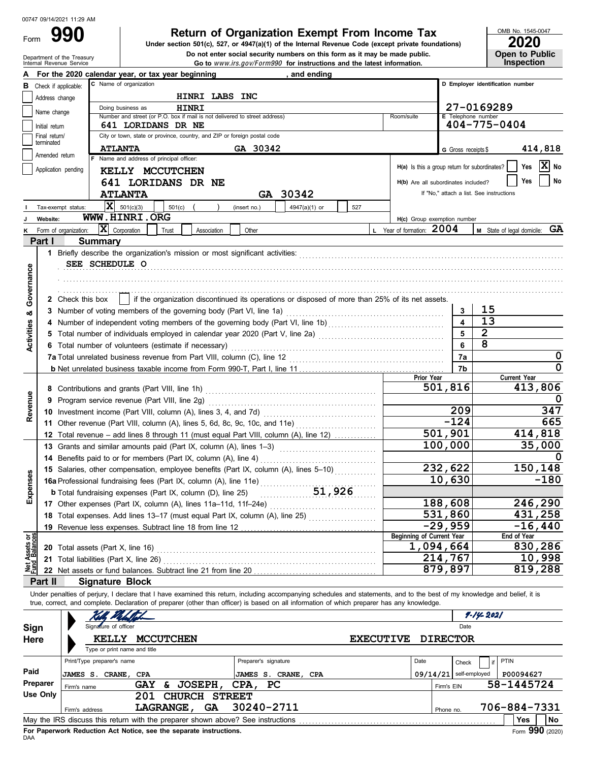Form

## **990 2020 Return of Organization Exempt From Income Tax**

De not enter social security numbers on this form as it may be made publis<br>Internal Revenue Service<br>**Go to** *www.irs.gov/Form990* for instructions and the latest information. Do not enter social security numbers on this form as it may be made public. **Under section 501(c), 527, or 4947(a)(1) of the Internal Revenue Code (except private foundations)** OMB No. 1545-0047

| ZUZU                  |
|-----------------------|
| <b>Open to Public</b> |
| <b>Inspection</b>     |

|                                                                                                      |                             |                    | For the 2020 calendar year, or tax year beginning                                                                                                                                                                                                                                                                        |                                                                                                 |                      | and ending                 |        |                  |                                  |                                               |                                          |                     |                                  |
|------------------------------------------------------------------------------------------------------|-----------------------------|--------------------|--------------------------------------------------------------------------------------------------------------------------------------------------------------------------------------------------------------------------------------------------------------------------------------------------------------------------|-------------------------------------------------------------------------------------------------|----------------------|----------------------------|--------|------------------|----------------------------------|-----------------------------------------------|------------------------------------------|---------------------|----------------------------------|
| C Name of organization<br>D Employer identification number<br>Check if applicable:<br>в              |                             |                    |                                                                                                                                                                                                                                                                                                                          |                                                                                                 |                      |                            |        |                  |                                  |                                               |                                          |                     |                                  |
|                                                                                                      | Address change              |                    |                                                                                                                                                                                                                                                                                                                          | HINRI LABS INC                                                                                  |                      |                            |        |                  |                                  |                                               |                                          |                     |                                  |
|                                                                                                      | Name change                 |                    | Doing business as                                                                                                                                                                                                                                                                                                        | <b>HINRI</b>                                                                                    |                      |                            |        |                  |                                  |                                               | 27-0169289                               |                     |                                  |
|                                                                                                      |                             |                    | Number and street (or P.O. box if mail is not delivered to street address)                                                                                                                                                                                                                                               |                                                                                                 |                      |                            |        | Room/suite       |                                  | <b>E</b> Telephone number                     |                                          |                     |                                  |
|                                                                                                      | Initial return              |                    | 641 LORIDANS DR NE                                                                                                                                                                                                                                                                                                       |                                                                                                 |                      |                            |        |                  |                                  |                                               | $404 - 775 - 0404$                       |                     |                                  |
|                                                                                                      | Final return/<br>terminated |                    | City or town, state or province, country, and ZIP or foreign postal code                                                                                                                                                                                                                                                 |                                                                                                 |                      |                            |        |                  |                                  |                                               |                                          |                     |                                  |
|                                                                                                      | Amended return              |                    | <b>ATLANTA</b>                                                                                                                                                                                                                                                                                                           |                                                                                                 | GA 30342             |                            |        |                  |                                  | G Gross receipts \$                           |                                          |                     | 414,818                          |
|                                                                                                      |                             |                    | F Name and address of principal officer:                                                                                                                                                                                                                                                                                 |                                                                                                 |                      |                            |        |                  |                                  | H(a) Is this a group return for subordinates? |                                          | Yes                 | $ \mathbf{\overline{X}} $ No     |
| Application pending<br>KELLY MCCUTCHEN<br>H(b) Are all subordinates included?                        |                             |                    |                                                                                                                                                                                                                                                                                                                          |                                                                                                 |                      |                            |        |                  |                                  |                                               |                                          |                     |                                  |
|                                                                                                      |                             |                    | 641 LORIDANS DR NE                                                                                                                                                                                                                                                                                                       |                                                                                                 |                      |                            |        |                  |                                  |                                               |                                          | Yes                 | No                               |
|                                                                                                      |                             |                    | <b>ATLANTA</b>                                                                                                                                                                                                                                                                                                           |                                                                                                 |                      | GA 30342                   |        |                  |                                  |                                               | If "No," attach a list. See instructions |                     |                                  |
|                                                                                                      |                             | Tax-exempt status: | $ \mathbf{X} $ 501(c)(3)                                                                                                                                                                                                                                                                                                 | 501(c)                                                                                          | (insert no.)         | 4947(a)(1) or              | 527    |                  |                                  |                                               |                                          |                     |                                  |
|                                                                                                      | Website:                    |                    | WWW.HINRI.ORG                                                                                                                                                                                                                                                                                                            |                                                                                                 |                      |                            |        |                  |                                  | H(c) Group exemption number                   |                                          |                     |                                  |
| X Corporation<br>L Year of formation: 2004<br>Form of organization:<br>Trust<br>Association<br>Other |                             |                    |                                                                                                                                                                                                                                                                                                                          |                                                                                                 |                      |                            |        |                  |                                  |                                               |                                          |                     | GA<br>M State of legal domicile: |
|                                                                                                      | Part I                      |                    | <b>Summary</b>                                                                                                                                                                                                                                                                                                           |                                                                                                 |                      |                            |        |                  |                                  |                                               |                                          |                     |                                  |
|                                                                                                      |                             |                    | 1 Briefly describe the organization's mission or most significant activities:                                                                                                                                                                                                                                            |                                                                                                 |                      |                            |        |                  |                                  |                                               |                                          |                     |                                  |
|                                                                                                      |                             |                    | SEE SCHEDULE O                                                                                                                                                                                                                                                                                                           |                                                                                                 |                      |                            |        |                  |                                  |                                               |                                          |                     |                                  |
|                                                                                                      |                             |                    |                                                                                                                                                                                                                                                                                                                          |                                                                                                 |                      |                            |        |                  |                                  |                                               |                                          |                     |                                  |
| Governance                                                                                           |                             |                    |                                                                                                                                                                                                                                                                                                                          |                                                                                                 |                      |                            |        |                  |                                  |                                               |                                          |                     |                                  |
|                                                                                                      |                             | 2 Check this box   |                                                                                                                                                                                                                                                                                                                          | if the organization discontinued its operations or disposed of more than 25% of its net assets. |                      |                            |        |                  |                                  |                                               |                                          |                     |                                  |
| oð                                                                                                   |                             |                    |                                                                                                                                                                                                                                                                                                                          |                                                                                                 |                      |                            |        |                  |                                  | 3                                             | 15                                       |                     |                                  |
|                                                                                                      |                             |                    |                                                                                                                                                                                                                                                                                                                          |                                                                                                 |                      |                            |        |                  |                                  | $\overline{\mathbf{4}}$                       | 13                                       |                     |                                  |
|                                                                                                      |                             |                    | 5 Total number of individuals employed in calendar year 2020 (Part V, line 2a) [[[[[[[[[[[[[[[[[[[[[[[[[[[[[[[                                                                                                                                                                                                           |                                                                                                 |                      |                            |        |                  |                                  | 5                                             | $\overline{2}$                           |                     |                                  |
| <b>Activities</b>                                                                                    |                             |                    | 6 Total number of volunteers (estimate if necessary)                                                                                                                                                                                                                                                                     |                                                                                                 |                      |                            |        |                  |                                  | 6                                             | 8                                        |                     |                                  |
|                                                                                                      |                             |                    |                                                                                                                                                                                                                                                                                                                          |                                                                                                 |                      |                            |        |                  |                                  | 7a                                            |                                          |                     | 0                                |
|                                                                                                      |                             |                    |                                                                                                                                                                                                                                                                                                                          |                                                                                                 |                      | 7b                         |        |                  | $\overline{0}$                   |                                               |                                          |                     |                                  |
|                                                                                                      |                             |                    |                                                                                                                                                                                                                                                                                                                          |                                                                                                 |                      |                            |        |                  | <b>Prior Year</b>                |                                               |                                          | <b>Current Year</b> |                                  |
|                                                                                                      |                             |                    |                                                                                                                                                                                                                                                                                                                          |                                                                                                 |                      |                            |        |                  |                                  | 501,816                                       |                                          | 413,806             |                                  |
| Revenue                                                                                              |                             |                    | 9 Program service revenue (Part VIII, line 2g)                                                                                                                                                                                                                                                                           |                                                                                                 |                      |                            |        |                  |                                  |                                               |                                          |                     | 0                                |
|                                                                                                      |                             |                    |                                                                                                                                                                                                                                                                                                                          |                                                                                                 |                      |                            | 209    |                  |                                  | 347                                           |                                          |                     |                                  |
|                                                                                                      |                             |                    |                                                                                                                                                                                                                                                                                                                          |                                                                                                 |                      |                            | $-124$ |                  |                                  | 665                                           |                                          |                     |                                  |
|                                                                                                      |                             |                    | 12 Total revenue - add lines 8 through 11 (must equal Part VIII, column (A), line 12)                                                                                                                                                                                                                                    |                                                                                                 |                      |                            |        |                  |                                  | $\overline{501}$ , 901                        |                                          | 414,818             |                                  |
|                                                                                                      |                             |                    | 13 Grants and similar amounts paid (Part IX, column (A), lines 1-3)                                                                                                                                                                                                                                                      |                                                                                                 |                      |                            |        |                  | 100,000                          |                                               |                                          | 35,000              |                                  |
|                                                                                                      |                             |                    |                                                                                                                                                                                                                                                                                                                          |                                                                                                 |                      |                            |        |                  |                                  |                                               |                                          |                     | $\Omega$                         |
|                                                                                                      |                             |                    | 15 Salaries, other compensation, employee benefits (Part IX, column (A), lines 5-10)                                                                                                                                                                                                                                     |                                                                                                 |                      |                            |        |                  |                                  | 232,622                                       |                                          | 150,148             |                                  |
|                                                                                                      |                             |                    |                                                                                                                                                                                                                                                                                                                          |                                                                                                 |                      |                            |        |                  |                                  | 10,630                                        |                                          |                     | $-180$                           |
| xpenses                                                                                              |                             |                    |                                                                                                                                                                                                                                                                                                                          |                                                                                                 |                      |                            |        |                  |                                  |                                               |                                          |                     |                                  |
| шì                                                                                                   |                             |                    | 17 Other expenses (Part IX, column (A), lines 11a-11d, 11f-24e)                                                                                                                                                                                                                                                          |                                                                                                 |                      |                            |        |                  |                                  | 188,608                                       |                                          | 246,290             |                                  |
|                                                                                                      |                             |                    | 18 Total expenses. Add lines 13-17 (must equal Part IX, column (A), line 25)                                                                                                                                                                                                                                             |                                                                                                 |                      |                            |        |                  |                                  | 531,860                                       |                                          | 431,258             |                                  |
|                                                                                                      |                             |                    | 19 Revenue less expenses. Subtract line 18 from line 12                                                                                                                                                                                                                                                                  |                                                                                                 |                      |                            |        |                  |                                  | $-29,959$                                     |                                          | $-16,440$           |                                  |
|                                                                                                      |                             |                    |                                                                                                                                                                                                                                                                                                                          |                                                                                                 |                      |                            |        |                  | <b>Beginning of Current Year</b> |                                               |                                          | End of Year         |                                  |
| Net Assets or<br>Fund Balances                                                                       |                             |                    | 20 Total assets (Part X, line 16)                                                                                                                                                                                                                                                                                        |                                                                                                 |                      |                            |        |                  |                                  | 1,094,664                                     |                                          | 830,286             |                                  |
|                                                                                                      |                             |                    | 21 Total liabilities (Part X, line 26)                                                                                                                                                                                                                                                                                   |                                                                                                 |                      |                            |        |                  |                                  | 214,767                                       |                                          | 10,998              |                                  |
|                                                                                                      |                             |                    | 22 Net assets or fund balances. Subtract line 21 from line 20                                                                                                                                                                                                                                                            |                                                                                                 |                      |                            |        |                  |                                  | 879,897                                       |                                          | 819,288             |                                  |
|                                                                                                      | Part II                     |                    | <b>Signature Block</b>                                                                                                                                                                                                                                                                                                   |                                                                                                 |                      |                            |        |                  |                                  |                                               |                                          |                     |                                  |
|                                                                                                      |                             |                    | Under penalties of perjury, I declare that I have examined this return, including accompanying schedules and statements, and to the best of my knowledge and belief, it is<br>true, correct, and complete. Declaration of preparer (other than officer) is based on all information of which preparer has any knowledge. |                                                                                                 |                      |                            |        |                  |                                  |                                               |                                          |                     |                                  |
|                                                                                                      |                             |                    |                                                                                                                                                                                                                                                                                                                          |                                                                                                 |                      |                            |        |                  |                                  |                                               | 9-14-2021                                |                     |                                  |
|                                                                                                      |                             |                    | Signature of officer                                                                                                                                                                                                                                                                                                     |                                                                                                 |                      |                            |        |                  |                                  | Date                                          |                                          |                     |                                  |
| Sign                                                                                                 |                             |                    |                                                                                                                                                                                                                                                                                                                          |                                                                                                 |                      |                            |        |                  |                                  |                                               |                                          |                     |                                  |
| Here                                                                                                 |                             |                    | <b>KELLY</b><br><b>MCCUTCHEN</b>                                                                                                                                                                                                                                                                                         |                                                                                                 |                      |                            |        | <b>EXECUTIVE</b> |                                  | <b>DIRECTOR</b>                               |                                          |                     |                                  |
|                                                                                                      |                             |                    | Type or print name and title                                                                                                                                                                                                                                                                                             |                                                                                                 |                      |                            |        |                  |                                  |                                               |                                          |                     |                                  |
|                                                                                                      |                             |                    | Print/Type preparer's name                                                                                                                                                                                                                                                                                               |                                                                                                 | Preparer's signature |                            |        |                  | Date                             | Check                                         | <b>PTIN</b>                              |                     |                                  |
| Paid                                                                                                 |                             |                    | <b>JAMES S. CRANE, CPA</b>                                                                                                                                                                                                                                                                                               |                                                                                                 |                      | <b>JAMES S. CRANE, CPA</b> |        |                  |                                  | $09/14/21$ self-employed                      |                                          | P00094627           |                                  |
|                                                                                                      | Preparer                    | Firm's name        | <b>GAY</b>                                                                                                                                                                                                                                                                                                               | & JOSEPH,                                                                                       | CPA, PC              |                            |        |                  |                                  | Firm's EIN                                    |                                          | 58-1445724          |                                  |
|                                                                                                      | <b>Use Only</b>             |                    | 201                                                                                                                                                                                                                                                                                                                      | <b>CHURCH STREET</b>                                                                            |                      |                            |        |                  |                                  |                                               |                                          |                     |                                  |
|                                                                                                      |                             | Firm's address     |                                                                                                                                                                                                                                                                                                                          | LAGRANGE, GA                                                                                    | 30240-2711           |                            |        |                  |                                  | Phone no.                                     |                                          | 706-884-7331        |                                  |
|                                                                                                      |                             |                    | May the IRS discuss this return with the preparer shown above? See instructions                                                                                                                                                                                                                                          |                                                                                                 |                      |                            |        |                  |                                  |                                               |                                          | Yes                 | No                               |

|          |                                                                                                | Type or print name and title                                      |                      |      |                          |  |                               |  |  |  |  |  |  |
|----------|------------------------------------------------------------------------------------------------|-------------------------------------------------------------------|----------------------|------|--------------------------|--|-------------------------------|--|--|--|--|--|--|
|          | Print/Type preparer's name                                                                     |                                                                   | Preparer's signature | Date | <b>Check</b>             |  | <b>PTIN</b>                   |  |  |  |  |  |  |
| Paid     | JAMES S.<br>CRANE ,                                                                            | CPA                                                               | JAMES S. CRANE, CPA  |      | $09/14/21$ self-employed |  | P00094627                     |  |  |  |  |  |  |
| Preparer | Firm's name                                                                                    | <b>JOSEPH,</b><br>GAY<br>æ.                                       | CPA, PC              |      | Firm's EIN               |  | 58-1445724                    |  |  |  |  |  |  |
| Use Only |                                                                                                | 201<br>CHURCH STREET                                              |                      |      |                          |  |                               |  |  |  |  |  |  |
|          | Firm's address                                                                                 | <b>GA</b><br><b>LAGRANGE.</b>                                     | 30240-2711           |      | Phone no.                |  | 706-884-7331                  |  |  |  |  |  |  |
|          | May the IRS discuss this return with the preparer shown above? See instructions<br>l No<br>Yes |                                                                   |                      |      |                          |  |                               |  |  |  |  |  |  |
|          |                                                                                                | For Danonuark Poduction Act Notice, can the congrate instructions |                      |      |                          |  | $\mathbf{L}$ 000 $\mathbf{L}$ |  |  |  |  |  |  |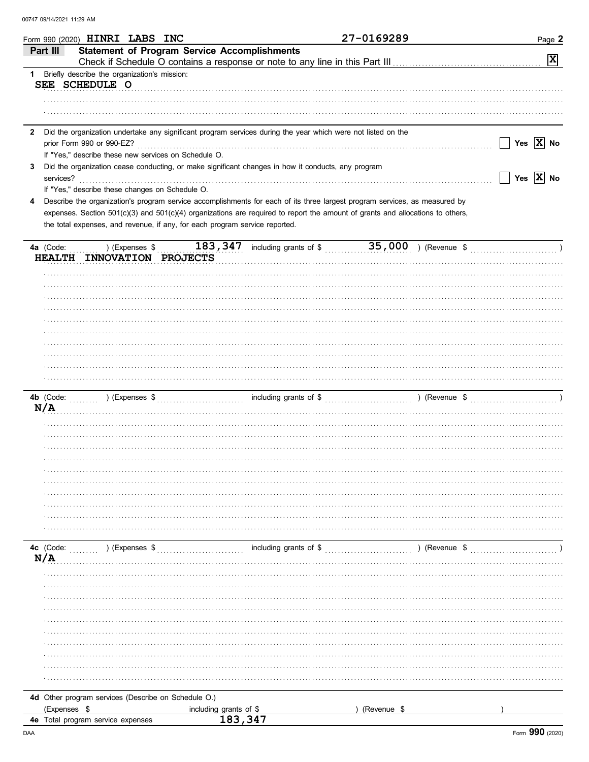|               | Form 990 (2020) HINRI LABS INC                                              |                                     |                                                                                                                                | 27-0169289  |               | Page 2                      |
|---------------|-----------------------------------------------------------------------------|-------------------------------------|--------------------------------------------------------------------------------------------------------------------------------|-------------|---------------|-----------------------------|
| Part III      | <b>Statement of Program Service Accomplishments</b>                         |                                     |                                                                                                                                |             |               |                             |
|               |                                                                             |                                     |                                                                                                                                |             |               | $\boxed{\mathbf{X}}$        |
|               | 1 Briefly describe the organization's mission:                              |                                     |                                                                                                                                |             |               |                             |
|               | SEE SCHEDULE O                                                              |                                     |                                                                                                                                |             |               |                             |
|               |                                                                             |                                     |                                                                                                                                |             |               |                             |
|               |                                                                             |                                     |                                                                                                                                |             |               |                             |
|               |                                                                             |                                     |                                                                                                                                |             |               |                             |
| $\mathbf{2}$  |                                                                             |                                     | Did the organization undertake any significant program services during the year which were not listed on the                   |             |               |                             |
|               | prior Form 990 or 990-EZ?                                                   |                                     |                                                                                                                                |             |               | Yes $\overline{X}$ No       |
|               | If "Yes," describe these new services on Schedule O.                        |                                     |                                                                                                                                |             |               |                             |
| 3             |                                                                             |                                     | Did the organization cease conducting, or make significant changes in how it conducts, any program                             |             |               |                             |
| services?     |                                                                             |                                     |                                                                                                                                |             |               | Yes $\boxed{\mathbf{X}}$ No |
| 4             | If "Yes," describe these changes on Schedule O.                             |                                     | Describe the organization's program service accomplishments for each of its three largest program services, as measured by     |             |               |                             |
|               |                                                                             |                                     | expenses. Section 501(c)(3) and 501(c)(4) organizations are required to report the amount of grants and allocations to others, |             |               |                             |
|               | the total expenses, and revenue, if any, for each program service reported. |                                     |                                                                                                                                |             |               |                             |
|               |                                                                             |                                     |                                                                                                                                |             |               |                             |
| 4a (Code:     | ) (Expenses \$                                                              |                                     |                                                                                                                                |             |               |                             |
| <b>HEALTH</b> | INNOVATION PROJECTS                                                         |                                     |                                                                                                                                |             |               |                             |
|               |                                                                             |                                     |                                                                                                                                |             |               |                             |
|               |                                                                             |                                     |                                                                                                                                |             |               |                             |
|               |                                                                             |                                     |                                                                                                                                |             |               |                             |
|               |                                                                             |                                     |                                                                                                                                |             |               |                             |
|               |                                                                             |                                     |                                                                                                                                |             |               |                             |
|               |                                                                             |                                     |                                                                                                                                |             |               |                             |
|               |                                                                             |                                     |                                                                                                                                |             |               |                             |
|               |                                                                             |                                     |                                                                                                                                |             |               |                             |
|               |                                                                             |                                     |                                                                                                                                |             |               |                             |
|               |                                                                             |                                     |                                                                                                                                |             |               |                             |
|               |                                                                             |                                     |                                                                                                                                |             |               |                             |
| 4b (Code:     |                                                                             |                                     |                                                                                                                                |             |               |                             |
| N/A           |                                                                             |                                     |                                                                                                                                |             |               |                             |
|               |                                                                             |                                     |                                                                                                                                |             |               |                             |
|               |                                                                             |                                     |                                                                                                                                |             |               |                             |
|               |                                                                             |                                     |                                                                                                                                |             |               |                             |
|               |                                                                             |                                     |                                                                                                                                |             |               |                             |
|               |                                                                             |                                     |                                                                                                                                |             |               |                             |
|               |                                                                             |                                     |                                                                                                                                |             |               |                             |
|               |                                                                             |                                     |                                                                                                                                |             |               |                             |
|               |                                                                             |                                     |                                                                                                                                |             |               |                             |
|               |                                                                             |                                     |                                                                                                                                |             |               |                             |
|               |                                                                             |                                     |                                                                                                                                |             |               |                             |
|               |                                                                             |                                     |                                                                                                                                |             |               |                             |
| 4c (Code:     | ) (Expenses \$                                                              |                                     | including grants of \$                                                                                                         |             | ) (Revenue \$ |                             |
| N/A           |                                                                             |                                     |                                                                                                                                |             |               |                             |
|               |                                                                             |                                     |                                                                                                                                |             |               |                             |
|               |                                                                             |                                     |                                                                                                                                |             |               |                             |
|               |                                                                             |                                     |                                                                                                                                |             |               |                             |
|               |                                                                             |                                     |                                                                                                                                |             |               |                             |
|               |                                                                             |                                     |                                                                                                                                |             |               |                             |
|               |                                                                             |                                     |                                                                                                                                |             |               |                             |
|               |                                                                             |                                     |                                                                                                                                |             |               |                             |
|               |                                                                             |                                     |                                                                                                                                |             |               |                             |
|               |                                                                             |                                     |                                                                                                                                |             |               |                             |
|               |                                                                             |                                     |                                                                                                                                |             |               |                             |
|               |                                                                             |                                     |                                                                                                                                |             |               |                             |
|               | 4d Other program services (Describe on Schedule O.)                         |                                     |                                                                                                                                |             |               |                             |
| (Expenses \$  |                                                                             |                                     |                                                                                                                                | (Revenue \$ |               |                             |
|               | 4e Total program service expenses                                           | including grants of $$$<br>183, 347 |                                                                                                                                |             |               |                             |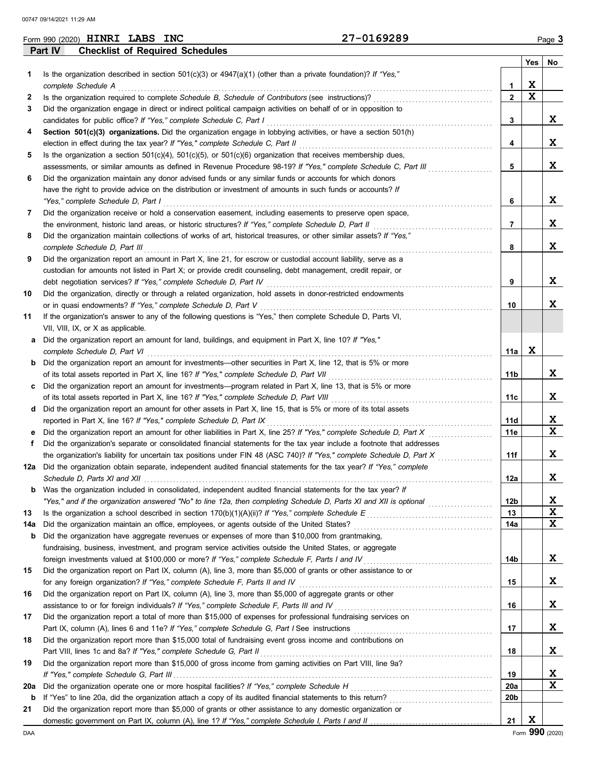|     | Part IV<br><b>Checklist of Required Schedules</b>                                                                             |     |             |             |
|-----|-------------------------------------------------------------------------------------------------------------------------------|-----|-------------|-------------|
|     |                                                                                                                               |     | Yes         | No          |
| 1   | Is the organization described in section 501(c)(3) or $4947(a)(1)$ (other than a private foundation)? If "Yes,"               |     |             |             |
|     | complete Schedule A<br>1                                                                                                      |     | X           |             |
| 2   | $\mathbf{2}$<br>Is the organization required to complete Schedule B, Schedule of Contributors (see instructions)?             |     | $\mathbf x$ |             |
| 3   | Did the organization engage in direct or indirect political campaign activities on behalf of or in opposition to              |     |             |             |
|     | candidates for public office? If "Yes," complete Schedule C, Part I<br>3                                                      |     |             | X.          |
| 4   | Section 501(c)(3) organizations. Did the organization engage in lobbying activities, or have a section 501(h)                 |     |             |             |
|     | election in effect during the tax year? If "Yes," complete Schedule C, Part II<br>4                                           |     |             | X           |
| 5   | Is the organization a section $501(c)(4)$ , $501(c)(5)$ , or $501(c)(6)$ organization that receives membership dues,          |     |             |             |
|     | 5<br>assessments, or similar amounts as defined in Revenue Procedure 98-19? If "Yes," complete Schedule C, Part III           |     |             | X           |
| 6   | Did the organization maintain any donor advised funds or any similar funds or accounts for which donors                       |     |             |             |
|     | have the right to provide advice on the distribution or investment of amounts in such funds or accounts? If                   |     |             |             |
|     | "Yes," complete Schedule D, Part I<br>6                                                                                       |     |             | x           |
| 7   | Did the organization receive or hold a conservation easement, including easements to preserve open space,                     |     |             |             |
|     | 7<br>the environment, historic land areas, or historic structures? If "Yes," complete Schedule D, Part II                     |     |             | x           |
| 8   | Did the organization maintain collections of works of art, historical treasures, or other similar assets? If "Yes,"           |     |             |             |
|     | complete Schedule D. Part III<br>8                                                                                            |     |             | X           |
| 9   | Did the organization report an amount in Part X, line 21, for escrow or custodial account liability, serve as a               |     |             |             |
|     | custodian for amounts not listed in Part X; or provide credit counseling, debt management, credit repair, or                  |     |             |             |
|     | 9<br>debt negotiation services? If "Yes," complete Schedule D, Part IV                                                        |     |             | x           |
| 10  | Did the organization, directly or through a related organization, hold assets in donor-restricted endowments                  |     |             |             |
|     | or in quasi endowments? If "Yes," complete Schedule D, Part V<br>10                                                           |     |             | X           |
| 11  | If the organization's answer to any of the following questions is "Yes," then complete Schedule D, Parts VI,                  |     |             |             |
|     | VII, VIII, IX, or X as applicable.                                                                                            |     |             |             |
| а   | Did the organization report an amount for land, buildings, and equipment in Part X, line 10? If "Yes,"                        |     |             |             |
|     | complete Schedule D, Part VI                                                                                                  | 11a | X           |             |
| b   | Did the organization report an amount for investments—other securities in Part X, line 12, that is 5% or more                 |     |             |             |
|     | of its total assets reported in Part X, line 16? If "Yes," complete Schedule D, Part VII<br>11b                               |     |             | X           |
| с   | Did the organization report an amount for investments—program related in Part X, line 13, that is 5% or more                  |     |             |             |
|     | of its total assets reported in Part X, line 16? If "Yes," complete Schedule D, Part VIII<br>11с                              |     |             | X           |
|     | Did the organization report an amount for other assets in Part X, line 15, that is 5% or more of its total assets             |     |             |             |
| d   | 11d                                                                                                                           |     |             | X           |
|     | reported in Part X, line 16? If "Yes," complete Schedule D, Part IX<br>11e                                                    |     |             | $\mathbf x$ |
| е   | Did the organization report an amount for other liabilities in Part X, line 25? If "Yes," complete Schedule D, Part X         |     |             |             |
| f   | Did the organization's separate or consolidated financial statements for the tax year include a footnote that addresses       |     |             | X           |
|     | the organization's liability for uncertain tax positions under FIN 48 (ASC 740)? If "Yes," complete Schedule D, Part X<br>11f |     |             |             |
| 12a | Did the organization obtain separate, independent audited financial statements for the tax year? If "Yes," complete           |     |             |             |
|     | 12a<br>Schedule D, Parts XI and XII [111]                                                                                     |     |             | X           |
| b   | Was the organization included in consolidated, independent audited financial statements for the tax year? If                  |     |             |             |
|     | 12b<br>"Yes," and if the organization answered "No" to line 12a, then completing Schedule D, Parts XI and XII is optional     |     |             | X           |
| 13  | 13<br>Is the organization a school described in section 170(b)(1)(A)(ii)? If "Yes," complete Schedule E                       |     |             | X<br>X      |
| 14a | Did the organization maintain an office, employees, or agents outside of the United States?<br>14a                            |     |             |             |
| b   | Did the organization have aggregate revenues or expenses of more than \$10,000 from grantmaking,                              |     |             |             |
|     | fundraising, business, investment, and program service activities outside the United States, or aggregate                     |     |             |             |
|     | foreign investments valued at \$100,000 or more? If "Yes," complete Schedule F, Parts I and IV<br>14b                         |     |             | X           |
| 15  | Did the organization report on Part IX, column (A), line 3, more than \$5,000 of grants or other assistance to or             |     |             |             |
|     | for any foreign organization? If "Yes," complete Schedule F, Parts II and IV<br>15                                            |     |             | X           |
| 16  | Did the organization report on Part IX, column (A), line 3, more than \$5,000 of aggregate grants or other                    |     |             |             |
|     | 16<br>assistance to or for foreign individuals? If "Yes," complete Schedule F, Parts III and IV                               |     |             | X.          |
| 17  | Did the organization report a total of more than \$15,000 of expenses for professional fundraising services on                |     |             |             |
|     | 17                                                                                                                            |     |             | X           |
| 18  | Did the organization report more than \$15,000 total of fundraising event gross income and contributions on                   |     |             |             |
|     | Part VIII, lines 1c and 8a? If "Yes," complete Schedule G, Part II<br>18                                                      |     |             | X           |
| 19  | Did the organization report more than \$15,000 of gross income from gaming activities on Part VIII, line 9a?                  |     |             |             |
|     | 19                                                                                                                            |     |             | X           |
| 20a | Did the organization operate one or more hospital facilities? If "Yes," complete Schedule H<br>20a                            |     |             | X           |
| b   | 20b                                                                                                                           |     |             |             |
| 21  | Did the organization report more than \$5,000 of grants or other assistance to any domestic organization or                   |     |             |             |
|     | 21                                                                                                                            |     | X           |             |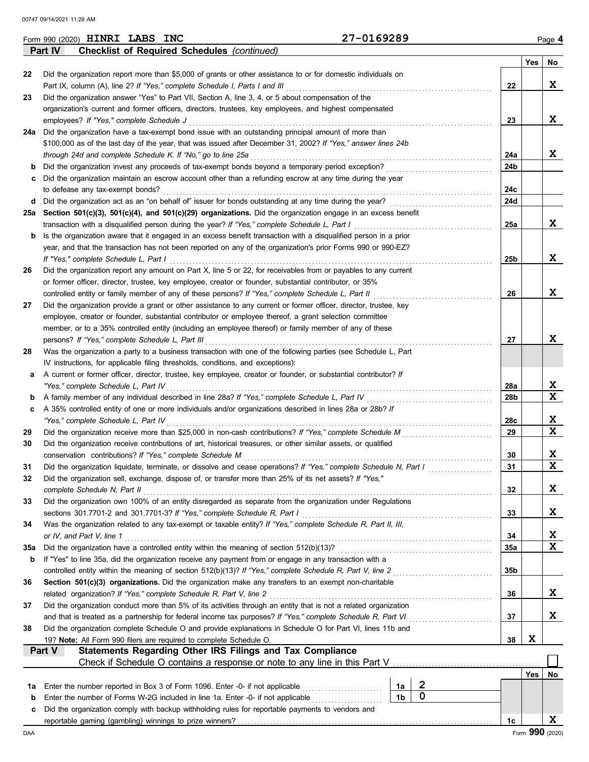|     | 27-0169289<br>Form 990 (2020) <b>HINRI LABS INC</b>                                                                                                                                                                        |                |                  |                 |                 | Page 4                  |
|-----|----------------------------------------------------------------------------------------------------------------------------------------------------------------------------------------------------------------------------|----------------|------------------|-----------------|-----------------|-------------------------|
|     | <b>Checklist of Required Schedules (continued)</b><br>Part IV                                                                                                                                                              |                |                  |                 |                 |                         |
|     |                                                                                                                                                                                                                            |                |                  |                 | Yes             | No                      |
| 22  | Did the organization report more than \$5,000 of grants or other assistance to or for domestic individuals on                                                                                                              |                |                  |                 |                 | X                       |
|     | Part IX, column (A), line 2? If "Yes," complete Schedule I, Parts I and III<br>Did the organization answer "Yes" to Part VII, Section A, line 3, 4, or 5 about compensation of the                                         |                |                  | 22              |                 |                         |
| 23  | organization's current and former officers, directors, trustees, key employees, and highest compensated                                                                                                                    |                |                  |                 |                 |                         |
|     | employees? If "Yes," complete Schedule J                                                                                                                                                                                   |                |                  | 23              |                 | X                       |
|     | 24a Did the organization have a tax-exempt bond issue with an outstanding principal amount of more than                                                                                                                    |                |                  |                 |                 |                         |
|     | \$100,000 as of the last day of the year, that was issued after December 31, 2002? If "Yes," answer lines 24b                                                                                                              |                |                  |                 |                 |                         |
|     | through 24d and complete Schedule K. If "No," go to line 25a                                                                                                                                                               |                |                  | 24a             |                 | X                       |
| b   | Did the organization invest any proceeds of tax-exempt bonds beyond a temporary period exception?                                                                                                                          |                |                  | 24b             |                 |                         |
| c.  | Did the organization maintain an escrow account other than a refunding escrow at any time during the year                                                                                                                  |                |                  |                 |                 |                         |
|     | to defease any tax-exempt bonds?                                                                                                                                                                                           |                |                  | 24c             |                 |                         |
|     | d Did the organization act as an "on behalf of" issuer for bonds outstanding at any time during the year?                                                                                                                  |                |                  | 24d             |                 |                         |
|     | 25a Section 501(c)(3), 501(c)(4), and 501(c)(29) organizations. Did the organization engage in an excess benefit                                                                                                           |                |                  |                 |                 |                         |
|     | transaction with a disqualified person during the year? If "Yes," complete Schedule L, Part I                                                                                                                              |                |                  | 25a             |                 | X                       |
| b   | Is the organization aware that it engaged in an excess benefit transaction with a disqualified person in a prior                                                                                                           |                |                  |                 |                 |                         |
|     | year, and that the transaction has not been reported on any of the organization's prior Forms 990 or 990-EZ?                                                                                                               |                |                  |                 |                 |                         |
|     | If "Yes," complete Schedule L, Part I                                                                                                                                                                                      |                |                  | 25 <sub>b</sub> |                 | X                       |
| 26  | Did the organization report any amount on Part X, line 5 or 22, for receivables from or payables to any current                                                                                                            |                |                  |                 |                 |                         |
|     | or former officer, director, trustee, key employee, creator or founder, substantial contributor, or 35%                                                                                                                    |                |                  |                 |                 |                         |
|     | controlled entity or family member of any of these persons? If "Yes," complete Schedule L, Part II                                                                                                                         |                |                  | 26              |                 | X                       |
| 27  | Did the organization provide a grant or other assistance to any current or former officer, director, trustee, key                                                                                                          |                |                  |                 |                 |                         |
|     | employee, creator or founder, substantial contributor or employee thereof, a grant selection committee                                                                                                                     |                |                  |                 |                 |                         |
|     | member, or to a 35% controlled entity (including an employee thereof) or family member of any of these                                                                                                                     |                |                  | 27              |                 | X                       |
| 28  | persons? If "Yes," complete Schedule L, Part III<br>Was the organization a party to a business transaction with one of the following parties (see Schedule L, Part                                                         |                |                  |                 |                 |                         |
|     | IV instructions, for applicable filing thresholds, conditions, and exceptions):                                                                                                                                            |                |                  |                 |                 |                         |
| а   | A current or former officer, director, trustee, key employee, creator or founder, or substantial contributor? If                                                                                                           |                |                  |                 |                 |                         |
|     | "Yes," complete Schedule L, Part IV                                                                                                                                                                                        |                |                  | 28a             |                 | X                       |
| b   | A family member of any individual described in line 28a? If "Yes," complete Schedule L, Part IV                                                                                                                            |                |                  | 28b             |                 | X                       |
| c   | A 35% controlled entity of one or more individuals and/or organizations described in lines 28a or 28b? If                                                                                                                  |                |                  |                 |                 |                         |
|     | "Yes," complete Schedule L, Part IV                                                                                                                                                                                        |                |                  | 28c             |                 | X                       |
| 29  | Did the organization receive more than \$25,000 in non-cash contributions? If "Yes," complete Schedule M                                                                                                                   |                |                  | 29              |                 | X                       |
| 30  | Did the organization receive contributions of art, historical treasures, or other similar assets, or qualified                                                                                                             |                |                  |                 |                 |                         |
|     | conservation contributions? If "Yes," complete Schedule M                                                                                                                                                                  |                |                  | 30              |                 | X                       |
| 31  | Did the organization liquidate, terminate, or dissolve and cease operations? If "Yes," complete Schedule N, Part I                                                                                                         |                |                  | 31              |                 | $\overline{\mathbf{x}}$ |
| 32  | Did the organization sell, exchange, dispose of, or transfer more than 25% of its net assets? If "Yes,"                                                                                                                    |                |                  |                 |                 |                         |
|     | complete Schedule N, Part II                                                                                                                                                                                               |                |                  | 32              |                 | X                       |
| 33  | Did the organization own 100% of an entity disregarded as separate from the organization under Regulations                                                                                                                 |                |                  |                 |                 |                         |
|     | sections 301.7701-2 and 301.7701-3? If "Yes," complete Schedule R, Part I                                                                                                                                                  |                |                  | 33              |                 | X                       |
| 34  | Was the organization related to any tax-exempt or taxable entity? If "Yes," complete Schedule R, Part II, III,                                                                                                             |                |                  |                 |                 |                         |
|     | or IV, and Part V, line 1                                                                                                                                                                                                  |                |                  | 34              |                 | X                       |
| 35a | Did the organization have a controlled entity within the meaning of section 512(b)(13)?                                                                                                                                    |                |                  | 35a             |                 | X                       |
| b   | If "Yes" to line 35a, did the organization receive any payment from or engage in any transaction with a                                                                                                                    |                |                  |                 |                 |                         |
|     | controlled entity within the meaning of section 512(b)(13)? If "Yes," complete Schedule R, Part V, line 2                                                                                                                  |                |                  | 35b             |                 |                         |
| 36  | Section 501(c)(3) organizations. Did the organization make any transfers to an exempt non-charitable                                                                                                                       |                |                  |                 |                 |                         |
|     | related organization? If "Yes," complete Schedule R, Part V, line 2                                                                                                                                                        |                |                  | 36              |                 | X                       |
| 37  | Did the organization conduct more than 5% of its activities through an entity that is not a related organization                                                                                                           |                |                  |                 |                 | X                       |
|     | and that is treated as a partnership for federal income tax purposes? If "Yes," complete Schedule R, Part VI<br>Did the organization complete Schedule O and provide explanations in Schedule O for Part VI, lines 11b and |                |                  | 37              |                 |                         |
| 38  | 19? Note: All Form 990 filers are required to complete Schedule O.                                                                                                                                                         |                |                  | 38              | X               |                         |
|     | Statements Regarding Other IRS Filings and Tax Compliance<br>Part V                                                                                                                                                        |                |                  |                 |                 |                         |
|     | Check if Schedule O contains a response or note to any line in this Part V                                                                                                                                                 |                |                  |                 |                 |                         |
|     |                                                                                                                                                                                                                            |                |                  |                 | Yes             | No                      |
| 1a  | Enter the number reported in Box 3 of Form 1096. Enter -0- if not applicable                                                                                                                                               | 1a             | $\boldsymbol{2}$ |                 |                 |                         |
| b   | Enter the number of Forms W-2G included in line 1a. Enter -0- if not applicable                                                                                                                                            | 1 <sub>b</sub> | $\mathbf 0$      |                 |                 |                         |
| c   | Did the organization comply with backup withholding rules for reportable payments to vendors and                                                                                                                           |                |                  |                 |                 |                         |
|     |                                                                                                                                                                                                                            |                |                  | 1c              |                 | X                       |
| DAA |                                                                                                                                                                                                                            |                |                  |                 | Form 990 (2020) |                         |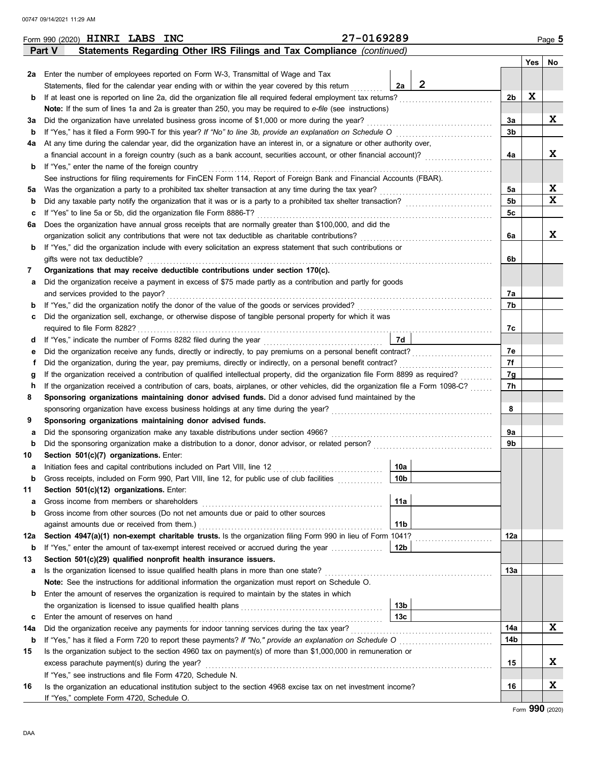|        | 27-0169289<br>Form 990 (2020) HINRI LABS INC                                                                                                                                                                                                                           |                      |          |             | Page 5   |  |  |  |  |  |  |  |
|--------|------------------------------------------------------------------------------------------------------------------------------------------------------------------------------------------------------------------------------------------------------------------------|----------------------|----------|-------------|----------|--|--|--|--|--|--|--|
|        | Statements Regarding Other IRS Filings and Tax Compliance (continued)<br>Part V                                                                                                                                                                                        |                      |          |             |          |  |  |  |  |  |  |  |
|        |                                                                                                                                                                                                                                                                        |                      |          |             | Yes   No |  |  |  |  |  |  |  |
|        | 2a Enter the number of employees reported on Form W-3, Transmittal of Wage and Tax                                                                                                                                                                                     |                      |          |             |          |  |  |  |  |  |  |  |
|        | Statements, filed for the calendar year ending with or within the year covered by this return                                                                                                                                                                          | $\overline{2}$<br>2a |          |             |          |  |  |  |  |  |  |  |
| b      | If at least one is reported on line 2a, did the organization file all required federal employment tax returns?                                                                                                                                                         |                      | 2b       | $\mathbf x$ |          |  |  |  |  |  |  |  |
|        | Note: If the sum of lines 1a and 2a is greater than 250, you may be required to e-file (see instructions)                                                                                                                                                              |                      |          |             |          |  |  |  |  |  |  |  |
| За     | Did the organization have unrelated business gross income of \$1,000 or more during the year?                                                                                                                                                                          |                      | За       |             | X        |  |  |  |  |  |  |  |
| b      | If "Yes," has it filed a Form 990-T for this year? If "No" to line 3b, provide an explanation on Schedule O                                                                                                                                                            |                      | 3b       |             |          |  |  |  |  |  |  |  |
| 4a     | At any time during the calendar year, did the organization have an interest in, or a signature or other authority over,                                                                                                                                                |                      |          |             |          |  |  |  |  |  |  |  |
|        | a financial account in a foreign country (such as a bank account, securities account, or other financial account)?                                                                                                                                                     |                      | 4a       |             | X        |  |  |  |  |  |  |  |
| b      | If "Yes," enter the name of the foreign country                                                                                                                                                                                                                        |                      |          |             |          |  |  |  |  |  |  |  |
|        | See instructions for filing requirements for FinCEN Form 114, Report of Foreign Bank and Financial Accounts (FBAR).                                                                                                                                                    |                      |          |             |          |  |  |  |  |  |  |  |
| 5а     | Was the organization a party to a prohibited tax shelter transaction at any time during the tax year?                                                                                                                                                                  |                      | 5a<br>5b |             | X<br>X   |  |  |  |  |  |  |  |
| b      | Did any taxable party notify the organization that it was or is a party to a prohibited tax shelter transaction?                                                                                                                                                       |                      |          |             |          |  |  |  |  |  |  |  |
| c      | If "Yes" to line 5a or 5b, did the organization file Form 8886-T?                                                                                                                                                                                                      |                      |          |             |          |  |  |  |  |  |  |  |
| 6a     | Does the organization have annual gross receipts that are normally greater than \$100,000, and did the                                                                                                                                                                 |                      |          |             |          |  |  |  |  |  |  |  |
|        | organization solicit any contributions that were not tax deductible as charitable contributions?                                                                                                                                                                       |                      | 6a       |             | X        |  |  |  |  |  |  |  |
| b      | If "Yes," did the organization include with every solicitation an express statement that such contributions or                                                                                                                                                         |                      |          |             |          |  |  |  |  |  |  |  |
|        | gifts were not tax deductible?                                                                                                                                                                                                                                         |                      | 6b       |             |          |  |  |  |  |  |  |  |
| 7      | Organizations that may receive deductible contributions under section 170(c).                                                                                                                                                                                          |                      |          |             |          |  |  |  |  |  |  |  |
| а      | Did the organization receive a payment in excess of \$75 made partly as a contribution and partly for goods                                                                                                                                                            |                      |          |             |          |  |  |  |  |  |  |  |
|        | and services provided to the payor?                                                                                                                                                                                                                                    |                      | 7а       |             |          |  |  |  |  |  |  |  |
| b      |                                                                                                                                                                                                                                                                        |                      | 7b       |             |          |  |  |  |  |  |  |  |
| с      | Did the organization sell, exchange, or otherwise dispose of tangible personal property for which it was                                                                                                                                                               |                      |          |             |          |  |  |  |  |  |  |  |
|        | required to file Form 8282?                                                                                                                                                                                                                                            |                      | 7с       |             |          |  |  |  |  |  |  |  |
| d      |                                                                                                                                                                                                                                                                        | 7d                   |          |             |          |  |  |  |  |  |  |  |
| е      | Did the organization receive any funds, directly or indirectly, to pay premiums on a personal benefit contract?                                                                                                                                                        |                      | 7e<br>7f |             |          |  |  |  |  |  |  |  |
| f      | Did the organization, during the year, pay premiums, directly or indirectly, on a personal benefit contract?                                                                                                                                                           |                      |          |             |          |  |  |  |  |  |  |  |
| g      | If the organization received a contribution of qualified intellectual property, did the organization file Form 8899 as required?<br>If the organization received a contribution of cars, boats, airplanes, or other vehicles, did the organization file a Form 1098-C? |                      | 7g<br>7h |             |          |  |  |  |  |  |  |  |
| h<br>8 | Sponsoring organizations maintaining donor advised funds. Did a donor advised fund maintained by the                                                                                                                                                                   |                      |          |             |          |  |  |  |  |  |  |  |
|        | sponsoring organization have excess business holdings at any time during the year?                                                                                                                                                                                     |                      | 8        |             |          |  |  |  |  |  |  |  |
| 9      | Sponsoring organizations maintaining donor advised funds.                                                                                                                                                                                                              |                      |          |             |          |  |  |  |  |  |  |  |
| а      | Did the sponsoring organization make any taxable distributions under section 4966?                                                                                                                                                                                     |                      | 9а       |             |          |  |  |  |  |  |  |  |
| b      | Did the sponsoring organization make a distribution to a donor, donor advisor, or related person?                                                                                                                                                                      |                      | 9b       |             |          |  |  |  |  |  |  |  |
| 10     | Section 501(c)(7) organizations. Enter:                                                                                                                                                                                                                                |                      |          |             |          |  |  |  |  |  |  |  |
|        |                                                                                                                                                                                                                                                                        | 10a                  |          |             |          |  |  |  |  |  |  |  |
| b      | Gross receipts, included on Form 990, Part VIII, line 12, for public use of club facilities                                                                                                                                                                            | 10 <sub>b</sub>      |          |             |          |  |  |  |  |  |  |  |
| 11     | Section 501(c)(12) organizations. Enter:                                                                                                                                                                                                                               |                      |          |             |          |  |  |  |  |  |  |  |
| а      | Gross income from members or shareholders                                                                                                                                                                                                                              | 11a                  |          |             |          |  |  |  |  |  |  |  |
| b      | Gross income from other sources (Do not net amounts due or paid to other sources                                                                                                                                                                                       |                      |          |             |          |  |  |  |  |  |  |  |
|        | against amounts due or received from them.)                                                                                                                                                                                                                            | 11 <sub>b</sub>      |          |             |          |  |  |  |  |  |  |  |
| 12a    | Section 4947(a)(1) non-exempt charitable trusts. Is the organization filing Form 990 in lieu of Form 1041?                                                                                                                                                             |                      | 12a      |             |          |  |  |  |  |  |  |  |
| b      | If "Yes," enter the amount of tax-exempt interest received or accrued during the year                                                                                                                                                                                  | 12b                  |          |             |          |  |  |  |  |  |  |  |
| 13     | Section 501(c)(29) qualified nonprofit health insurance issuers.                                                                                                                                                                                                       |                      |          |             |          |  |  |  |  |  |  |  |
| а      | Is the organization licensed to issue qualified health plans in more than one state?                                                                                                                                                                                   |                      | 13а      |             |          |  |  |  |  |  |  |  |
|        | <b>Note:</b> See the instructions for additional information the organization must report on Schedule O.                                                                                                                                                               |                      |          |             |          |  |  |  |  |  |  |  |
| b      | Enter the amount of reserves the organization is required to maintain by the states in which                                                                                                                                                                           |                      |          |             |          |  |  |  |  |  |  |  |
|        |                                                                                                                                                                                                                                                                        | 13b                  |          |             |          |  |  |  |  |  |  |  |
| c      | Enter the amount of reserves on hand                                                                                                                                                                                                                                   | 13 <sub>c</sub>      |          |             |          |  |  |  |  |  |  |  |
| 14a    | Did the organization receive any payments for indoor tanning services during the tax year?                                                                                                                                                                             |                      | 14a      |             | X        |  |  |  |  |  |  |  |
| b      | If "Yes," has it filed a Form 720 to report these payments? If "No," provide an explanation on Schedule O                                                                                                                                                              |                      | 14b      |             |          |  |  |  |  |  |  |  |
| 15     | Is the organization subject to the section 4960 tax on payment(s) of more than \$1,000,000 in remuneration or                                                                                                                                                          |                      |          |             |          |  |  |  |  |  |  |  |
|        | excess parachute payment(s) during the year?                                                                                                                                                                                                                           |                      | 15       |             | X        |  |  |  |  |  |  |  |
|        | If "Yes," see instructions and file Form 4720, Schedule N.                                                                                                                                                                                                             |                      |          |             |          |  |  |  |  |  |  |  |
| 16     | Is the organization an educational institution subject to the section 4968 excise tax on net investment income?                                                                                                                                                        |                      | 16       |             | X        |  |  |  |  |  |  |  |
|        | If "Yes," complete Form 4720, Schedule O.                                                                                                                                                                                                                              |                      |          |             |          |  |  |  |  |  |  |  |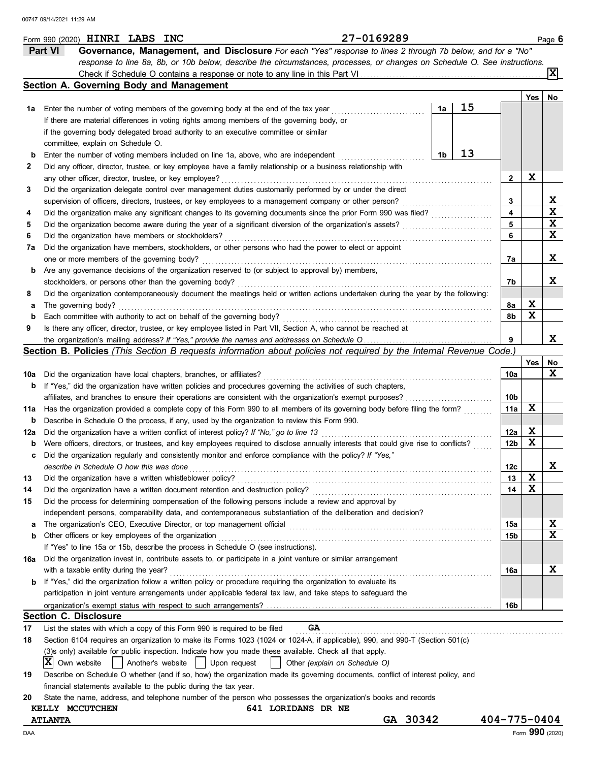|      | 27-0169289<br>Form 990 (2020) HINRI LABS INC                                                                                        |                    |     | Page 6 |
|------|-------------------------------------------------------------------------------------------------------------------------------------|--------------------|-----|--------|
|      | <b>Part VI</b><br>Governance, Management, and Disclosure For each "Yes" response to lines 2 through 7b below, and for a "No"        |                    |     |        |
|      | response to line 8a, 8b, or 10b below, describe the circumstances, processes, or changes on Schedule O. See instructions.           |                    |     |        |
|      |                                                                                                                                     |                    |     | lxl    |
|      | Section A. Governing Body and Management                                                                                            |                    |     |        |
|      |                                                                                                                                     |                    | Yes | No     |
| 1a l | 15<br>1a<br>Enter the number of voting members of the governing body at the end of the tax year                                     |                    |     |        |
|      | If there are material differences in voting rights among members of the governing body, or                                          |                    |     |        |
|      | if the governing body delegated broad authority to an executive committee or similar                                                |                    |     |        |
|      | committee, explain on Schedule O.                                                                                                   |                    |     |        |
| b    | 13<br>1b<br>Enter the number of voting members included on line 1a, above, who are independent                                      |                    |     |        |
| 2    | Did any officer, director, trustee, or key employee have a family relationship or a business relationship with                      |                    |     |        |
|      | any other officer, director, trustee, or key employee?                                                                              | $\mathbf{2}$       | X   |        |
| 3    | Did the organization delegate control over management duties customarily performed by or under the direct                           |                    |     |        |
|      | supervision of officers, directors, trustees, or key employees to a management company or other person?                             | 3                  |     | X      |
| 4    | Did the organization make any significant changes to its governing documents since the prior Form 990 was filed?                    | 4                  |     | X      |
| 5    | Did the organization become aware during the year of a significant diversion of the organization's assets?                          | 5                  |     | X      |
| 6    | Did the organization have members or stockholders?                                                                                  | 6                  |     | X      |
|      |                                                                                                                                     |                    |     |        |
| 7a   | Did the organization have members, stockholders, or other persons who had the power to elect or appoint                             |                    |     | X      |
|      | one or more members of the governing body?                                                                                          | 7a                 |     |        |
| b    | Are any governance decisions of the organization reserved to (or subject to approval by) members,                                   |                    |     |        |
|      | stockholders, or persons other than the governing body?                                                                             | 7b                 |     | x      |
| 8    | Did the organization contemporaneously document the meetings held or written actions undertaken during the year by the following:   |                    |     |        |
| а    | The governing body?                                                                                                                 | 8а                 | X   |        |
| b    | Each committee with authority to act on behalf of the governing body?                                                               | 8b                 | X   |        |
| 9    | Is there any officer, director, trustee, or key employee listed in Part VII, Section A, who cannot be reached at                    |                    |     |        |
|      |                                                                                                                                     | 9                  |     | X      |
|      | Section B. Policies (This Section B requests information about policies not required by the Internal Revenue Code.)                 |                    |     |        |
|      |                                                                                                                                     |                    | Yes | No     |
| 10a  | Did the organization have local chapters, branches, or affiliates?                                                                  | 10a                |     | X      |
| b    | If "Yes," did the organization have written policies and procedures governing the activities of such chapters,                      |                    |     |        |
|      | affiliates, and branches to ensure their operations are consistent with the organization's exempt purposes?                         | 10b                |     |        |
| 11a  | Has the organization provided a complete copy of this Form 990 to all members of its governing body before filing the form?         | 11a                | X   |        |
| b    | Describe in Schedule O the process, if any, used by the organization to review this Form 990.                                       |                    |     |        |
| 12a  | Did the organization have a written conflict of interest policy? If "No," go to line 13                                             | 12a                | X   |        |
| b    | Were officers, directors, or trustees, and key employees required to disclose annually interests that could give rise to conflicts? | 12 <sub>b</sub>    | X   |        |
| c    | Did the organization regularly and consistently monitor and enforce compliance with the policy? If "Yes,"                           |                    |     |        |
|      | describe in Schedule O how this was done                                                                                            | 12 <sub>c</sub>    |     | ▵      |
| 13   | Did the organization have a written whistleblower policy?                                                                           | 13                 | X   |        |
| 14   | Did the organization have a written document retention and destruction policy?                                                      | 14                 | X   |        |
| 15   | Did the process for determining compensation of the following persons include a review and approval by                              |                    |     |        |
|      | independent persons, comparability data, and contemporaneous substantiation of the deliberation and decision?                       |                    |     |        |
| а    | The organization's CEO, Executive Director, or top management official                                                              | 15a                |     | X      |
| b    | Other officers or key employees of the organization                                                                                 | 15 <sub>b</sub>    |     | X      |
|      | If "Yes" to line 15a or 15b, describe the process in Schedule O (see instructions).                                                 |                    |     |        |
| 16a  | Did the organization invest in, contribute assets to, or participate in a joint venture or similar arrangement                      |                    |     |        |
|      | with a taxable entity during the year?                                                                                              | 16a                |     | X      |
| b    | If "Yes," did the organization follow a written policy or procedure requiring the organization to evaluate its                      |                    |     |        |
|      | participation in joint venture arrangements under applicable federal tax law, and take steps to safeguard the                       |                    |     |        |
|      |                                                                                                                                     | 16b                |     |        |
|      | <b>Section C. Disclosure</b>                                                                                                        |                    |     |        |
| 17   | List the states with which a copy of this Form 990 is required to be filed<br>GA                                                    |                    |     |        |
| 18   | Section 6104 requires an organization to make its Forms 1023 (1024 or 1024-A, if applicable), 990, and 990-T (Section 501(c)        |                    |     |        |
|      | (3)s only) available for public inspection. Indicate how you made these available. Check all that apply.                            |                    |     |        |
|      | ΙXΙ<br>Another's website<br>Own website<br>Upon request<br>Other (explain on Schedule O)                                            |                    |     |        |
| 19   | Describe on Schedule O whether (and if so, how) the organization made its governing documents, conflict of interest policy, and     |                    |     |        |
|      | financial statements available to the public during the tax year.                                                                   |                    |     |        |
| 20   | State the name, address, and telephone number of the person who possesses the organization's books and records                      |                    |     |        |
|      | 641 LORIDANS DR NE<br>KELLY MCCUTCHEN                                                                                               |                    |     |        |
|      | GA 30342<br><b>ATLANTA</b>                                                                                                          | $404 - 775 - 0404$ |     |        |
|      |                                                                                                                                     |                    |     |        |

DAA Form **990** (2020)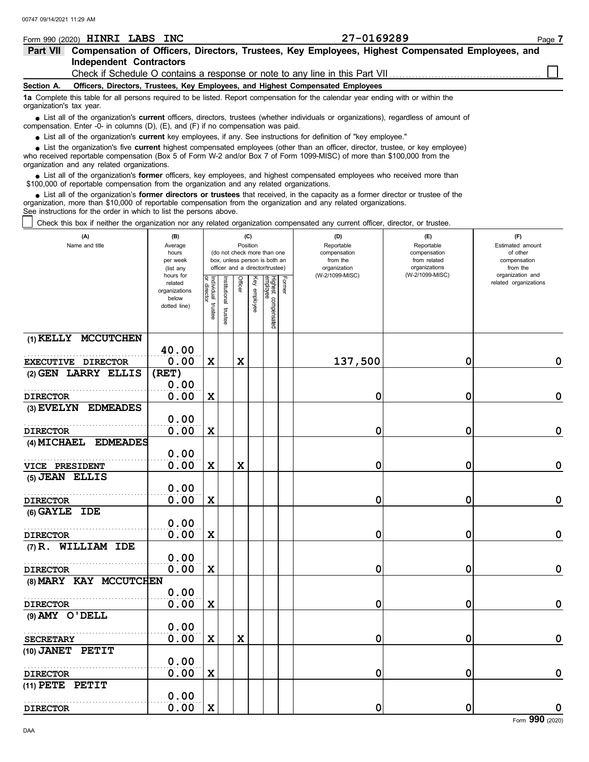| 00747 09/14/2021 11:29 AM                                                                                                                                                                                                                                                                                                     |                                                                             |                            |                                                              |         |          |                                 |        |                                                                                 |                              |                                           |  |  |
|-------------------------------------------------------------------------------------------------------------------------------------------------------------------------------------------------------------------------------------------------------------------------------------------------------------------------------|-----------------------------------------------------------------------------|----------------------------|--------------------------------------------------------------|---------|----------|---------------------------------|--------|---------------------------------------------------------------------------------|------------------------------|-------------------------------------------|--|--|
| Form 990 (2020) <b>HINRI LABS INC</b>                                                                                                                                                                                                                                                                                         |                                                                             |                            |                                                              |         |          |                                 |        | 27-0169289                                                                      |                              | Page 7                                    |  |  |
| Part VII Compensation of Officers, Directors, Trustees, Key Employees, Highest Compensated Employees, and                                                                                                                                                                                                                     |                                                                             |                            |                                                              |         |          |                                 |        |                                                                                 |                              |                                           |  |  |
| <b>Independent Contractors</b>                                                                                                                                                                                                                                                                                                |                                                                             |                            |                                                              |         |          |                                 |        |                                                                                 |                              |                                           |  |  |
|                                                                                                                                                                                                                                                                                                                               |                                                                             |                            |                                                              |         |          |                                 |        | Check if Schedule O contains a response or note to any line in this Part VII    |                              |                                           |  |  |
| Section A.                                                                                                                                                                                                                                                                                                                    |                                                                             |                            |                                                              |         |          |                                 |        | Officers, Directors, Trustees, Key Employees, and Highest Compensated Employees |                              |                                           |  |  |
| 1a Complete this table for all persons required to be listed. Report compensation for the calendar year ending with or within the<br>organization's tax year.                                                                                                                                                                 |                                                                             |                            |                                                              |         |          |                                 |        |                                                                                 |                              |                                           |  |  |
| List all of the organization's current officers, directors, trustees (whether individuals or organizations), regardless of amount of<br>compensation. Enter -0- in columns (D), (E), and (F) if no compensation was paid.                                                                                                     |                                                                             |                            |                                                              |         |          |                                 |        |                                                                                 |                              |                                           |  |  |
| • List all of the organization's current key employees, if any. See instructions for definition of "key employee."                                                                                                                                                                                                            |                                                                             |                            |                                                              |         |          |                                 |        |                                                                                 |                              |                                           |  |  |
| List the organization's five current highest compensated employees (other than an officer, director, trustee, or key employee)<br>who received reportable compensation (Box 5 of Form W-2 and/or Box 7 of Form 1099-MISC) of more than \$100,000 from the<br>organization and any related organizations.                      |                                                                             |                            |                                                              |         |          |                                 |        |                                                                                 |                              |                                           |  |  |
| • List all of the organization's former officers, key employees, and highest compensated employees who received more than<br>\$100,000 of reportable compensation from the organization and any related organizations.                                                                                                        |                                                                             |                            |                                                              |         |          |                                 |        |                                                                                 |                              |                                           |  |  |
| • List all of the organization's former directors or trustees that received, in the capacity as a former director or trustee of the<br>organization, more than \$10,000 of reportable compensation from the organization and any related organizations.<br>See instructions for the order in which to list the persons above. |                                                                             |                            |                                                              |         |          |                                 |        |                                                                                 |                              |                                           |  |  |
| Check this box if neither the organization nor any related organization compensated any current officer, director, or trustee.                                                                                                                                                                                                |                                                                             |                            |                                                              |         |          |                                 |        |                                                                                 |                              |                                           |  |  |
| (A)<br>Name and title                                                                                                                                                                                                                                                                                                         | (C)<br>(D)<br>(E)<br>(B)<br>Position<br>Reportable<br>Reportable<br>Average |                            |                                                              |         |          |                                 |        |                                                                                 |                              | (F)<br>Estimated amount                   |  |  |
|                                                                                                                                                                                                                                                                                                                               | hours<br>per week                                                           |                            | (do not check more than one<br>box, unless person is both an |         |          |                                 |        | compensation<br>from the                                                        | compensation<br>from related | of other<br>compensation                  |  |  |
|                                                                                                                                                                                                                                                                                                                               | (list any                                                                   |                            | officer and a director/trustee)                              |         |          |                                 |        | organization                                                                    | organizations                | from the                                  |  |  |
|                                                                                                                                                                                                                                                                                                                               | hours for<br>related                                                        |                            |                                                              | Officer | Key      |                                 | Former | (W-2/1099-MISC)                                                                 | (W-2/1099-MISC)              | organization and<br>related organizations |  |  |
|                                                                                                                                                                                                                                                                                                                               | organizations                                                               | Individual<br>으.<br>rector | <b>Istutional</b>                                            |         |          |                                 |        |                                                                                 |                              |                                           |  |  |
|                                                                                                                                                                                                                                                                                                                               | below<br>dotted line)                                                       |                            |                                                              |         | employee |                                 |        |                                                                                 |                              |                                           |  |  |
|                                                                                                                                                                                                                                                                                                                               |                                                                             | trustee                    | trustee                                                      |         |          | Highest compensated<br>employee |        |                                                                                 |                              |                                           |  |  |
|                                                                                                                                                                                                                                                                                                                               |                                                                             |                            |                                                              |         |          |                                 |        |                                                                                 |                              |                                           |  |  |
| (1) KELLY MCCUTCHEN                                                                                                                                                                                                                                                                                                           | 40.00                                                                       |                            |                                                              |         |          |                                 |        |                                                                                 |                              |                                           |  |  |
| EXECUTIVE DIRECTOR                                                                                                                                                                                                                                                                                                            | 0.00                                                                        | X                          |                                                              | X       |          |                                 |        | 137,500                                                                         | 0                            | 0                                         |  |  |
| (2) GEN LARRY ELLIS                                                                                                                                                                                                                                                                                                           | (RET)                                                                       |                            |                                                              |         |          |                                 |        |                                                                                 |                              |                                           |  |  |
|                                                                                                                                                                                                                                                                                                                               | 0.00                                                                        |                            |                                                              |         |          |                                 |        |                                                                                 |                              |                                           |  |  |
| <b>DIRECTOR</b>                                                                                                                                                                                                                                                                                                               | 0.00                                                                        | X                          |                                                              |         |          |                                 |        | 0                                                                               | 0                            | 0                                         |  |  |
| (3) EVELYN EDMEADES                                                                                                                                                                                                                                                                                                           |                                                                             |                            |                                                              |         |          |                                 |        |                                                                                 |                              |                                           |  |  |
|                                                                                                                                                                                                                                                                                                                               | 0.00                                                                        |                            |                                                              |         |          |                                 |        |                                                                                 |                              |                                           |  |  |
| <b>DIRECTOR</b>                                                                                                                                                                                                                                                                                                               | 0.00                                                                        | X                          |                                                              |         |          |                                 |        | 0                                                                               | 0                            | 0                                         |  |  |
| <b>(4) MICHAEL</b><br><b>EDMEADES</b>                                                                                                                                                                                                                                                                                         |                                                                             |                            |                                                              |         |          |                                 |        |                                                                                 |                              |                                           |  |  |
|                                                                                                                                                                                                                                                                                                                               | 0.00                                                                        |                            |                                                              |         |          |                                 |        |                                                                                 |                              |                                           |  |  |
| <b>VICE PRESIDENT</b>                                                                                                                                                                                                                                                                                                         | 0.00                                                                        | X                          |                                                              | X       |          |                                 |        | 0                                                                               | 0                            | 0                                         |  |  |
| (5) JEAN ELLIS                                                                                                                                                                                                                                                                                                                |                                                                             |                            |                                                              |         |          |                                 |        |                                                                                 |                              |                                           |  |  |
|                                                                                                                                                                                                                                                                                                                               | 0.00                                                                        |                            |                                                              |         |          |                                 |        |                                                                                 |                              |                                           |  |  |
| <b>DIRECTOR</b>                                                                                                                                                                                                                                                                                                               | 0.00                                                                        | X                          |                                                              |         |          |                                 |        | 0                                                                               | 0                            | 0                                         |  |  |
| (6) GAYLE IDE                                                                                                                                                                                                                                                                                                                 | $\sim$ $\sim$                                                               |                            |                                                              |         |          |                                 |        |                                                                                 |                              |                                           |  |  |

|                        | 0.00 |   |   |   |   |   |
|------------------------|------|---|---|---|---|---|
| <b>DIRECTOR</b>        | 0.00 | X |   | 0 | 0 | 0 |
| (7) R. WILLIAM IDE     |      |   |   |   |   |   |
|                        | 0.00 |   |   |   |   |   |
| <b>DIRECTOR</b>        | 0.00 | X |   | 0 | 0 | 0 |
| (8) MARY KAY MCCUTCHEN |      |   |   |   |   |   |
|                        | 0.00 |   |   |   |   |   |
| <b>DIRECTOR</b>        | 0.00 | X |   | 0 | 0 | 0 |
| $(9)$ AMY O'DELL       |      |   |   |   |   |   |
|                        | 0.00 |   |   |   |   |   |
| <b>SECRETARY</b>       | 0.00 | x | X | 0 | 0 | 0 |
| (10) JANET PETIT       |      |   |   |   |   |   |
|                        | 0.00 |   |   |   |   |   |
| <b>DIRECTOR</b>        | 0.00 | X |   | 0 | 0 | 0 |
| (11) PETE PETIT        |      |   |   |   |   |   |
|                        | 0.00 |   |   |   |   |   |
| <b>DIRECTOR</b>        | 0.00 | X |   | 0 | 0 | 0 |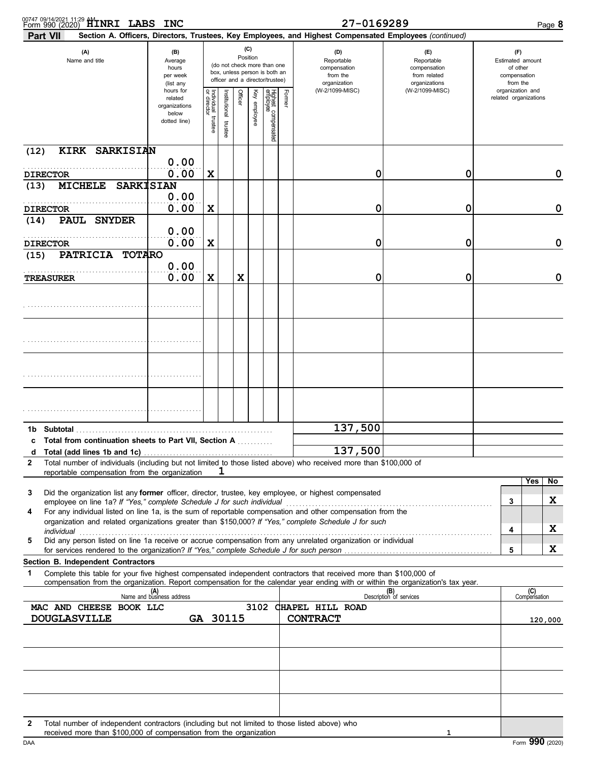| 00747 09/14/2021 11:29 <b>ALINRI LABS INC</b>                                                                                                                                                                                                               |                                                                                                                                                                        |                       |                         |         |              |                                 |        | 27-0169289                                                                                             |                                                                    | Page 8                                                          |
|-------------------------------------------------------------------------------------------------------------------------------------------------------------------------------------------------------------------------------------------------------------|------------------------------------------------------------------------------------------------------------------------------------------------------------------------|-----------------------|-------------------------|---------|--------------|---------------------------------|--------|--------------------------------------------------------------------------------------------------------|--------------------------------------------------------------------|-----------------------------------------------------------------|
| <b>Part VII</b>                                                                                                                                                                                                                                             |                                                                                                                                                                        |                       |                         |         |              |                                 |        | Section A. Officers, Directors, Trustees, Key Employees, and Highest Compensated Employees (continued) |                                                                    |                                                                 |
| (A)<br>Name and title                                                                                                                                                                                                                                       | (C)<br>(B)<br>Position<br>Average<br>(do not check more than one<br>hours<br>box, unless person is both an<br>per week<br>officer and a director/trustee)<br>(list any |                       |                         |         |              |                                 |        | (D)<br>Reportable<br>compensation<br>from the<br>organization                                          | (E)<br>Reportable<br>compensation<br>from related<br>organizations | (F)<br>Estimated amount<br>of other<br>compensation<br>from the |
|                                                                                                                                                                                                                                                             | hours for<br>related<br>organizations<br>below<br>dotted line)                                                                                                         | Individual<br>trustee | nstitutional<br>trustee | Officer | Key employee | Highest compensated<br>employee | Former | (W-2/1099-MISC)                                                                                        | (W-2/1099-MISC)                                                    | organization and<br>related organizations                       |
| (12)<br>KIRK SARKISIAN                                                                                                                                                                                                                                      |                                                                                                                                                                        |                       |                         |         |              |                                 |        |                                                                                                        |                                                                    |                                                                 |
| <b>DIRECTOR</b>                                                                                                                                                                                                                                             | 0.00<br>0.00                                                                                                                                                           | X                     |                         |         |              |                                 |        | 0                                                                                                      | 0                                                                  | 0                                                               |
| <b>MICHELE</b><br>(13)                                                                                                                                                                                                                                      | <b>SARKISIAN</b>                                                                                                                                                       |                       |                         |         |              |                                 |        |                                                                                                        |                                                                    |                                                                 |
| <b>DIRECTOR</b>                                                                                                                                                                                                                                             | 0.00<br>0.00                                                                                                                                                           | X                     |                         |         |              |                                 |        | 0                                                                                                      | 0                                                                  | 0                                                               |
| PAUL SNYDER<br>(14)                                                                                                                                                                                                                                         |                                                                                                                                                                        |                       |                         |         |              |                                 |        |                                                                                                        |                                                                    |                                                                 |
|                                                                                                                                                                                                                                                             | 0.00                                                                                                                                                                   |                       |                         |         |              |                                 |        |                                                                                                        |                                                                    |                                                                 |
| <b>DIRECTOR</b><br>PATRICIA TOTARO<br>(15)                                                                                                                                                                                                                  | 0.00                                                                                                                                                                   | X                     |                         |         |              |                                 |        | 0                                                                                                      | 0                                                                  | 0                                                               |
|                                                                                                                                                                                                                                                             | 0.00                                                                                                                                                                   |                       |                         |         |              |                                 |        |                                                                                                        |                                                                    |                                                                 |
| TREASURER                                                                                                                                                                                                                                                   | 0.00                                                                                                                                                                   | X                     |                         | X       |              |                                 |        | 0                                                                                                      | 0                                                                  | 0                                                               |
|                                                                                                                                                                                                                                                             |                                                                                                                                                                        |                       |                         |         |              |                                 |        |                                                                                                        |                                                                    |                                                                 |
|                                                                                                                                                                                                                                                             |                                                                                                                                                                        |                       |                         |         |              |                                 |        |                                                                                                        |                                                                    |                                                                 |
|                                                                                                                                                                                                                                                             |                                                                                                                                                                        |                       |                         |         |              |                                 |        |                                                                                                        |                                                                    |                                                                 |
|                                                                                                                                                                                                                                                             |                                                                                                                                                                        |                       |                         |         |              |                                 |        |                                                                                                        |                                                                    |                                                                 |
| Subtotal<br>1b l                                                                                                                                                                                                                                            |                                                                                                                                                                        |                       |                         |         |              |                                 |        | 137,500                                                                                                |                                                                    |                                                                 |
| c Total from continuation sheets to Part VII, Section A<br>Total (add lines 1b and 1c)<br>d                                                                                                                                                                 |                                                                                                                                                                        |                       |                         |         |              |                                 |        | 137,500                                                                                                |                                                                    |                                                                 |
| Total number of individuals (including but not limited to those listed above) who received more than \$100,000 of<br>2<br>reportable compensation from the organization                                                                                     | . <u>.</u>                                                                                                                                                             |                       | ı                       |         |              |                                 |        |                                                                                                        |                                                                    |                                                                 |
|                                                                                                                                                                                                                                                             |                                                                                                                                                                        |                       |                         |         |              |                                 |        |                                                                                                        |                                                                    | Yes<br>No.                                                      |
| Did the organization list any former officer, director, trustee, key employee, or highest compensated<br>3<br>employee on line 1a? If "Yes," complete Schedule J for such individual                                                                        |                                                                                                                                                                        |                       |                         |         |              |                                 |        |                                                                                                        |                                                                    | x<br>3                                                          |
| For any individual listed on line 1a, is the sum of reportable compensation and other compensation from the<br>4                                                                                                                                            |                                                                                                                                                                        |                       |                         |         |              |                                 |        |                                                                                                        |                                                                    |                                                                 |
| organization and related organizations greater than \$150,000? If "Yes," complete Schedule J for such<br>individual                                                                                                                                         |                                                                                                                                                                        |                       |                         |         |              |                                 |        |                                                                                                        |                                                                    | x<br>4                                                          |
| Did any person listed on line 1a receive or accrue compensation from any unrelated organization or individual<br>5<br>for services rendered to the organization? If "Yes," complete Schedule J for such person                                              |                                                                                                                                                                        |                       |                         |         |              |                                 |        |                                                                                                        |                                                                    | x<br>5                                                          |
| Section B. Independent Contractors                                                                                                                                                                                                                          |                                                                                                                                                                        |                       |                         |         |              |                                 |        |                                                                                                        |                                                                    |                                                                 |
| Complete this table for your five highest compensated independent contractors that received more than \$100,000 of<br>1<br>compensation from the organization. Report compensation for the calendar year ending with or within the organization's tax year. |                                                                                                                                                                        |                       |                         |         |              |                                 |        |                                                                                                        |                                                                    |                                                                 |
|                                                                                                                                                                                                                                                             | (A)<br>Name and business address                                                                                                                                       |                       |                         |         |              |                                 |        |                                                                                                        | (B)<br>Description of services                                     | (C)<br>Compensation                                             |
| MAC AND CHEESE BOOK LLC                                                                                                                                                                                                                                     |                                                                                                                                                                        |                       |                         |         |              |                                 |        | 3102 CHAPEL HILL ROAD                                                                                  |                                                                    |                                                                 |
| <b>DOUGLASVILLE</b>                                                                                                                                                                                                                                         |                                                                                                                                                                        |                       | GA 30115                |         |              |                                 |        | <b>CONTRACT</b>                                                                                        |                                                                    | 120,000                                                         |
|                                                                                                                                                                                                                                                             |                                                                                                                                                                        |                       |                         |         |              |                                 |        |                                                                                                        |                                                                    |                                                                 |
|                                                                                                                                                                                                                                                             |                                                                                                                                                                        |                       |                         |         |              |                                 |        |                                                                                                        |                                                                    |                                                                 |
|                                                                                                                                                                                                                                                             |                                                                                                                                                                        |                       |                         |         |              |                                 |        |                                                                                                        |                                                                    |                                                                 |
|                                                                                                                                                                                                                                                             |                                                                                                                                                                        |                       |                         |         |              |                                 |        |                                                                                                        |                                                                    |                                                                 |
| Total number of independent contractors (including but not limited to those listed above) who<br>2                                                                                                                                                          |                                                                                                                                                                        |                       |                         |         |              |                                 |        |                                                                                                        |                                                                    |                                                                 |

**2** Total number of independent contractors (including but not limited to those listed above) who received more than \$100,000 of compensation from the organization

**1**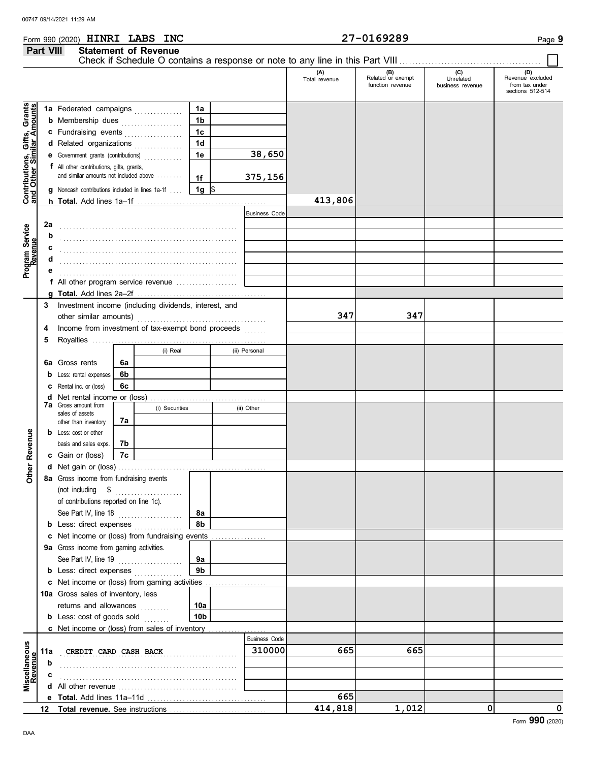### **Part VIII Statement of Revenue** Check if Schedule O contains a response or note to any line in this Part VIII ................ **(A) (B) (C) (D)** Total revenue Related or exempt Unrelated Revenue excluded<br>
function revenue business revenue from tax under sections 512-514 Contributions, Gifts, Grants<br>and Other Similar Amounts **Contributions, Gifts, Grants and Other Similar Amounts 1a 1a** Federated campaigns **. . . . . . . . . . . . 1b b** Membership dues **. . . . . . . . . . . . . .** . . **1c c** Fundraising events **. . . . . . . . . . . . . .** . . **1d d** Related organizations . . . . . . . . . . . . **1e 38,650 e** Government grants (contributions) . . . . . . . . . . . . **f** All other contributions, gifts, grants, and similar amounts not included above ........ **375,156 1f 1g g** Noncash contributions included in lines 1a-1f . . . .  $\frac{\$}{\$}$ **413,806 h Total.** Add lines 1a–1f . . . . . . . . . . . . . . . . . . . . . . . . . . . . . . . . . . . . . . . . Business Code **2a** Program Service<br>Revenue **Program Service** . . . . . . . . . . . . . . . . . . . . . . . . . . . . . . . . . . . . . . . . . . . . . . . . . . . . . . . **b** . . . . . . . . . . . . . . . . . . . . . . . . . . . . . . . . . . . . . . . . . . . . . . . . . . . . . . . **c** . . . . . . . . . . . . . . . . . . . . . . . . . . . . . . . . . . . . . . . . . . . . . . . . . . . . . . . **d** . . . . . . . . . . . . . . . . . . . . . . . . . . . . . . . . . . . . . . . . . . . . . . . . . . . . . . . **e** . . . . . . . . . . . . . . . . . . . . . . . . . . . . . . . . . . . . . . . . . . . . . . . . . . . . . . . **f** All other program service revenue . . . . . . . . . . . . . . . . . . . **g Total.** Add lines 2a–2f . . . . . . . . . . . . . . . . . . . . . . . . . . . . . . . . . . . . . . . . **3** Investment income (including dividends, interest, and other similar amounts) . . . . . . . . . . . . . . . . . . . . . . . . . . . . . . . . . . . . . . . . **347 347 4** Income from investment of tax-exempt bond proceeds ....... **5** Royalties ...... (i) Real (ii) Personal **6a 6a** Gross rents **6b b** Less: rental expenses **6c c** Rental inc. or (loss) **d** Net rental income or (loss) . . . . . . . . . . . . . . . . . . . . . . . . . . . . . . . . . . . . **7a** Gross amount from (i) Securities (ii) Other sales of assets other than inventory **7a Other Revenue b** Less: cost or other **Miscellaneous Other Revenue** basis and sales exps. **7b 7c c** Gain or (loss) **d** Net gain or (loss) . . . . . . . . . . . . . . . . . . . . . . . . . . . . . . . . . . . . . . . . . . . . . . **8a** Gross income from fundraising events (not including \$ . . . . . . . . . . . . . . . . . . . . . of contributions reported on line 1c). See Part IV, line 18 . . . . . . . . . . . . . . . . . . . . **8a 8b b** Less: direct expenses . . . . . . . . . . . . . **c** Net income or (loss) from fundraising events ................ **9a** Gross income from gaming activities. See Part IV, line 19 . . . . . . . . . . . . . . . . . . . . **9a 9b b** Less: direct expenses ................ Net income or (loss) from gaming activities . . . . . . . . . . . . . . . . . . . **c** 10a Gross sales of inventory, less returns and allowances ......... **10a 10b b** Less: cost of goods sold ........ Net income or (loss) from sales of inventory . . . . . . . . . . . . . . . . . . **c** Business Code **Scellaneous**<br>Revenue **CREDIT CARD CASH BACK 310000** 665 665 **11a b** . . . . . . . . . . . . . . . . . . . . . . . . . . . . . . . . . . . . . . . . . . . . . . . . . . . . . . . **c** . . . . . . . . . . . . . . . . . . . . . . . . . . . . . . . . . . . . . . . . . . . . . . . . . . . . . . . **d** All other revenue . . . . . . . . . . . . . . . . . . . . . . . . . . . . . . . . . . . . . **665 e Total.** Add lines 11a-11d .... **414,818 1,012 0 0 12** Total revenue. See instructions ...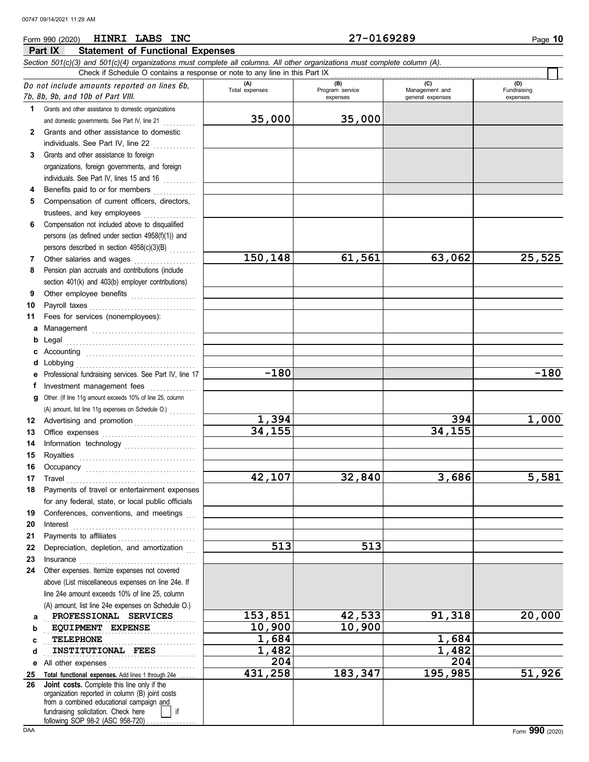**Part IX Statement of Functional Expenses**

### *Section 501(c)(3) and 501(c)(4) organizations must complete all columns. All other organizations must complete column (A).* Do not include amount<sup>s</sup> reported on lines 6b, 7b, 8b, 9b, and 10b <sup>o</sup>f Part VIII. **1 2 3 4 5 6** Compensation not included above to disqualified **7 8 9 10 11 a** Management . . . . . . . . . . . . . . . . . . . . . . . . . . . . . . . . **b** Legal **c** Accounting . . . . . . . . . . . . . . . . . . . . . . . . . . . . . . . . . . **d** Lobbying . . . . . . . . . . . . . . . . . . . . . . . . . . . . . . . . . . . . . **e** Professional fundraising services. See Part IV, line 17 **f g** Other. (If line 11g amount exceeds 10% of line 25, column **12** Advertising and promotion . . . . . . . . . . . . . . . . . . **13 14 15 16 17 18 19 20 21 22 23 24 a b c d e** All other expenses . . . . . . . . . . . . . . . . . . . . . . . . . . . **25 26** Grants and other assistance to domestic organizations and domestic governments. See Part IV, line 21 Grants and other assistance to domestic individuals. See Part IV, line 22 Grants and other assistance to foreign organizations, foreign governments, and foreign individuals. See Part IV, lines 15 and 16 Benefits paid to or for members .............. Compensation of current officers, directors, trustees, and key employees ................ persons (as defined under section 4958(f)(1)) and persons described in section  $4958(c)(3)(B)$ Other salaries and wages ................... Pension plan accruals and contributions (include section 401(k) and 403(b) employer contributions) Other employee benefits .................... Payroll taxes . . . . . . . . . . . . . . . . . . . . . . . . . . . . . . . . . Fees for services (nonemployees): Legal . . . . . . . . . . . . . . . . . . . . . . . . . . . . . . . . . . . . . . . . Investment management fees ............... Office expenses . . . . . . . . . . . . . . . . . . . . . . . . . . . . . Information technology ...................... Royalties . . . . . . . . . . . . . . . . . . . . . . . . . . . . . . . . . . . . Occupancy . . . . . . . . . . . . . . . . . . . . . . . . . . . . . . . . . . Travel . . . . . . . . . . . . . . . . . . . . . . . . . . . . . . . . . . . . . . . . Payments of travel or entertainment expenses for any federal, state, or local public officials Conferences, conventions, and meetings Interest . . . . . . . . . . . . . . . . . . . . . . . . . . . . . . . . . . . . . . Payments to affiliates . . . . . . . . . . . . . . . . . . . . . . . . Depreciation, depletion, and amortization Insurance . . . . . . . . . . . . . . . . . . . . . . . . . . . . . . . . . . . . Other expenses. Itemize expenses not covered above (List miscellaneous expenses on line 24e. If line 24e amount exceeds 10% of line 25, column (A) amount, list line 24e expenses on Schedule O.) Total functional expenses. Add lines 1 through 24e fundraising solicitation. Check here **if** if organization reported in column (B) joint costs from a combined educational campaign and following SOP 98-2 (ASC 958-720) **(A) (B) (C) (D)** Total expenses Program service Management and expenses and in the qeneral expenses Fundraising expenses . . . . . . . . . . . . . . . . . . . . . . . . . . . . . . . . . . . . . . . . . . . . . . . **PROFESSIONAL SERVICES 153,851 42,533 91,318 20,000 EQUIPMENT EXPENSE** 10,900 10,900 TELEPHONE . . . . . . . . . . . . . . . . . . . . . . . . . . . . . . . . . . . . . . . . . . . . . . . **INSTITUTIONAL FEES 1,482 1,482** Check if Schedule O contains a response or note to any line in this Part IX **Joint costs.** Complete this line only if the (A) amount, list line 11g expenses on Schedule O.) . . . . . . . . **35,000 35,000 150,148 61,561 63,062 25,525 -180 -180 1,394 394 1,000 34,155 34,155 42,107 32,840 3,686 5,581 513 513 TELEPHONE 1,684 1,684 204 204 431,258 183,347 195,985 51,926**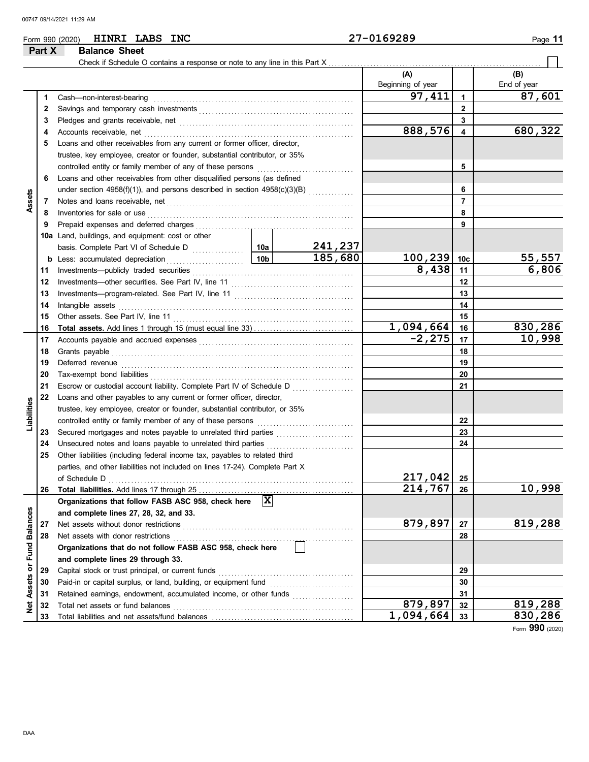## Form 990 (2020) Page **11 HINRI LABS INC 27-0169289**

**Part X Balance Sheet**

#### Check if Schedule O contains a response or note to any line in this Part X **(A) (B)** Beginning of year  $\parallel$  End of year **97,411 87,601** Cash—non-interest-bearing . . . . . . . . . . . . . . . . . . . . . . . . . . . . . . . . . . . . . . . . . . . . . . . . . . . . . . . . . . . . . . **1 1** Savings and temporary cash investments . . . . . . . . . . . . . . . . . . . . . . . . . . . . . . . . . . . . . . . . . . . . . . . . **2 2 3 3** Pledges and grants receivable, net . . . . . . . . . . . . . . . . . . . . . . . . . . . . . . . . . . . . . . . . . . . . . . . . . . . . . . **888,576 680,322 4** Accounts receivable, net . . . . . . . . . . . . . . . . . . . . . . . . . . . . . . . . . . . . . . . . . . . . . . . . . . . . . . . . . . . . . . . . . **4 5** Loans and other receivables from any current or former officer, director, trustee, key employee, creator or founder, substantial contributor, or 35% controlled entity or family member of any of these persons . . . . . . . . . . . . . . . . . . . . . . . . . . . . . . **5 6** Loans and other receivables from other disqualified persons (as defined under section 4958(f)(1)), and persons described in section  $4958(c)(3)(B)$ **6 Assets** Notes and loans receivable, net . . . . . . . . . . . . . . . . . . . . . . . . . . . . . . . . . . . . . . . . . . . . . . . . . . . . . . . . . . **7 7** Inventories for sale or use . . . . . . . . . . . . . . . . . . . . . . . . . . . . . . . . . . . . . . . . . . . . . . . . . . . . . . . . . . . . . . . . **8 8** Prepaid expenses and deferred charges . . . . . . . . . . . . . . . . . . . . . . . . . . . . . . . . . . . . . . . . . . . . . . . . . **9 9 10a** Land, buildings, and equipment: cost or other basis. Complete Part VI of Schedule D ................ **241,237 10a 185,680 100,239 55,557 10c b** Less: accumulated depreciation **. . . . . . . . . . . . . . . . . . 10b 8,438 6,806 11** Investments—publicly traded securities . . . . . . . . . . . . . . . . . . . . . . . . . . . . . . . . . . . . . . . . . . . . . . . . . . **11** Investments—other securities. See Part IV, line 11 . . . . . . . . . . . . . . . . . . . . . . . . . . . . . . . . . . . . . . **12 12** Investments—program-related. See Part IV, line 11 . . . . . . . . . . . . . . . . . . . . . . . . . . . . . . . . . . . . . **13 13 14** Intangible assets . . . . . . . . . . . . . . . . . . . . . . . . . . . . . . . . . . . . . . . . . . . . . . . . . . . . . . . . . . . . . . . . . . . . . . . . . **14** Other assets. See Part IV, line 11 . . . . . . . . . . . . . . . . . . . . . . . . . . . . . . . . . . . . . . . . . . . . . . . . . . . . . . . . **15 15 1,094,664 830,286 16 Total assets.** Add lines 1 through 15 (must equal line 33) . . . . . . . . . . . . . . . . . . . . . . . . . . . . . . . **16 -2,275 10,998** Accounts payable and accrued expenses . . . . . . . . . . . . . . . . . . . . . . . . . . . . . . . . . . . . . . . . . . . . . . . . **17 17** Grants payable . . . . . . . . . . . . . . . . . . . . . . . . . . . . . . . . . . . . . . . . . . . . . . . . . . . . . . . . . . . . . . . . . . . . . . . . . . . **18 18 19** Deferred revenue . . . . . . . . . . . . . . . . . . . . . . . . . . . . . . . . . . . . . . . . . . . . . . . . . . . . . . . . . . . . . . . . . . . . . . . . **19 20** Tax-exempt bond liabilities . . . . . . . . . . . . . . . . . . . . . . . . . . . . . . . . . . . . . . . . . . . . . . . . . . . . . . . . . . . . . . . **20** Escrow or custodial account liability. Complete Part IV of Schedule D .................... **21 21 22** Loans and other payables to any current or former officer, director, Liabilities **Liabilities** trustee, key employee, creator or founder, substantial contributor, or 35% controlled entity or family member of any of these persons ............................. **22** Secured mortgages and notes payable to unrelated third parties ........................ **23 23 24** Unsecured notes and loans payable to unrelated third parties .............................. **24 25** Other liabilities (including federal income tax, payables to related third parties, and other liabilities not included on lines 17-24). Complete Part X **217,042** of Schedule D . . . . . . . . . . . . . . . . . . . . . . . . . . . . . . . . . . . . . . . . . . . . . . . . . . . . . . . . . . . . . . . . . . . . . . . . . . . . **25 214,767 10,998 26** Total liabilities. Add lines 17 through 25 **26 X Organizations that follow FASB ASC 958, check here**  Net Assets or Fund Balances **Net Assets or Fund Balances and complete lines 27, 28, 32, and 33.** Net assets without donor restrictions . . . . . . . . . . . . . . . . . . . . . . . . . . . . . . . . . . . . . . . . . . . . . . . . . . . . . **879,897 819,288 27 27 28** Net assets with donor restrictions **28 Organizations that do not follow FASB ASC 958, check here and complete lines 29 through 33. 29** Capital stock or trust principal, or current funds . . . . . . . . . . . . . . . . . . . . . . . . . . . . . . . . . . . . . . . . . . **29** Paid-in or capital surplus, or land, building, or equipment fund . . . . . . . . . . . . . . . . . . . . . . . . . . **30 30 31** Retained earnings, endowment, accumulated income, or other funds .................... **31 879,897 819,288** Total net assets or fund balances . . . . . . . . . . . . . . . . . . . . . . . . . . . . . . . . . . . . . . . . . . . . . . . . . . . . . . . . **32 32 1,094,664 830,286 33** Total liabilities and net assets/fund balances ................ **33**

Form **990** (2020)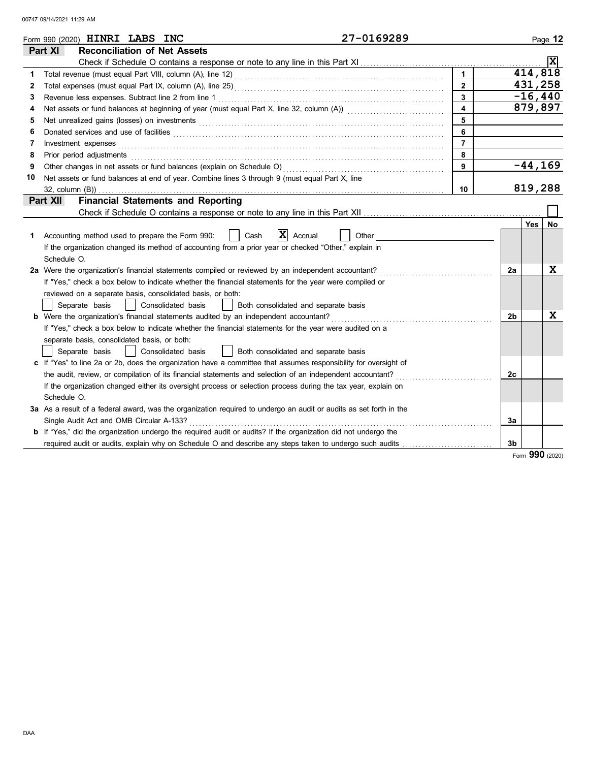|    | 27-0169289<br>Form 990 (2020) <b>HINRI LABS INC</b>                                                                                                                                                                            |                |    |                      | Page 12         |  |  |  |
|----|--------------------------------------------------------------------------------------------------------------------------------------------------------------------------------------------------------------------------------|----------------|----|----------------------|-----------------|--|--|--|
|    | <b>Reconciliation of Net Assets</b><br>Part XI                                                                                                                                                                                 |                |    |                      |                 |  |  |  |
|    |                                                                                                                                                                                                                                |                |    |                      | x               |  |  |  |
| 1  |                                                                                                                                                                                                                                | $\mathbf{1}$   |    | 414, 818             |                 |  |  |  |
| 2  |                                                                                                                                                                                                                                | $\overline{2}$ |    | 431,258<br>$-16,440$ |                 |  |  |  |
| 3  | 3                                                                                                                                                                                                                              |                |    |                      |                 |  |  |  |
| 4  | 4                                                                                                                                                                                                                              |                |    |                      |                 |  |  |  |
| 5  |                                                                                                                                                                                                                                | 5              |    |                      |                 |  |  |  |
| 6  |                                                                                                                                                                                                                                | 6              |    |                      |                 |  |  |  |
| 7  | Investment expenses                                                                                                                                                                                                            | $\overline{7}$ |    |                      |                 |  |  |  |
| 8  | Prior period adjustments entertainments and adjustments of the contract of the contract of the contract of the contract of the contract of the contract of the contract of the contract of the contract of the contract of the | 8              |    |                      |                 |  |  |  |
| 9  |                                                                                                                                                                                                                                | 9              |    | $-44, 169$           |                 |  |  |  |
| 10 | Net assets or fund balances at end of year. Combine lines 3 through 9 (must equal Part X, line                                                                                                                                 |                |    |                      |                 |  |  |  |
|    | 32, column (B))                                                                                                                                                                                                                | 10             |    | 819,288              |                 |  |  |  |
|    | <b>Financial Statements and Reporting</b><br>Part XII                                                                                                                                                                          |                |    |                      |                 |  |  |  |
|    |                                                                                                                                                                                                                                |                |    |                      |                 |  |  |  |
|    |                                                                                                                                                                                                                                |                |    | Yes                  | No              |  |  |  |
| 1  | X<br>Other<br>Accounting method used to prepare the Form 990:<br>Cash<br>Accrual                                                                                                                                               |                |    |                      |                 |  |  |  |
|    | If the organization changed its method of accounting from a prior year or checked "Other," explain in                                                                                                                          |                |    |                      |                 |  |  |  |
|    | Schedule O.                                                                                                                                                                                                                    |                |    |                      |                 |  |  |  |
|    | 2a Were the organization's financial statements compiled or reviewed by an independent accountant?                                                                                                                             |                | 2a |                      | X               |  |  |  |
|    | If "Yes," check a box below to indicate whether the financial statements for the year were compiled or                                                                                                                         |                |    |                      |                 |  |  |  |
|    | reviewed on a separate basis, consolidated basis, or both:                                                                                                                                                                     |                |    |                      |                 |  |  |  |
|    | Separate basis<br>Consolidated basis<br>Both consolidated and separate basis                                                                                                                                                   |                |    |                      |                 |  |  |  |
|    | <b>b</b> Were the organization's financial statements audited by an independent accountant?                                                                                                                                    |                | 2b |                      | x               |  |  |  |
|    | If "Yes," check a box below to indicate whether the financial statements for the year were audited on a                                                                                                                        |                |    |                      |                 |  |  |  |
|    | separate basis, consolidated basis, or both:                                                                                                                                                                                   |                |    |                      |                 |  |  |  |
|    | Consolidated basis<br>Both consolidated and separate basis<br>Separate basis                                                                                                                                                   |                |    |                      |                 |  |  |  |
|    | c If "Yes" to line 2a or 2b, does the organization have a committee that assumes responsibility for oversight of                                                                                                               |                |    |                      |                 |  |  |  |
|    | the audit, review, or compilation of its financial statements and selection of an independent accountant?                                                                                                                      |                | 2c |                      |                 |  |  |  |
|    | If the organization changed either its oversight process or selection process during the tax year, explain on                                                                                                                  |                |    |                      |                 |  |  |  |
|    | Schedule O.                                                                                                                                                                                                                    |                |    |                      |                 |  |  |  |
|    | 3a As a result of a federal award, was the organization required to undergo an audit or audits as set forth in the                                                                                                             |                |    |                      |                 |  |  |  |
|    | Single Audit Act and OMB Circular A-133?                                                                                                                                                                                       |                | 3a |                      |                 |  |  |  |
|    | <b>b</b> If "Yes," did the organization undergo the required audit or audits? If the organization did not undergo the                                                                                                          |                |    |                      |                 |  |  |  |
|    | required audit or audits, explain why on Schedule O and describe any steps taken to undergo such audits                                                                                                                        |                | 3b |                      |                 |  |  |  |
|    |                                                                                                                                                                                                                                |                |    |                      | Form 990 (2020) |  |  |  |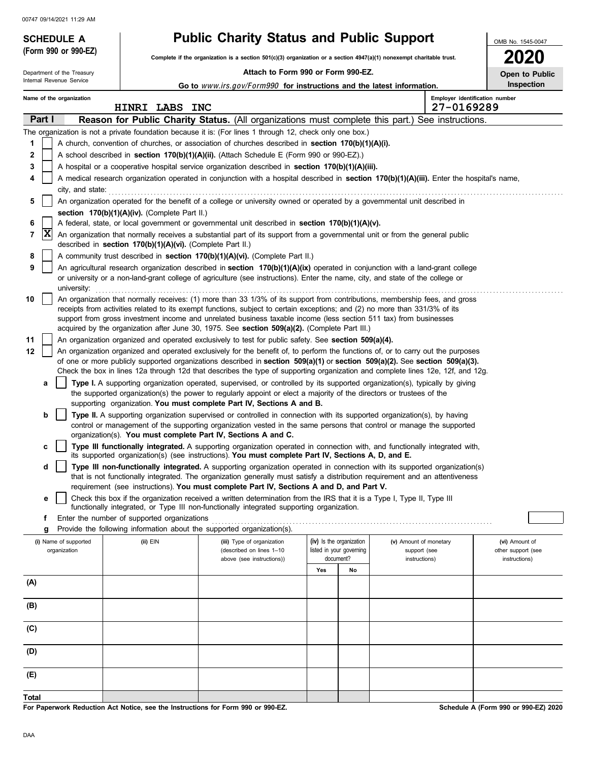Department of the Treasury

**(Form 990 or 990-EZ)**

## **SCHEDULE A Public Charity Status and Public Support**

**Complete if the organization is a section 501(c)(3) organization or a section 4947(a)(1) nonexempt charitable trust.**

## **Attach to Form 990 or Form 990-EZ.**

| <b>2020</b> |                       |
|-------------|-----------------------|
|             | <b>Open to Public</b> |
|             | nanaatian             |

OMB No. 1545-0047

|              | Internal Revenue Service<br>Inspection<br>Go to www.irs.gov/Form990 for instructions and the latest information. |                                                                                                                                                                                                                                  |  |                                                            |                                                                                                                                                                                                                                                                        |     |                          |                        |                                              |                    |
|--------------|------------------------------------------------------------------------------------------------------------------|----------------------------------------------------------------------------------------------------------------------------------------------------------------------------------------------------------------------------------|--|------------------------------------------------------------|------------------------------------------------------------------------------------------------------------------------------------------------------------------------------------------------------------------------------------------------------------------------|-----|--------------------------|------------------------|----------------------------------------------|--------------------|
|              |                                                                                                                  | Name of the organization                                                                                                                                                                                                         |  | HINRI LABS INC                                             |                                                                                                                                                                                                                                                                        |     |                          |                        | Employer identification number<br>27-0169289 |                    |
|              | Part I                                                                                                           |                                                                                                                                                                                                                                  |  |                                                            | Reason for Public Charity Status. (All organizations must complete this part.) See instructions.                                                                                                                                                                       |     |                          |                        |                                              |                    |
|              |                                                                                                                  |                                                                                                                                                                                                                                  |  |                                                            | The organization is not a private foundation because it is: (For lines 1 through 12, check only one box.)                                                                                                                                                              |     |                          |                        |                                              |                    |
| 1            |                                                                                                                  |                                                                                                                                                                                                                                  |  |                                                            | A church, convention of churches, or association of churches described in <b>section 170(b)(1)(A)(i).</b>                                                                                                                                                              |     |                          |                        |                                              |                    |
| 2            |                                                                                                                  |                                                                                                                                                                                                                                  |  |                                                            | A school described in section $170(b)(1)(A)(ii)$ . (Attach Schedule E (Form 990 or 990-EZ).)                                                                                                                                                                           |     |                          |                        |                                              |                    |
| 3            |                                                                                                                  |                                                                                                                                                                                                                                  |  |                                                            | A hospital or a cooperative hospital service organization described in section $170(b)(1)(A)(iii)$ .                                                                                                                                                                   |     |                          |                        |                                              |                    |
| 4            |                                                                                                                  |                                                                                                                                                                                                                                  |  |                                                            | A medical research organization operated in conjunction with a hospital described in section 170(b)(1)(A)(iii). Enter the hospital's name,                                                                                                                             |     |                          |                        |                                              |                    |
|              |                                                                                                                  | city, and state:                                                                                                                                                                                                                 |  |                                                            |                                                                                                                                                                                                                                                                        |     |                          |                        |                                              |                    |
| 5            |                                                                                                                  |                                                                                                                                                                                                                                  |  |                                                            | An organization operated for the benefit of a college or university owned or operated by a governmental unit described in                                                                                                                                              |     |                          |                        |                                              |                    |
|              |                                                                                                                  |                                                                                                                                                                                                                                  |  | section 170(b)(1)(A)(iv). (Complete Part II.)              |                                                                                                                                                                                                                                                                        |     |                          |                        |                                              |                    |
| 6            | X                                                                                                                | A federal, state, or local government or governmental unit described in section 170(b)(1)(A)(v).<br>An organization that normally receives a substantial part of its support from a governmental unit or from the general public |  |                                                            |                                                                                                                                                                                                                                                                        |     |                          |                        |                                              |                    |
| 7            |                                                                                                                  |                                                                                                                                                                                                                                  |  | described in section 170(b)(1)(A)(vi). (Complete Part II.) |                                                                                                                                                                                                                                                                        |     |                          |                        |                                              |                    |
| 8            |                                                                                                                  |                                                                                                                                                                                                                                  |  |                                                            | A community trust described in section 170(b)(1)(A)(vi). (Complete Part II.)                                                                                                                                                                                           |     |                          |                        |                                              |                    |
| 9            |                                                                                                                  |                                                                                                                                                                                                                                  |  |                                                            | An agricultural research organization described in section 170(b)(1)(A)(ix) operated in conjunction with a land-grant college                                                                                                                                          |     |                          |                        |                                              |                    |
|              |                                                                                                                  | university:                                                                                                                                                                                                                      |  |                                                            | or university or a non-land-grant college of agriculture (see instructions). Enter the name, city, and state of the college or                                                                                                                                         |     |                          |                        |                                              |                    |
| 10           |                                                                                                                  |                                                                                                                                                                                                                                  |  |                                                            | An organization that normally receives: (1) more than 33 1/3% of its support from contributions, membership fees, and gross                                                                                                                                            |     |                          |                        |                                              |                    |
|              |                                                                                                                  |                                                                                                                                                                                                                                  |  |                                                            | receipts from activities related to its exempt functions, subject to certain exceptions; and (2) no more than 331/3% of its                                                                                                                                            |     |                          |                        |                                              |                    |
|              |                                                                                                                  |                                                                                                                                                                                                                                  |  |                                                            | support from gross investment income and unrelated business taxable income (less section 511 tax) from businesses                                                                                                                                                      |     |                          |                        |                                              |                    |
| 11           |                                                                                                                  | acquired by the organization after June 30, 1975. See section 509(a)(2). (Complete Part III.)<br>An organization organized and operated exclusively to test for public safety. See section 509(a)(4).                            |  |                                                            |                                                                                                                                                                                                                                                                        |     |                          |                        |                                              |                    |
| 12           |                                                                                                                  |                                                                                                                                                                                                                                  |  |                                                            | An organization organized and operated exclusively for the benefit of, to perform the functions of, or to carry out the purposes                                                                                                                                       |     |                          |                        |                                              |                    |
|              |                                                                                                                  |                                                                                                                                                                                                                                  |  |                                                            | of one or more publicly supported organizations described in section $509(a)(1)$ or section $509(a)(2)$ . See section $509(a)(3)$ .<br>Check the box in lines 12a through 12d that describes the type of supporting organization and complete lines 12e, 12f, and 12g. |     |                          |                        |                                              |                    |
|              | а                                                                                                                |                                                                                                                                                                                                                                  |  |                                                            | <b>Type I.</b> A supporting organization operated, supervised, or controlled by its supported organization(s), typically by giving                                                                                                                                     |     |                          |                        |                                              |                    |
|              |                                                                                                                  |                                                                                                                                                                                                                                  |  |                                                            | the supported organization(s) the power to regularly appoint or elect a majority of the directors or trustees of the                                                                                                                                                   |     |                          |                        |                                              |                    |
|              |                                                                                                                  |                                                                                                                                                                                                                                  |  |                                                            | supporting organization. You must complete Part IV, Sections A and B.                                                                                                                                                                                                  |     |                          |                        |                                              |                    |
|              | b                                                                                                                |                                                                                                                                                                                                                                  |  |                                                            | Type II. A supporting organization supervised or controlled in connection with its supported organization(s), by having                                                                                                                                                |     |                          |                        |                                              |                    |
|              |                                                                                                                  |                                                                                                                                                                                                                                  |  |                                                            | control or management of the supporting organization vested in the same persons that control or manage the supported                                                                                                                                                   |     |                          |                        |                                              |                    |
|              | c                                                                                                                |                                                                                                                                                                                                                                  |  |                                                            | organization(s). You must complete Part IV, Sections A and C.<br>Type III functionally integrated. A supporting organization operated in connection with, and functionally integrated with,                                                                            |     |                          |                        |                                              |                    |
|              |                                                                                                                  |                                                                                                                                                                                                                                  |  |                                                            | its supported organization(s) (see instructions). You must complete Part IV, Sections A, D, and E.                                                                                                                                                                     |     |                          |                        |                                              |                    |
|              | d                                                                                                                |                                                                                                                                                                                                                                  |  |                                                            | Type III non-functionally integrated. A supporting organization operated in connection with its supported organization(s)                                                                                                                                              |     |                          |                        |                                              |                    |
|              |                                                                                                                  |                                                                                                                                                                                                                                  |  |                                                            | that is not functionally integrated. The organization generally must satisfy a distribution requirement and an attentiveness                                                                                                                                           |     |                          |                        |                                              |                    |
|              |                                                                                                                  |                                                                                                                                                                                                                                  |  |                                                            | requirement (see instructions). You must complete Part IV, Sections A and D, and Part V.                                                                                                                                                                               |     |                          |                        |                                              |                    |
|              | е                                                                                                                |                                                                                                                                                                                                                                  |  |                                                            | Check this box if the organization received a written determination from the IRS that it is a Type I, Type II, Type III<br>functionally integrated, or Type III non-functionally integrated supporting organization.                                                   |     |                          |                        |                                              |                    |
|              |                                                                                                                  |                                                                                                                                                                                                                                  |  | Enter the number of supported organizations                |                                                                                                                                                                                                                                                                        |     |                          |                        |                                              |                    |
|              | g                                                                                                                |                                                                                                                                                                                                                                  |  |                                                            | Provide the following information about the supported organization(s).                                                                                                                                                                                                 |     |                          |                        |                                              |                    |
|              |                                                                                                                  | (i) Name of supported                                                                                                                                                                                                            |  | (ii) EIN                                                   | (iii) Type of organization                                                                                                                                                                                                                                             |     | (iv) Is the organization | (v) Amount of monetary |                                              | (vi) Amount of     |
|              |                                                                                                                  | organization                                                                                                                                                                                                                     |  |                                                            | (described on lines 1-10                                                                                                                                                                                                                                               |     | listed in your governing | support (see           |                                              | other support (see |
|              |                                                                                                                  |                                                                                                                                                                                                                                  |  |                                                            | above (see instructions))                                                                                                                                                                                                                                              | Yes | document?<br>No          | instructions)          |                                              | instructions)      |
| (A)          |                                                                                                                  |                                                                                                                                                                                                                                  |  |                                                            |                                                                                                                                                                                                                                                                        |     |                          |                        |                                              |                    |
|              |                                                                                                                  |                                                                                                                                                                                                                                  |  |                                                            |                                                                                                                                                                                                                                                                        |     |                          |                        |                                              |                    |
| (B)          |                                                                                                                  |                                                                                                                                                                                                                                  |  |                                                            |                                                                                                                                                                                                                                                                        |     |                          |                        |                                              |                    |
|              |                                                                                                                  |                                                                                                                                                                                                                                  |  |                                                            |                                                                                                                                                                                                                                                                        |     |                          |                        |                                              |                    |
| (C)          |                                                                                                                  |                                                                                                                                                                                                                                  |  |                                                            |                                                                                                                                                                                                                                                                        |     |                          |                        |                                              |                    |
| (D)          |                                                                                                                  |                                                                                                                                                                                                                                  |  |                                                            |                                                                                                                                                                                                                                                                        |     |                          |                        |                                              |                    |
| (E)          |                                                                                                                  |                                                                                                                                                                                                                                  |  |                                                            |                                                                                                                                                                                                                                                                        |     |                          |                        |                                              |                    |
|              |                                                                                                                  |                                                                                                                                                                                                                                  |  |                                                            |                                                                                                                                                                                                                                                                        |     |                          |                        |                                              |                    |
| <b>Total</b> |                                                                                                                  |                                                                                                                                                                                                                                  |  |                                                            |                                                                                                                                                                                                                                                                        |     |                          |                        |                                              |                    |

**For Paperwork Reduction Act Notice, see the Instructions for Form 990 or 990-EZ.**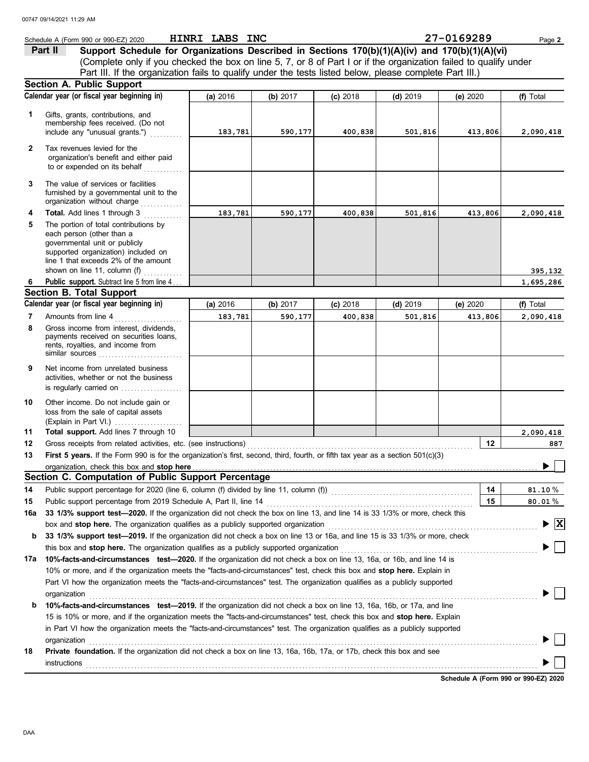|     | Schedule A (Form 990 or 990-EZ) 2020                                                                                                                                          | HINRI LABS INC |          |            |            | 27-0169289 | Page 2         |
|-----|-------------------------------------------------------------------------------------------------------------------------------------------------------------------------------|----------------|----------|------------|------------|------------|----------------|
|     | Support Schedule for Organizations Described in Sections 170(b)(1)(A)(iv) and 170(b)(1)(A)(vi)<br>Part II                                                                     |                |          |            |            |            |                |
|     | (Complete only if you checked the box on line 5, 7, or 8 of Part I or if the organization failed to qualify under                                                             |                |          |            |            |            |                |
|     | Part III. If the organization fails to qualify under the tests listed below, please complete Part III.)                                                                       |                |          |            |            |            |                |
|     | <b>Section A. Public Support</b>                                                                                                                                              |                |          |            |            |            |                |
|     | Calendar year (or fiscal year beginning in)                                                                                                                                   | (a) 2016       | (b) 2017 | $(c)$ 2018 | $(d)$ 2019 | (e) 2020   | (f) Total      |
| 1   | Gifts, grants, contributions, and                                                                                                                                             |                |          |            |            |            |                |
|     | membership fees received. (Do not                                                                                                                                             |                |          |            |            |            |                |
|     | include any "unusual grants.")                                                                                                                                                | 183,781        | 590,177  | 400,838    | 501,816    | 413,806    | 2,090,418      |
| 2   | Tax revenues levied for the                                                                                                                                                   |                |          |            |            |            |                |
|     | organization's benefit and either paid                                                                                                                                        |                |          |            |            |            |                |
|     | to or expended on its behalf<br>.                                                                                                                                             |                |          |            |            |            |                |
| 3   | The value of services or facilities                                                                                                                                           |                |          |            |            |            |                |
|     | furnished by a governmental unit to the                                                                                                                                       |                |          |            |            |            |                |
| 4   | organization without charge<br>Total. Add lines 1 through 3                                                                                                                   | 183,781        |          |            |            |            |                |
| 5   | The portion of total contributions by                                                                                                                                         |                | 590,177  | 400,838    | 501,816    | 413,806    | 2,090,418      |
|     | each person (other than a                                                                                                                                                     |                |          |            |            |            |                |
|     | governmental unit or publicly                                                                                                                                                 |                |          |            |            |            |                |
|     | supported organization) included on<br>line 1 that exceeds 2% of the amount                                                                                                   |                |          |            |            |            |                |
|     | shown on line 11, column (f) $\frac{1}{2}$                                                                                                                                    |                |          |            |            |            | 395,132        |
| 6   | Public support. Subtract line 5 from line 4                                                                                                                                   |                |          |            |            |            | 1,695,286      |
|     | <b>Section B. Total Support</b>                                                                                                                                               |                |          |            |            |            |                |
|     | Calendar year (or fiscal year beginning in)                                                                                                                                   | (a) 2016       | (b) 2017 | $(c)$ 2018 | $(d)$ 2019 | (e) 2020   | (f) Total      |
| 7   | Amounts from line 4                                                                                                                                                           | 183,781        | 590,177  | 400,838    | 501,816    | 413,806    | 2,090,418      |
| 8   | Gross income from interest, dividends,                                                                                                                                        |                |          |            |            |            |                |
|     | payments received on securities loans,<br>rents, royalties, and income from                                                                                                   |                |          |            |            |            |                |
|     |                                                                                                                                                                               |                |          |            |            |            |                |
| 9   | Net income from unrelated business                                                                                                                                            |                |          |            |            |            |                |
|     | activities, whether or not the business                                                                                                                                       |                |          |            |            |            |                |
|     | is regularly carried on                                                                                                                                                       |                |          |            |            |            |                |
| 10  | Other income. Do not include gain or                                                                                                                                          |                |          |            |            |            |                |
|     | loss from the sale of capital assets                                                                                                                                          |                |          |            |            |            |                |
|     | (Explain in Part VI.)                                                                                                                                                         |                |          |            |            |            |                |
| 11  | Total support. Add lines 7 through 10                                                                                                                                         |                |          |            |            |            | 2,090,418      |
| 12  | Gross receipts from related activities, etc. (see instructions)                                                                                                               |                |          |            |            | 12         | 887            |
| 13  | First 5 years. If the Form 990 is for the organization's first, second, third, fourth, or fifth tax year as a section 501(c)(3)<br>organization, check this box and stop here |                |          |            |            |            |                |
|     | Section C. Computation of Public Support Percentage                                                                                                                           |                |          |            |            |            |                |
| 14  | Public support percentage for 2020 (line 6, column (f) divided by line 11, column (f)) [[[[[[[[[[[[[[[[[[[[[[                                                                 |                |          |            |            | 14         | $81.10\,\%$    |
| 15  | Public support percentage from 2019 Schedule A, Part II, line 14                                                                                                              |                |          |            |            | 15         | 80.01%         |
| 16a | 33 1/3% support test-2020. If the organization did not check the box on line 13, and line 14 is 33 1/3% or more, check this                                                   |                |          |            |            |            |                |
|     | box and stop here. The organization qualifies as a publicly supported organization                                                                                            |                |          |            |            |            | $\mathbf{ x }$ |
| b   | 33 1/3% support test-2019. If the organization did not check a box on line 13 or 16a, and line 15 is 33 1/3% or more, check                                                   |                |          |            |            |            |                |
|     | this box and stop here. The organization qualifies as a publicly supported organization                                                                                       |                |          |            |            |            |                |
| 17a | 10%-facts-and-circumstances test-2020. If the organization did not check a box on line 13, 16a, or 16b, and line 14 is                                                        |                |          |            |            |            |                |
|     | 10% or more, and if the organization meets the "facts-and-circumstances" test, check this box and stop here. Explain in                                                       |                |          |            |            |            |                |
|     | Part VI how the organization meets the "facts-and-circumstances" test. The organization qualifies as a publicly supported                                                     |                |          |            |            |            |                |
|     | organization                                                                                                                                                                  |                |          |            |            |            |                |
| b   | 10%-facts-and-circumstances test-2019. If the organization did not check a box on line 13, 16a, 16b, or 17a, and line                                                         |                |          |            |            |            |                |
|     | 15 is 10% or more, and if the organization meets the "facts-and-circumstances" test, check this box and stop here. Explain                                                    |                |          |            |            |            |                |
|     | in Part VI how the organization meets the "facts-and-circumstances" test. The organization qualifies as a publicly supported                                                  |                |          |            |            |            |                |
|     | organization                                                                                                                                                                  |                |          |            |            |            |                |
| 18  | Private foundation. If the organization did not check a box on line 13, 16a, 16b, 17a, or 17b, check this box and see                                                         |                |          |            |            |            |                |
|     | instructions                                                                                                                                                                  |                |          |            |            |            |                |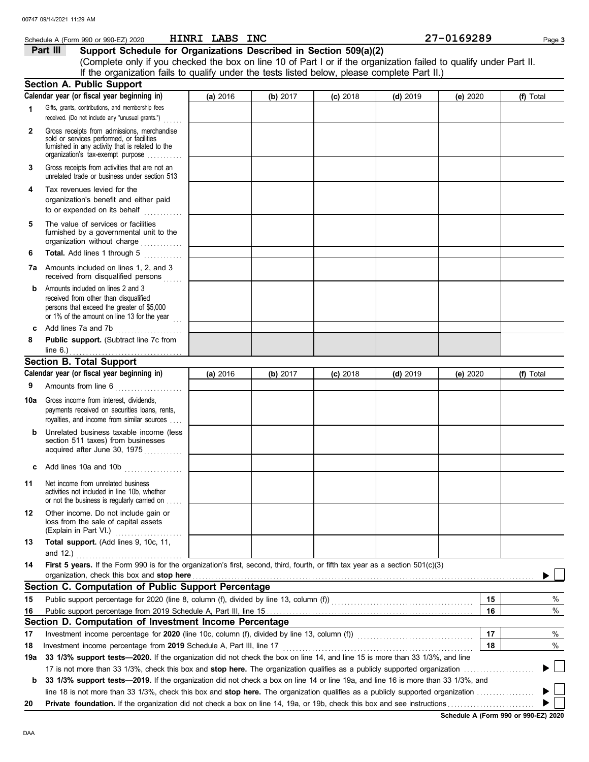|     | Schedule A (Form 990 or 990-EZ) 2020                                                                                                                                              | HINRI LABS INC |          |            |            | 27-0169289 | Page 3    |
|-----|-----------------------------------------------------------------------------------------------------------------------------------------------------------------------------------|----------------|----------|------------|------------|------------|-----------|
|     | Support Schedule for Organizations Described in Section 509(a)(2)<br>Part III                                                                                                     |                |          |            |            |            |           |
|     | (Complete only if you checked the box on line 10 of Part I or if the organization failed to qualify under Part II.                                                                |                |          |            |            |            |           |
|     | If the organization fails to qualify under the tests listed below, please complete Part II.)                                                                                      |                |          |            |            |            |           |
|     | <b>Section A. Public Support</b>                                                                                                                                                  |                |          |            |            |            |           |
|     | Calendar year (or fiscal year beginning in)                                                                                                                                       | (a) 2016       | (b) 2017 | $(c)$ 2018 | $(d)$ 2019 | (e) 2020   | (f) Total |
| 1   | Gifts, grants, contributions, and membership fees<br>received. (Do not include any "unusual grants.")                                                                             |                |          |            |            |            |           |
| 2   | Gross receipts from admissions, merchandise<br>sold or services performed, or facilities<br>furnished in any activity that is related to the<br>organization's tax-exempt purpose |                |          |            |            |            |           |
| 3   | Gross receipts from activities that are not an<br>unrelated trade or business under section 513                                                                                   |                |          |            |            |            |           |
| 4   | Tax revenues levied for the<br>organization's benefit and either paid<br>to or expended on its behalf<br>.                                                                        |                |          |            |            |            |           |
| 5   | The value of services or facilities<br>furnished by a governmental unit to the<br>organization without charge                                                                     |                |          |            |            |            |           |
| 6   | Total. Add lines 1 through 5                                                                                                                                                      |                |          |            |            |            |           |
|     | 7a Amounts included on lines 1, 2, and 3<br>received from disqualified persons<br>.                                                                                               |                |          |            |            |            |           |
| b   | Amounts included on lines 2 and 3<br>received from other than disqualified<br>persons that exceed the greater of \$5,000<br>or 1% of the amount on line 13 for the year           |                |          |            |            |            |           |
| C   | Add lines 7a and 7b                                                                                                                                                               |                |          |            |            |            |           |
| 8   | Public support. (Subtract line 7c from<br>line 6.) $\ldots$                                                                                                                       |                |          |            |            |            |           |
|     | <b>Section B. Total Support</b>                                                                                                                                                   |                |          |            |            |            |           |
|     | Calendar year (or fiscal year beginning in)                                                                                                                                       | (a) 2016       | (b) 2017 | $(c)$ 2018 | $(d)$ 2019 | (e) 2020   | (f) Total |
| 9   | Amounts from line 6<br><u> 1986 - Johann Barnett, martin a</u>                                                                                                                    |                |          |            |            |            |           |
| 10a | Gross income from interest, dividends,<br>payments received on securities loans, rents,<br>royalties, and income from similar sources                                             |                |          |            |            |            |           |
|     | <b>b</b> Unrelated business taxable income (less<br>section 511 taxes) from businesses<br>acquired after June 30, 1975                                                            |                |          |            |            |            |           |
|     | Add lines 10a and 10b                                                                                                                                                             |                |          |            |            |            |           |
| 11  | Net income from unrelated business<br>activities not included in line 10b, whether<br>or not the business is regularly carried on                                                 |                |          |            |            |            |           |
| 12  | Other income. Do not include gain or<br>loss from the sale of capital assets<br>(Explain in Part VI.)                                                                             |                |          |            |            |            |           |
| 13  | Total support. (Add lines 9, 10c, 11,<br>and 12.)                                                                                                                                 |                |          |            |            |            |           |
| 14  | First 5 years. If the Form 990 is for the organization's first, second, third, fourth, or fifth tax year as a section 501(c)(3)<br>organization, check this box and stop here     |                |          |            |            |            |           |
|     | Section C. Computation of Public Support Percentage                                                                                                                               |                |          |            |            |            |           |
| 15  | Public support percentage for 2020 (line 8, column (f), divided by line 13, column (f)) [[[[[[[[[[[[[[[[[[[[[                                                                     |                |          |            |            | 15         | %         |
| 16  |                                                                                                                                                                                   |                |          |            |            | 16         | $\%$      |
|     | Section D. Computation of Investment Income Percentage                                                                                                                            |                |          |            |            |            |           |
| 17  | Investment income percentage for 2020 (line 10c, column (f), divided by line 13, column (f)) [[[[[[[[[[[[[[[[                                                                     |                |          |            |            | 17         | %         |
| 18  | Investment income percentage from 2019 Schedule A, Part III, line 17                                                                                                              |                |          |            |            | 18         | $\%$      |
| 19a | 33 1/3% support tests-2020. If the organization did not check the box on line 14, and line 15 is more than 33 1/3%, and line                                                      |                |          |            |            |            |           |
|     |                                                                                                                                                                                   |                |          |            |            |            | $\Box$    |
| b   | 33 1/3% support tests—2019. If the organization did not check a box on line 14 or line 19a, and line 16 is more than 33 1/3%, and                                                 |                |          |            |            |            |           |
|     | line 18 is not more than 33 1/3%, check this box and stop here. The organization qualifies as a publicly supported organization <i>manument</i> of                                |                |          |            |            |            |           |
| 20  |                                                                                                                                                                                   |                |          |            |            |            |           |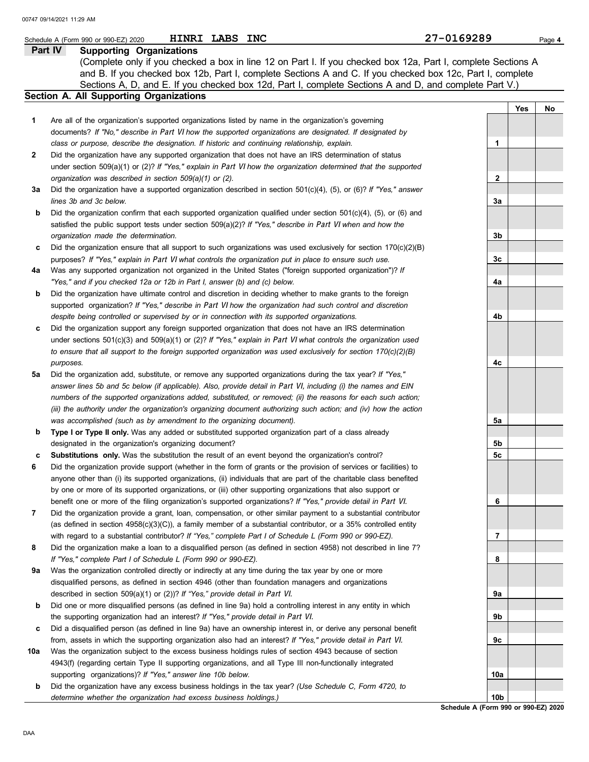|                | HINRI LABS INC<br>Schedule A (Form 990 or 990-EZ) 2020                                                                                                                                                             | 27-0169289      |     | Page 4 |
|----------------|--------------------------------------------------------------------------------------------------------------------------------------------------------------------------------------------------------------------|-----------------|-----|--------|
| <b>Part IV</b> | <b>Supporting Organizations</b>                                                                                                                                                                                    |                 |     |        |
|                | (Complete only if you checked a box in line 12 on Part I. If you checked box 12a, Part I, complete Sections A                                                                                                      |                 |     |        |
|                | and B. If you checked box 12b, Part I, complete Sections A and C. If you checked box 12c, Part I, complete                                                                                                         |                 |     |        |
|                | Sections A, D, and E. If you checked box 12d, Part I, complete Sections A and D, and complete Part V.)                                                                                                             |                 |     |        |
|                | Section A. All Supporting Organizations                                                                                                                                                                            |                 |     |        |
|                |                                                                                                                                                                                                                    |                 | Yes | No     |
| 1              | Are all of the organization's supported organizations listed by name in the organization's governing                                                                                                               |                 |     |        |
|                | documents? If "No," describe in Part VI how the supported organizations are designated. If designated by                                                                                                           |                 |     |        |
|                | class or purpose, describe the designation. If historic and continuing relationship, explain.                                                                                                                      | 1               |     |        |
| 2              | Did the organization have any supported organization that does not have an IRS determination of status                                                                                                             |                 |     |        |
|                | under section 509(a)(1) or (2)? If "Yes," explain in Part VI how the organization determined that the supported                                                                                                    |                 |     |        |
|                | organization was described in section 509(a)(1) or (2).                                                                                                                                                            | $\mathbf{2}$    |     |        |
| За             | Did the organization have a supported organization described in section $501(c)(4)$ , (5), or (6)? If "Yes," answer                                                                                                |                 |     |        |
|                | lines 3b and 3c below.                                                                                                                                                                                             | 3a              |     |        |
| b              | Did the organization confirm that each supported organization qualified under section $501(c)(4)$ , (5), or (6) and                                                                                                |                 |     |        |
|                | satisfied the public support tests under section $509(a)(2)?$ If "Yes," describe in Part VI when and how the                                                                                                       |                 |     |        |
|                | organization made the determination.                                                                                                                                                                               | 3b              |     |        |
|                | Did the organization ensure that all support to such organizations was used exclusively for section $170(c)(2)(B)$                                                                                                 |                 |     |        |
| c              |                                                                                                                                                                                                                    | 3 <sub>c</sub>  |     |        |
|                | purposes? If "Yes," explain in Part VI what controls the organization put in place to ensure such use.<br>Was any supported organization not organized in the United States ("foreign supported organization")? If |                 |     |        |
| 4a             | "Yes," and if you checked 12a or 12b in Part I, answer (b) and (c) below.                                                                                                                                          | 4a              |     |        |
|                |                                                                                                                                                                                                                    |                 |     |        |
| b              | Did the organization have ultimate control and discretion in deciding whether to make grants to the foreign                                                                                                        |                 |     |        |
|                | supported organization? If "Yes," describe in Part VI how the organization had such control and discretion                                                                                                         |                 |     |        |
|                | despite being controlled or supervised by or in connection with its supported organizations.                                                                                                                       | 4b              |     |        |
| c              | Did the organization support any foreign supported organization that does not have an IRS determination                                                                                                            |                 |     |        |
|                | under sections $501(c)(3)$ and $509(a)(1)$ or (2)? If "Yes," explain in Part VI what controls the organization used                                                                                                |                 |     |        |
|                | to ensure that all support to the foreign supported organization was used exclusively for section 170(c)(2)(B)                                                                                                     |                 |     |        |
|                | purposes.                                                                                                                                                                                                          | 4c              |     |        |
| 5а             | Did the organization add, substitute, or remove any supported organizations during the tax year? If "Yes,"                                                                                                         |                 |     |        |
|                | answer lines 5b and 5c below (if applicable). Also, provide detail in Part VI, including (i) the names and EIN                                                                                                     |                 |     |        |
|                | numbers of the supported organizations added, substituted, or removed; (ii) the reasons for each such action;                                                                                                      |                 |     |        |
|                | (iii) the authority under the organization's organizing document authorizing such action; and (iv) how the action                                                                                                  |                 |     |        |
|                | was accomplished (such as by amendment to the organizing document).                                                                                                                                                | 5а              |     |        |
| b              | Type I or Type II only. Was any added or substituted supported organization part of a class already                                                                                                                |                 |     |        |
|                | designated in the organization's organizing document?                                                                                                                                                              | 5b              |     |        |
| c              | Substitutions only. Was the substitution the result of an event beyond the organization's control?                                                                                                                 | 5c              |     |        |
|                | Did the organization provide support (whether in the form of grants or the provision of services or facilities) to                                                                                                 |                 |     |        |
|                | anyone other than (i) its supported organizations, (ii) individuals that are part of the charitable class benefited                                                                                                |                 |     |        |
|                | by one or more of its supported organizations, or (iii) other supporting organizations that also support or                                                                                                        |                 |     |        |
|                | benefit one or more of the filing organization's supported organizations? If "Yes," provide detail in Part VI.                                                                                                     | 6               |     |        |
| 7              | Did the organization provide a grant, loan, compensation, or other similar payment to a substantial contributor                                                                                                    |                 |     |        |
|                | (as defined in section $4958(c)(3)(C)$ ), a family member of a substantial contributor, or a 35% controlled entity                                                                                                 |                 |     |        |
|                | with regard to a substantial contributor? If "Yes," complete Part I of Schedule L (Form 990 or 990-EZ).                                                                                                            | 7               |     |        |
| 8              | Did the organization make a loan to a disqualified person (as defined in section 4958) not described in line 7?                                                                                                    |                 |     |        |
|                | If "Yes," complete Part I of Schedule L (Form 990 or 990-EZ).                                                                                                                                                      | 8               |     |        |
| 9а             | Was the organization controlled directly or indirectly at any time during the tax year by one or more                                                                                                              |                 |     |        |
|                | disqualified persons, as defined in section 4946 (other than foundation managers and organizations                                                                                                                 |                 |     |        |
|                | described in section 509(a)(1) or (2))? If "Yes," provide detail in Part VI.                                                                                                                                       | 9а              |     |        |
| b              | Did one or more disqualified persons (as defined in line 9a) hold a controlling interest in any entity in which                                                                                                    |                 |     |        |
|                | the supporting organization had an interest? If "Yes," provide detail in Part VI.                                                                                                                                  | 9b              |     |        |
| c              | Did a disqualified person (as defined in line 9a) have an ownership interest in, or derive any personal benefit                                                                                                    |                 |     |        |
|                | from, assets in which the supporting organization also had an interest? If "Yes," provide detail in Part VI.                                                                                                       | 9с              |     |        |
| 10a            | Was the organization subject to the excess business holdings rules of section 4943 because of section                                                                                                              |                 |     |        |
|                | 4943(f) (regarding certain Type II supporting organizations, and all Type III non-functionally integrated                                                                                                          |                 |     |        |
|                | supporting organizations)? If "Yes," answer line 10b below.                                                                                                                                                        | 10a             |     |        |
| b              | Did the organization have any excess business holdings in the tax year? (Use Schedule C, Form 4720, to                                                                                                             |                 |     |        |
|                | determine whether the organization had excess business holdings.)                                                                                                                                                  | 10 <sub>b</sub> |     |        |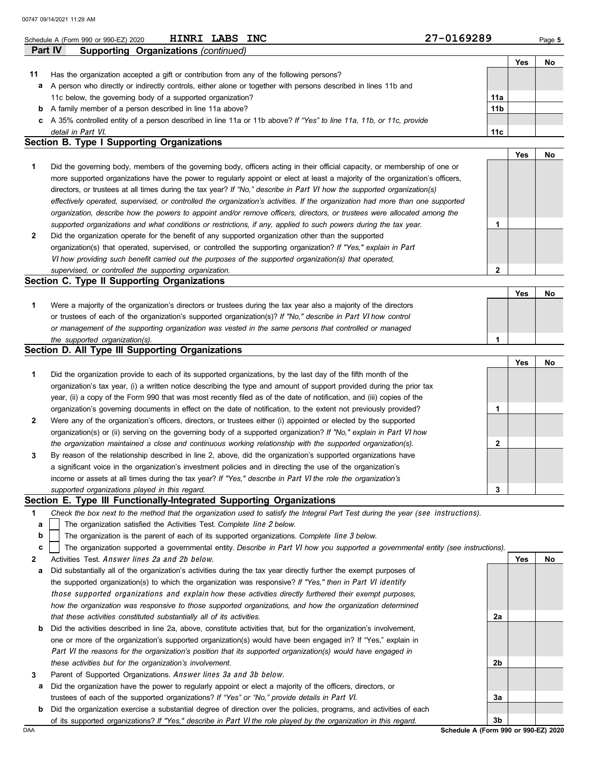|                | HINRI LABS INC<br>Schedule A (Form 990 or 990-EZ) 2020                                                                         | 27-0169289      |     | Page 5 |
|----------------|--------------------------------------------------------------------------------------------------------------------------------|-----------------|-----|--------|
| <b>Part IV</b> | <b>Supporting Organizations (continued)</b>                                                                                    |                 |     |        |
|                |                                                                                                                                |                 | Yes | No     |
| 11             | Has the organization accepted a gift or contribution from any of the following persons?                                        |                 |     |        |
| a              | A person who directly or indirectly controls, either alone or together with persons described in lines 11b and                 |                 |     |        |
|                | 11c below, the governing body of a supported organization?                                                                     | 11a             |     |        |
|                | <b>b</b> A family member of a person described in line 11a above?                                                              | 11 <sub>b</sub> |     |        |
|                | c A 35% controlled entity of a person described in line 11a or 11b above? If "Yes" to line 11a, 11b, or 11c, provide           |                 |     |        |
|                | detail in Part VI.                                                                                                             | 11c             |     |        |
|                | Section B. Type I Supporting Organizations                                                                                     |                 |     |        |
|                |                                                                                                                                |                 | Yes | No     |
| 1              | Did the governing body, members of the governing body, officers acting in their official capacity, or membership of one or     |                 |     |        |
|                | more supported organizations have the power to regularly appoint or elect at least a majority of the organization's officers,  |                 |     |        |
|                | directors, or trustees at all times during the tax year? If "No," describe in Part VI how the supported organization(s)        |                 |     |        |
|                | effectively operated, supervised, or controlled the organization's activities. If the organization had more than one supported |                 |     |        |
|                | organization, describe how the powers to appoint and/or remove officers, directors, or trustees were allocated among the       |                 |     |        |
|                | supported organizations and what conditions or restrictions, if any, applied to such powers during the tax year.               | 1               |     |        |
| $\mathbf{2}$   | Did the organization operate for the benefit of any supported organization other than the supported                            |                 |     |        |
|                | organization(s) that operated, supervised, or controlled the supporting organization? If "Yes," explain in Part                |                 |     |        |
|                | VI how providing such benefit carried out the purposes of the supported organization(s) that operated,                         |                 |     |        |
|                | supervised, or controlled the supporting organization.                                                                         | $\mathbf{2}$    |     |        |
|                | <b>Section C. Type II Supporting Organizations</b>                                                                             |                 |     |        |
|                |                                                                                                                                |                 | Yes | No     |
| 1              | Were a majority of the organization's directors or trustees during the tax year also a majority of the directors               |                 |     |        |
|                | or trustees of each of the organization's supported organization(s)? If "No," describe in Part VI how control                  |                 |     |        |
|                | or management of the supporting organization was vested in the same persons that controlled or managed                         |                 |     |        |
|                | the supported organization(s).                                                                                                 | 1               |     |        |
|                | Section D. All Type III Supporting Organizations                                                                               |                 |     |        |
|                |                                                                                                                                |                 | Yes | No     |
| 1              | Did the organization provide to each of its supported organizations, by the last day of the fifth month of the                 |                 |     |        |
|                | organization's tax year, (i) a written notice describing the type and amount of support provided during the prior tax          |                 |     |        |
|                | year, (ii) a copy of the Form 990 that was most recently filed as of the date of notification, and (iii) copies of the         |                 |     |        |

organization's governing documents in effect on the date of notification, to the extent not previously provided? **2** Were any of the organization's officers, directors, or trustees either (i) appointed or elected by the supported *the organization maintained a close and continuous working relationship with the supported organization(s).* organization(s) or (ii) serving on the governing body of a supported organization? *If "No," explain in* Part VI *how* **3**

*supported organizations played in this regard.* income or assets at all times during the tax year? *If "Yes," describe in* Part VI *the role the organization's* a significant voice in the organization's investment policies and in directing the use of the organization's By reason of the relationship described in line 2, above, did the organization's supported organizations have **3**

## **Section E. Type III Functionally-Integrated Supporting Organizations**

- **1** *Check the box next to the method that the organization used to satisfy the Integral Part Test during the year (*see instructions*).*
	- The organization satisfied the Activities Test. *Complete* line 2 *below.* **a**
	- The organization is the parent of each of its supported organizations. *Complete* line 3 *below.* **b**

The organization supported a governmental entity. *Describe in* Part VI *how you supported a governmental entity (see instructions).* **c**

- **2** Activities Test. Answer lines 2a and 2b below.
- **a** Did substantially all of the organization's activities during the tax year directly further the exempt purposes of the supported organization(s) to which the organization was responsive? *If "Yes," then in* Part VI identify those supported organizations and explain *how these activities directly furthered their exempt purposes, how the organization was responsive to those supported organizations, and how the organization determined that these activities constituted substantially all of its activities.*
- **b** Did the activities described in line 2a, above, constitute activities that, but for the organization's involvement, one or more of the organization's supported organization(s) would have been engaged in? If "Yes," explain in Part VI *the reasons for the organization's position that its supported organization(s) would have engaged in these activities but for the organization's involvement.*
- **3** Parent of Supported Organizations. Answer lines 3a and 3b below.
- **a** Did the organization have the power to regularly appoint or elect a majority of the officers, directors, or trustees of each of the supported organizations? *If "Yes" or "No," provide details in* Part VI.
- DAA **Schedule A (Form 990 or 990-EZ) 2020 b** Did the organization exercise a substantial degree of direction over the policies, programs, and activities of each of its supported organizations? *If "Yes," describe in* Part VI *the role played by the organization in this regard.*

**2b 3a 3b**

**Yes No**

**2a**

**1**

**2**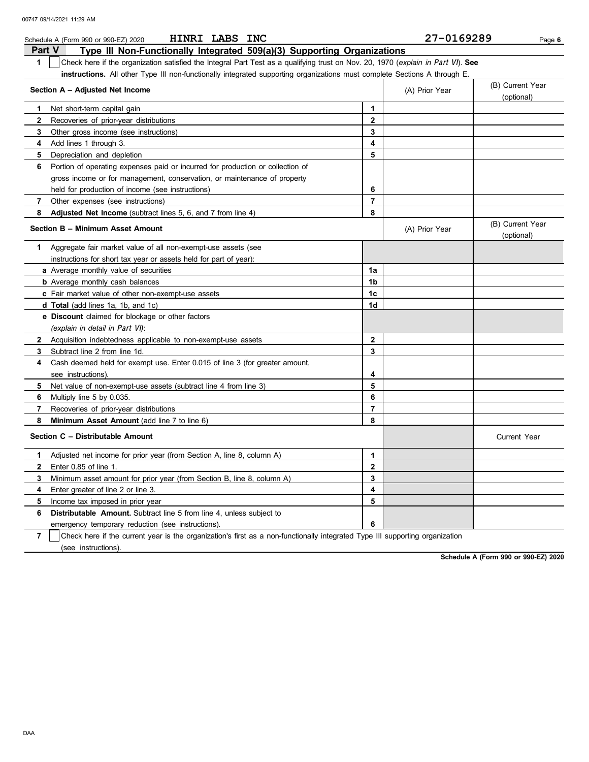|                | HINRI LABS INC<br>Schedule A (Form 990 or 990-EZ) 2020                                                                           |                | 27-0169289     | Page 6                         |
|----------------|----------------------------------------------------------------------------------------------------------------------------------|----------------|----------------|--------------------------------|
| <b>Part V</b>  | Type III Non-Functionally Integrated 509(a)(3) Supporting Organizations                                                          |                |                |                                |
| $\mathbf 1$    | Check here if the organization satisfied the Integral Part Test as a qualifying trust on Nov. 20, 1970 (explain in Part VI). See |                |                |                                |
|                | instructions. All other Type III non-functionally integrated supporting organizations must complete Sections A through E.        |                |                |                                |
|                | Section A - Adjusted Net Income                                                                                                  |                | (A) Prior Year | (B) Current Year               |
|                |                                                                                                                                  |                |                | (optional)                     |
| 1              | Net short-term capital gain                                                                                                      | 1              |                |                                |
| $\mathbf{2}$   | Recoveries of prior-year distributions                                                                                           | $\mathbf{2}$   |                |                                |
| 3              | Other gross income (see instructions)                                                                                            | 3              |                |                                |
| 4              | Add lines 1 through 3.                                                                                                           | 4              |                |                                |
| 5              | Depreciation and depletion                                                                                                       | 5              |                |                                |
| 6              | Portion of operating expenses paid or incurred for production or collection of                                                   |                |                |                                |
|                | gross income or for management, conservation, or maintenance of property                                                         |                |                |                                |
|                | held for production of income (see instructions)                                                                                 | 6              |                |                                |
| 7              | Other expenses (see instructions)                                                                                                | $\overline{7}$ |                |                                |
| 8              | Adjusted Net Income (subtract lines 5, 6, and 7 from line 4)                                                                     | 8              |                |                                |
|                | Section B - Minimum Asset Amount                                                                                                 |                | (A) Prior Year | (B) Current Year<br>(optional) |
| 1              | Aggregate fair market value of all non-exempt-use assets (see                                                                    |                |                |                                |
|                | instructions for short tax year or assets held for part of year):                                                                |                |                |                                |
|                | a Average monthly value of securities                                                                                            | 1a             |                |                                |
|                | <b>b</b> Average monthly cash balances                                                                                           | 1 <sub>b</sub> |                |                                |
|                | c Fair market value of other non-exempt-use assets                                                                               | 1 <sub>c</sub> |                |                                |
|                | <b>d Total</b> (add lines 1a, 1b, and 1c)                                                                                        | 1d             |                |                                |
|                | e Discount claimed for blockage or other factors                                                                                 |                |                |                                |
|                | (explain in detail in Part VI):                                                                                                  |                |                |                                |
| $\mathbf{2}$   | Acquisition indebtedness applicable to non-exempt-use assets                                                                     | $\mathbf{2}$   |                |                                |
| 3              | Subtract line 2 from line 1d.                                                                                                    | 3              |                |                                |
| 4              | Cash deemed held for exempt use. Enter 0.015 of line 3 (for greater amount,                                                      |                |                |                                |
|                | see instructions).                                                                                                               | 4              |                |                                |
| 5              | Net value of non-exempt-use assets (subtract line 4 from line 3)                                                                 | 5              |                |                                |
| 6              | Multiply line 5 by 0.035.                                                                                                        | 6              |                |                                |
| $\overline{7}$ | Recoveries of prior-year distributions                                                                                           | $\overline{7}$ |                |                                |
| 8              | Minimum Asset Amount (add line 7 to line 6)                                                                                      | 8              |                |                                |
|                | Section C - Distributable Amount                                                                                                 |                |                | <b>Current Year</b>            |
| 1              | Adjusted net income for prior year (from Section A, line 8, column A)                                                            | 1              |                |                                |
| $\mathbf{2}$   | Enter 0.85 of line 1.                                                                                                            | $\mathbf{2}$   |                |                                |
| 3              | Minimum asset amount for prior year (from Section B, line 8, column A)                                                           | 3              |                |                                |
| 4              | Enter greater of line 2 or line 3.                                                                                               | 4              |                |                                |
| 5              | Income tax imposed in prior year                                                                                                 | 5              |                |                                |
| 6              | <b>Distributable Amount.</b> Subtract line 5 from line 4, unless subject to                                                      |                |                |                                |
|                | emergency temporary reduction (see instructions).                                                                                | 6              |                |                                |

**7** | Check here if the current year is the organization's first as a non-functionally integrated Type III supporting organization (see instructions).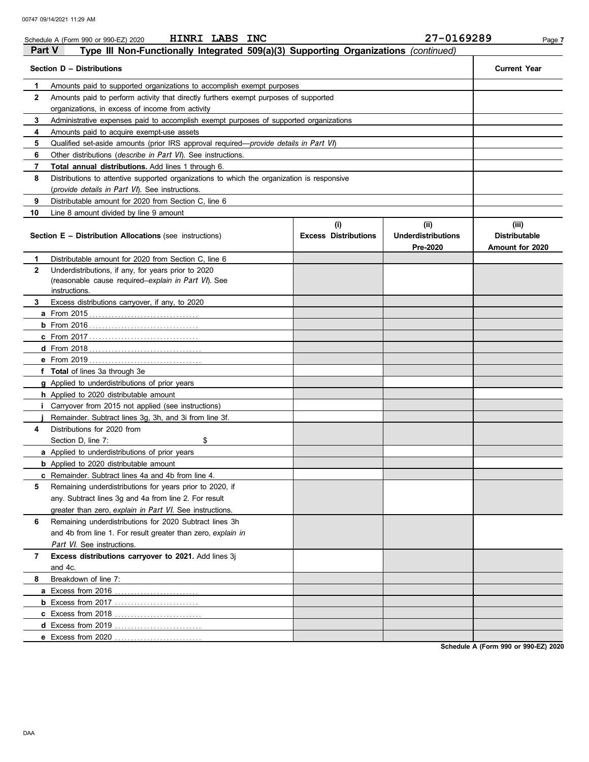|               | HINRI LABS INC<br>Schedule A (Form 990 or 990-EZ) 2020                                     |                             | 27-0169289                | Page 7               |  |  |  |  |  |  |  |
|---------------|--------------------------------------------------------------------------------------------|-----------------------------|---------------------------|----------------------|--|--|--|--|--|--|--|
| <b>Part V</b> | Type III Non-Functionally Integrated 509(a)(3) Supporting Organizations (continued)        |                             |                           |                      |  |  |  |  |  |  |  |
|               | Section D - Distributions                                                                  |                             |                           | <b>Current Year</b>  |  |  |  |  |  |  |  |
| 1             | Amounts paid to supported organizations to accomplish exempt purposes                      |                             |                           |                      |  |  |  |  |  |  |  |
| $\mathbf{2}$  | Amounts paid to perform activity that directly furthers exempt purposes of supported       |                             |                           |                      |  |  |  |  |  |  |  |
|               | organizations, in excess of income from activity                                           |                             |                           |                      |  |  |  |  |  |  |  |
| 3             | Administrative expenses paid to accomplish exempt purposes of supported organizations      |                             |                           |                      |  |  |  |  |  |  |  |
| 4             | Amounts paid to acquire exempt-use assets                                                  |                             |                           |                      |  |  |  |  |  |  |  |
| 5             | Qualified set-aside amounts (prior IRS approval required—provide details in Part VI)       |                             |                           |                      |  |  |  |  |  |  |  |
| 6             | Other distributions (describe in Part VI). See instructions.                               |                             |                           |                      |  |  |  |  |  |  |  |
| 7             | Total annual distributions. Add lines 1 through 6.                                         |                             |                           |                      |  |  |  |  |  |  |  |
| 8             | Distributions to attentive supported organizations to which the organization is responsive |                             |                           |                      |  |  |  |  |  |  |  |
|               | (provide details in Part VI). See instructions.                                            |                             |                           |                      |  |  |  |  |  |  |  |
| 9             | Distributable amount for 2020 from Section C, line 6                                       |                             |                           |                      |  |  |  |  |  |  |  |
| 10            | Line 8 amount divided by line 9 amount                                                     |                             |                           |                      |  |  |  |  |  |  |  |
|               |                                                                                            | (i)                         | (ii)                      | (iii)                |  |  |  |  |  |  |  |
|               | <b>Section E - Distribution Allocations (see instructions)</b>                             | <b>Excess Distributions</b> | <b>Underdistributions</b> | <b>Distributable</b> |  |  |  |  |  |  |  |
|               |                                                                                            |                             | Pre-2020                  | Amount for 2020      |  |  |  |  |  |  |  |
| 1             | Distributable amount for 2020 from Section C. line 6                                       |                             |                           |                      |  |  |  |  |  |  |  |
| $\mathbf{2}$  | Underdistributions, if any, for years prior to 2020                                        |                             |                           |                      |  |  |  |  |  |  |  |
|               | (reasonable cause required-explain in Part VI). See                                        |                             |                           |                      |  |  |  |  |  |  |  |
|               | instructions.                                                                              |                             |                           |                      |  |  |  |  |  |  |  |
| 3             | Excess distributions carryover, if any, to 2020                                            |                             |                           |                      |  |  |  |  |  |  |  |
|               |                                                                                            |                             |                           |                      |  |  |  |  |  |  |  |
|               |                                                                                            |                             |                           |                      |  |  |  |  |  |  |  |
|               |                                                                                            |                             |                           |                      |  |  |  |  |  |  |  |
|               |                                                                                            |                             |                           |                      |  |  |  |  |  |  |  |
|               |                                                                                            |                             |                           |                      |  |  |  |  |  |  |  |
|               | f Total of lines 3a through 3e                                                             |                             |                           |                      |  |  |  |  |  |  |  |
|               | g Applied to underdistributions of prior years                                             |                             |                           |                      |  |  |  |  |  |  |  |
|               | <b>h</b> Applied to 2020 distributable amount                                              |                             |                           |                      |  |  |  |  |  |  |  |
|               | Carryover from 2015 not applied (see instructions)                                         |                             |                           |                      |  |  |  |  |  |  |  |
|               | Remainder. Subtract lines 3g, 3h, and 3i from line 3f.                                     |                             |                           |                      |  |  |  |  |  |  |  |
| 4             | Distributions for 2020 from                                                                |                             |                           |                      |  |  |  |  |  |  |  |
|               | \$<br>Section D, line 7:                                                                   |                             |                           |                      |  |  |  |  |  |  |  |
|               | a Applied to underdistributions of prior years                                             |                             |                           |                      |  |  |  |  |  |  |  |
|               | <b>b</b> Applied to 2020 distributable amount                                              |                             |                           |                      |  |  |  |  |  |  |  |
|               | <b>c</b> Remainder. Subtract lines 4a and 4b from line 4.                                  |                             |                           |                      |  |  |  |  |  |  |  |
| 5             | Remaining underdistributions for years prior to 2020, if                                   |                             |                           |                      |  |  |  |  |  |  |  |
|               | any. Subtract lines 3g and 4a from line 2. For result                                      |                             |                           |                      |  |  |  |  |  |  |  |
|               | greater than zero, explain in Part VI. See instructions.                                   |                             |                           |                      |  |  |  |  |  |  |  |
| 6             | Remaining underdistributions for 2020 Subtract lines 3h                                    |                             |                           |                      |  |  |  |  |  |  |  |
|               | and 4b from line 1. For result greater than zero, explain in                               |                             |                           |                      |  |  |  |  |  |  |  |
|               | Part VI. See instructions.                                                                 |                             |                           |                      |  |  |  |  |  |  |  |
| 7             | Excess distributions carryover to 2021. Add lines 3j                                       |                             |                           |                      |  |  |  |  |  |  |  |
|               | and 4c.                                                                                    |                             |                           |                      |  |  |  |  |  |  |  |
| 8             | Breakdown of line 7:                                                                       |                             |                           |                      |  |  |  |  |  |  |  |
|               | a Excess from 2016<br>.                                                                    |                             |                           |                      |  |  |  |  |  |  |  |
|               | <b>b</b> Excess from 2017                                                                  |                             |                           |                      |  |  |  |  |  |  |  |
|               | c Excess from 2018                                                                         |                             |                           |                      |  |  |  |  |  |  |  |
|               | d Excess from 2019                                                                         |                             |                           |                      |  |  |  |  |  |  |  |
|               | e Excess from 2020                                                                         |                             |                           |                      |  |  |  |  |  |  |  |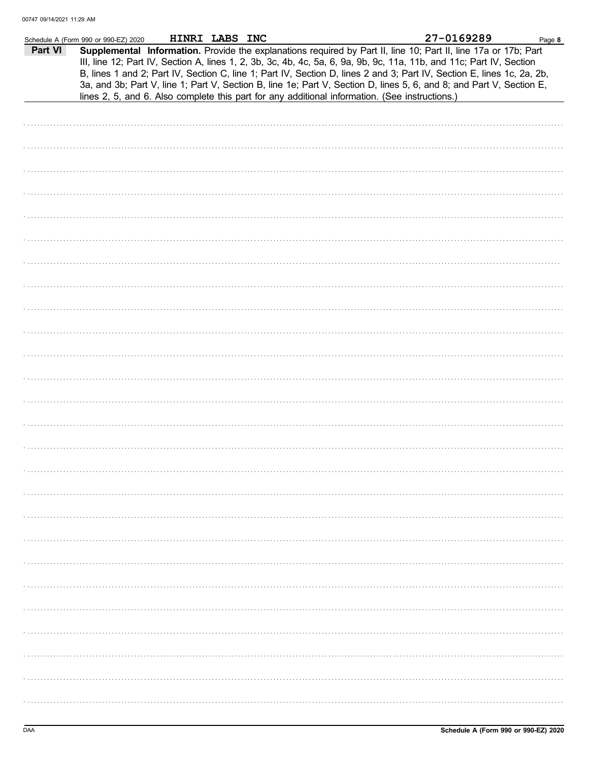|         | Schedule A (Form 990 or 990-EZ) 2020                                                           | HINRI LABS INC |  |  | 27-0169289                                                                                                                                                                                                                                                                                                                                                                                                                                                                                | Page 8 |
|---------|------------------------------------------------------------------------------------------------|----------------|--|--|-------------------------------------------------------------------------------------------------------------------------------------------------------------------------------------------------------------------------------------------------------------------------------------------------------------------------------------------------------------------------------------------------------------------------------------------------------------------------------------------|--------|
| Part VI | lines 2, 5, and 6. Also complete this part for any additional information. (See instructions.) |                |  |  | Supplemental Information. Provide the explanations required by Part II, line 10; Part II, line 17a or 17b; Part<br>III, line 12; Part IV, Section A, lines 1, 2, 3b, 3c, 4b, 4c, 5a, 6, 9a, 9b, 9c, 11a, 11b, and 11c; Part IV, Section<br>B, lines 1 and 2; Part IV, Section C, line 1; Part IV, Section D, lines 2 and 3; Part IV, Section E, lines 1c, 2a, 2b,<br>3a, and 3b; Part V, line 1; Part V, Section B, line 1e; Part V, Section D, lines 5, 6, and 8; and Part V, Section E, |        |
|         |                                                                                                |                |  |  |                                                                                                                                                                                                                                                                                                                                                                                                                                                                                           |        |
|         |                                                                                                |                |  |  |                                                                                                                                                                                                                                                                                                                                                                                                                                                                                           |        |
|         |                                                                                                |                |  |  |                                                                                                                                                                                                                                                                                                                                                                                                                                                                                           |        |
|         |                                                                                                |                |  |  |                                                                                                                                                                                                                                                                                                                                                                                                                                                                                           |        |
|         |                                                                                                |                |  |  |                                                                                                                                                                                                                                                                                                                                                                                                                                                                                           |        |
|         |                                                                                                |                |  |  |                                                                                                                                                                                                                                                                                                                                                                                                                                                                                           |        |
|         |                                                                                                |                |  |  |                                                                                                                                                                                                                                                                                                                                                                                                                                                                                           |        |
|         |                                                                                                |                |  |  |                                                                                                                                                                                                                                                                                                                                                                                                                                                                                           |        |
|         |                                                                                                |                |  |  |                                                                                                                                                                                                                                                                                                                                                                                                                                                                                           |        |
|         |                                                                                                |                |  |  |                                                                                                                                                                                                                                                                                                                                                                                                                                                                                           |        |
|         |                                                                                                |                |  |  |                                                                                                                                                                                                                                                                                                                                                                                                                                                                                           |        |
|         |                                                                                                |                |  |  |                                                                                                                                                                                                                                                                                                                                                                                                                                                                                           |        |
|         |                                                                                                |                |  |  |                                                                                                                                                                                                                                                                                                                                                                                                                                                                                           |        |
|         |                                                                                                |                |  |  |                                                                                                                                                                                                                                                                                                                                                                                                                                                                                           |        |
|         |                                                                                                |                |  |  |                                                                                                                                                                                                                                                                                                                                                                                                                                                                                           |        |
|         |                                                                                                |                |  |  |                                                                                                                                                                                                                                                                                                                                                                                                                                                                                           |        |
|         |                                                                                                |                |  |  |                                                                                                                                                                                                                                                                                                                                                                                                                                                                                           |        |
|         |                                                                                                |                |  |  |                                                                                                                                                                                                                                                                                                                                                                                                                                                                                           |        |
|         |                                                                                                |                |  |  |                                                                                                                                                                                                                                                                                                                                                                                                                                                                                           |        |
|         |                                                                                                |                |  |  |                                                                                                                                                                                                                                                                                                                                                                                                                                                                                           |        |
|         |                                                                                                |                |  |  |                                                                                                                                                                                                                                                                                                                                                                                                                                                                                           |        |
|         |                                                                                                |                |  |  |                                                                                                                                                                                                                                                                                                                                                                                                                                                                                           |        |
|         |                                                                                                |                |  |  |                                                                                                                                                                                                                                                                                                                                                                                                                                                                                           |        |
|         |                                                                                                |                |  |  |                                                                                                                                                                                                                                                                                                                                                                                                                                                                                           |        |
|         |                                                                                                |                |  |  |                                                                                                                                                                                                                                                                                                                                                                                                                                                                                           |        |
|         |                                                                                                |                |  |  |                                                                                                                                                                                                                                                                                                                                                                                                                                                                                           |        |
|         |                                                                                                |                |  |  |                                                                                                                                                                                                                                                                                                                                                                                                                                                                                           |        |
|         |                                                                                                |                |  |  |                                                                                                                                                                                                                                                                                                                                                                                                                                                                                           |        |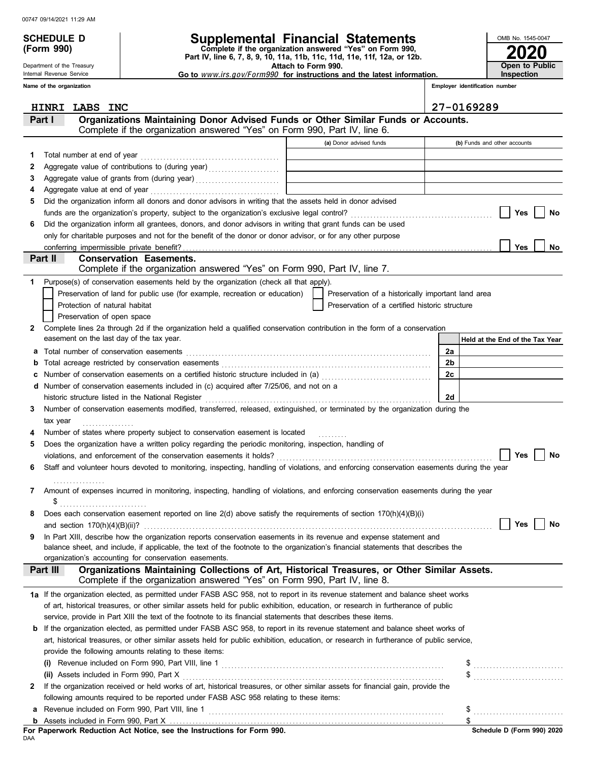Department of the Treasury Internal Revenue Service

# SCHEDULE D **Supplemental Financial Statements**<br>
(Form 990) Complete if the organization answered "Yes" on Form 990,

**(Form 990) Part IV, line 6, 7, 8, 9, 10, 11a, 11b, 11c, 11d, 11e, 11f, 12a, or 12b.**

 **Attach to Form 990.** 

**2020 Open to Public Inspection**

OMB No. 1545-0047

 **Go to** www.irs.gov/Form990 **for instructions and the latest information.**

**Conservation Easements.**  Does each conservation easement reported on line 2(d) above satisfy the requirements of section 170(h)(4)(B)(i) Number of states where property subject to conservation easement is located ......... If the organization received or held works of art, historical treasures, or other similar assets for financial gain, provide the **2 Part I Organizations Maintaining Donor Advised Funds or Other Similar Funds or Accounts. Employer identification number Name of the organization (a)** Donor advised funds **(b)** Funds and other accounts **a** Total number of conservation easements **with the conservation of the conservation** of the conservation easements **b** Total acreage restricted by conservation easements . . . . . . . . . . . . . . . . . . . . . . . . . . . . . . . . . . . . . . . . . . . . . . . . . . . . . . . . . . . . . . . . . **c** Number of conservation easements on a certified historic structure included in (a) . . . . . . . . . . . . . . . . . . . . . . . . . . . . . . . . . . **d** Number of conservation easements included in (c) acquired after 7/25/06, and not on a Assets included in Form 990, Part X . . . . . . . . . . . . . . . . . . . . . . . . . . . . . . . . . . . . . . . . . . . . . . . . . . . . . . . . . . . . . . . . . . . . . . . . . . . . . . . . . **(ii)** Revenue included on Form 990, Part VIII, line 1 . . . . . . . . . . . . . . . . . . . . . . . . . . . . . . . . . . . . . . . . . . . . . . . . . . . . . . . . . . . . . . . . . . . . . . . . . **a** Assets included in Form 990, Part X **Held at the End of the Tax Year** Complete if the organization answered "Yes" on Form 990, Part IV, line 6. of art, historical treasures, or other similar assets held for public exhibition, education, or research in furtherance of public service, provide in Part XIII the text of the footnote to its financial statements that describes these items. **b** If the organization elected, as permitted under FASB ASC 958, to report in its revenue statement and balance sheet works of art, historical treasures, or other similar assets held for public exhibition, education, or research in furtherance of public service, provide the following amounts relating to these items: **(i)** Revenue included on Form 990, Part VIII, line 1 . . . . . . . . . . . . . . . . . . . . . . . . . . . . . . . . . . . . . . . . . . . . . . . . . . . . . . . . . . . . . . . . . . . . . **1 2 3 4 5 6** Total number at end of year . . . . . . . . . . . . . . . . . . . . . . . . . . . . . . . . . . . . . . . . . . . Aggregate value of contributions to (during year) . . . . . . . . . . . . . . . . . . . . . . Aggregate value of grants from (during year) ................................... Aggregate value at end of year . . . . . . . . . . . . . . . . . . . . . . . . . . . . . . . . . . . . . . . . Did the organization inform all donors and donor advisors in writing that the assets held in donor advised funds are the organization's property, subject to the organization's exclusive legal control? . . . . . . . . . . . . . . . . . . . . . . . . . . . . . . . . . . . . . . . . . . . . Did the organization inform all grantees, donors, and donor advisors in writing that grant funds can be used only for charitable purposes and not for the benefit of the donor or donor advisor, or for any other purpose **Yes Yes No No Part II** Complete lines 2a through 2d if the organization held a qualified conservation contribution in the form of a conservation Purpose(s) of conservation easements held by the organization (check all that apply). **2 1** easement on the last day of the tax year. Preservation of land for public use (for example, recreation or education) Protection of natural habitat Preservation of open space Preservation of a certified historic structure Preservation of a historically important land area tax vear **3** Number of conservation easements modified, transferred, released, extinguished, or terminated by the organization during the **4 5** Does the organization have a written policy regarding the periodic monitoring, inspection, handling of violations, and enforcement of the conservation easements it holds? . . . . . . . . . . . . . . . . . . . . . . . . . . . . . . . . . . . . . . . . . . . . . . . . . . . . . . . . . . . . . . . . . . . **6** Staff and volunteer hours devoted to monitoring, inspecting, handling of violations, and enforcing conservation easements during the year **7** Amount of expenses incurred in monitoring, inspecting, handling of violations, and enforcing conservation easements during the year **8** and section  $170(h)(4)(B)(ii)$ ? balance sheet, and include, if applicable, the text of the footnote to the organization's financial statements that describes the **9** In Part XIII, describe how the organization reports conservation easements in its revenue and expense statement and organization's accounting for conservation easements. **Yes No Yes No** Complete if the organization answered "Yes" on Form 990, Part IV, line 8. **Part III Organizations Maintaining Collections of Art, Historical Treasures, or Other Similar Assets. 1a** If the organization elected, as permitted under FASB ASC 958, not to report in its revenue statement and balance sheet works following amounts required to be reported under FASB ASC 958 relating to these items: **b**  $\frac{1}{2}$ \$ . . . . . . . . . . . . . . . . . . . . . . . . . . . . \$ . . . . . . . . . . . . . . . . . . . . . . . . . . . . \$ **For Paperwork Reduction Act Notice, see the Instructions for Form 990.** conferring impermissible private benefit? . . . . . . . . . . . . . . . . . . . . . . . . . . . . . . . . . . . . . . . . . . . . . . . . . . . . . . . . . . . . . . . . . . . . . . . . . . . . . . . . . . . . . . . . . . . . . . . . **2a 2b 2c 2d** . . . . . . . . . . . . . . . . \$ . . . . . . . . . . . . . . . . . . . . . . . . . . . historic structure listed in the National Register . . . . . . . . . . . . . . . . . . . . . . . . . . . . . . . . . . . . . . . . . . . . . . . . . . . . . . . . . . . . . . . . . . . . . . Complete if the organization answered "Yes" on Form 990, Part IV, line 7. **HINRI LABS INC 27-0169289**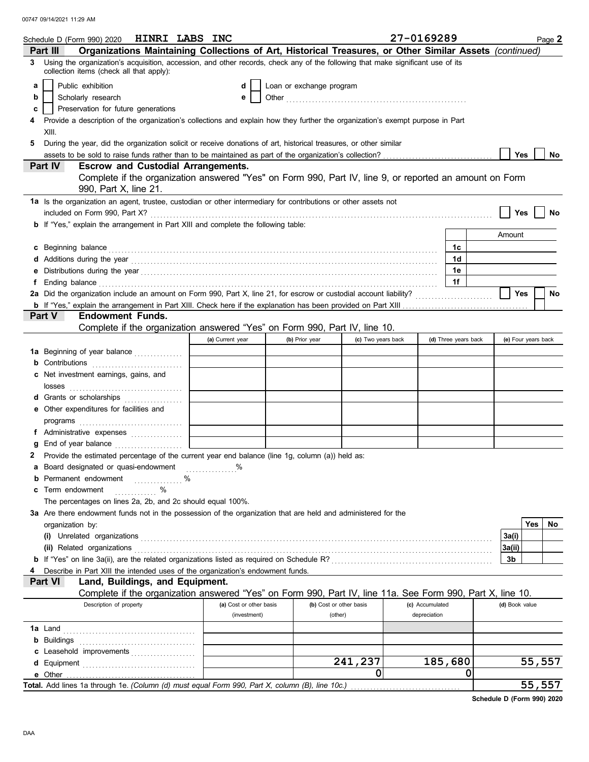|    | Schedule D (Form 990) 2020 <b>HINRI LABS INC</b>                                                                                                                                                                                     |                         |                          |                    | 27-0169289      |                      |                     |        | Page 2 |
|----|--------------------------------------------------------------------------------------------------------------------------------------------------------------------------------------------------------------------------------------|-------------------------|--------------------------|--------------------|-----------------|----------------------|---------------------|--------|--------|
|    | Organizations Maintaining Collections of Art, Historical Treasures, or Other Similar Assets (continued)<br>Part III                                                                                                                  |                         |                          |                    |                 |                      |                     |        |        |
| 3. | Using the organization's acquisition, accession, and other records, check any of the following that make significant use of its<br>collection items (check all that apply):                                                          |                         |                          |                    |                 |                      |                     |        |        |
| a  | Public exhibition                                                                                                                                                                                                                    | d                       | Loan or exchange program |                    |                 |                      |                     |        |        |
| b  | Scholarly research                                                                                                                                                                                                                   | е                       |                          |                    |                 |                      |                     |        |        |
| c  | Preservation for future generations                                                                                                                                                                                                  |                         |                          |                    |                 |                      |                     |        |        |
|    | Provide a description of the organization's collections and explain how they further the organization's exempt purpose in Part                                                                                                       |                         |                          |                    |                 |                      |                     |        |        |
|    | XIII.                                                                                                                                                                                                                                |                         |                          |                    |                 |                      |                     |        |        |
| 5  | During the year, did the organization solicit or receive donations of art, historical treasures, or other similar                                                                                                                    |                         |                          |                    |                 |                      |                     |        |        |
|    |                                                                                                                                                                                                                                      |                         |                          |                    |                 |                      | <b>Yes</b>          |        | No     |
|    | Part IV<br><b>Escrow and Custodial Arrangements.</b>                                                                                                                                                                                 |                         |                          |                    |                 |                      |                     |        |        |
|    | Complete if the organization answered "Yes" on Form 990, Part IV, line 9, or reported an amount on Form                                                                                                                              |                         |                          |                    |                 |                      |                     |        |        |
|    | 990, Part X, line 21.                                                                                                                                                                                                                |                         |                          |                    |                 |                      |                     |        |        |
|    | 1a Is the organization an agent, trustee, custodian or other intermediary for contributions or other assets not                                                                                                                      |                         |                          |                    |                 |                      |                     |        |        |
|    |                                                                                                                                                                                                                                      |                         |                          |                    |                 |                      | Yes                 |        | No     |
|    | <b>b</b> If "Yes," explain the arrangement in Part XIII and complete the following table:                                                                                                                                            |                         |                          |                    |                 |                      |                     |        |        |
|    |                                                                                                                                                                                                                                      |                         |                          |                    |                 |                      | Amount              |        |        |
|    |                                                                                                                                                                                                                                      |                         |                          |                    |                 | 1c                   |                     |        |        |
|    | c Beginning balance <b>contract the contract of the contract of the contract of the contract of the contract of the contract of the contract of the contract of the contract of the contract of the contract of the contract of </b> |                         |                          |                    |                 | 1d                   |                     |        |        |
|    |                                                                                                                                                                                                                                      |                         |                          |                    |                 | 1e                   |                     |        |        |
|    |                                                                                                                                                                                                                                      |                         |                          |                    |                 | 1f                   |                     |        |        |
|    |                                                                                                                                                                                                                                      |                         |                          |                    |                 |                      | <b>Yes</b>          |        | No     |
|    |                                                                                                                                                                                                                                      |                         |                          |                    |                 |                      |                     |        |        |
|    | <b>Endowment Funds.</b><br><b>Part V</b>                                                                                                                                                                                             |                         |                          |                    |                 |                      |                     |        |        |
|    | Complete if the organization answered "Yes" on Form 990, Part IV, line 10.                                                                                                                                                           |                         |                          |                    |                 |                      |                     |        |        |
|    |                                                                                                                                                                                                                                      | (a) Current year        | (b) Prior year           | (c) Two years back |                 | (d) Three years back | (e) Four years back |        |        |
|    | 1a Beginning of year balance                                                                                                                                                                                                         |                         |                          |                    |                 |                      |                     |        |        |
|    | <b>b</b> Contributions <b>contributions</b>                                                                                                                                                                                          |                         |                          |                    |                 |                      |                     |        |        |
|    | c Net investment earnings, gains, and                                                                                                                                                                                                |                         |                          |                    |                 |                      |                     |        |        |
|    |                                                                                                                                                                                                                                      |                         |                          |                    |                 |                      |                     |        |        |
|    | d Grants or scholarships                                                                                                                                                                                                             |                         |                          |                    |                 |                      |                     |        |        |
|    | e Other expenditures for facilities and                                                                                                                                                                                              |                         |                          |                    |                 |                      |                     |        |        |
|    |                                                                                                                                                                                                                                      |                         |                          |                    |                 |                      |                     |        |        |
|    | f Administrative expenses                                                                                                                                                                                                            |                         |                          |                    |                 |                      |                     |        |        |
|    | g End of year balance                                                                                                                                                                                                                |                         |                          |                    |                 |                      |                     |        |        |
|    | 2 Provide the estimated percentage of the current year end balance (line 1g, column (a)) held as:                                                                                                                                    |                         |                          |                    |                 |                      |                     |        |        |
|    | a Board designated or quasi-endowment                                                                                                                                                                                                |                         |                          |                    |                 |                      |                     |        |        |
|    | <b>b</b> Permanent endowment                                                                                                                                                                                                         |                         |                          |                    |                 |                      |                     |        |        |
|    | . %<br>Term endowment<br>$\%$                                                                                                                                                                                                        |                         |                          |                    |                 |                      |                     |        |        |
|    | The percentages on lines 2a, 2b, and 2c should equal 100%.                                                                                                                                                                           |                         |                          |                    |                 |                      |                     |        |        |
|    | 3a Are there endowment funds not in the possession of the organization that are held and administered for the                                                                                                                        |                         |                          |                    |                 |                      |                     |        |        |
|    | organization by:                                                                                                                                                                                                                     |                         |                          |                    |                 |                      |                     | Yes    | No.    |
|    |                                                                                                                                                                                                                                      |                         |                          |                    |                 |                      | 3a(i)               |        |        |
|    |                                                                                                                                                                                                                                      |                         |                          |                    |                 |                      | 3a(ii)              |        |        |
|    |                                                                                                                                                                                                                                      |                         |                          |                    |                 |                      | 3b                  |        |        |
|    | Describe in Part XIII the intended uses of the organization's endowment funds.                                                                                                                                                       |                         |                          |                    |                 |                      |                     |        |        |
|    | Land, Buildings, and Equipment.<br><b>Part VI</b>                                                                                                                                                                                    |                         |                          |                    |                 |                      |                     |        |        |
|    | Complete if the organization answered "Yes" on Form 990, Part IV, line 11a. See Form 990, Part X, line 10.                                                                                                                           |                         |                          |                    |                 |                      |                     |        |        |
|    | Description of property                                                                                                                                                                                                              | (a) Cost or other basis | (b) Cost or other basis  |                    | (c) Accumulated |                      | (d) Book value      |        |        |
|    |                                                                                                                                                                                                                                      | (investment)            | (other)                  |                    | depreciation    |                      |                     |        |        |
|    |                                                                                                                                                                                                                                      |                         |                          |                    |                 |                      |                     |        |        |
|    |                                                                                                                                                                                                                                      |                         |                          |                    |                 |                      |                     |        |        |
|    |                                                                                                                                                                                                                                      |                         |                          |                    |                 |                      |                     |        |        |
|    | c Leasehold improvements                                                                                                                                                                                                             |                         |                          | 241,237            |                 | 185,680              |                     | 55,557 |        |
|    |                                                                                                                                                                                                                                      |                         |                          | 0                  |                 | 0                    |                     |        |        |
|    | Total. Add lines 1a through 1e. (Column (d) must equal Form 990, Part X, column (B), line 10c.)                                                                                                                                      |                         |                          |                    |                 |                      |                     | 55,557 |        |
|    |                                                                                                                                                                                                                                      |                         |                          |                    |                 |                      |                     |        |        |

**Schedule D (Form 990) 2020**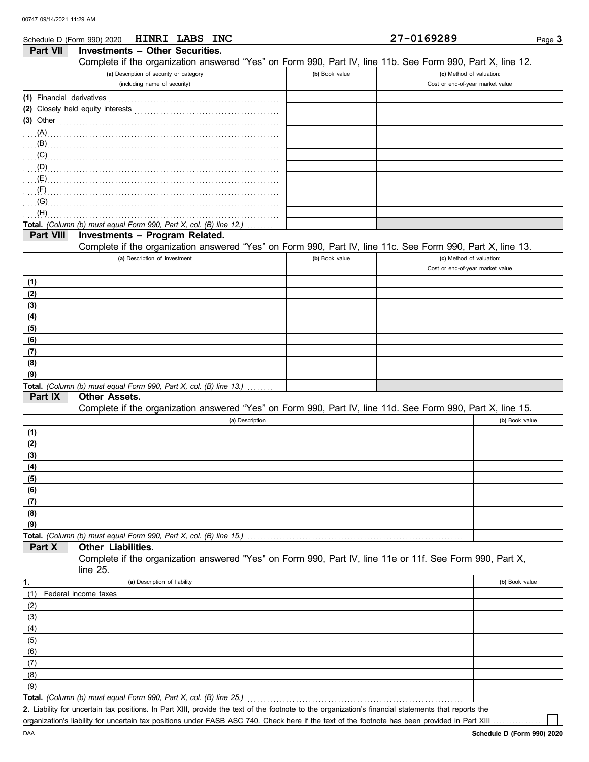DAA

| Schedule D (Form 990) 2020                                |                                         |                               | HINRI LABS INC                                                                                                 |                | 27-0169289                                                                                                 | Page 3         |
|-----------------------------------------------------------|-----------------------------------------|-------------------------------|----------------------------------------------------------------------------------------------------------------|----------------|------------------------------------------------------------------------------------------------------------|----------------|
| Part VII                                                  | <b>Investments - Other Securities.</b>  |                               |                                                                                                                |                |                                                                                                            |                |
|                                                           |                                         |                               |                                                                                                                |                | Complete if the organization answered "Yes" on Form 990, Part IV, line 11b. See Form 990, Part X, line 12. |                |
|                                                           | (a) Description of security or category |                               |                                                                                                                | (b) Book value | (c) Method of valuation:                                                                                   |                |
|                                                           |                                         | (including name of security)  |                                                                                                                |                | Cost or end-of-year market value                                                                           |                |
| (1) Financial derivatives                                 |                                         |                               |                                                                                                                |                |                                                                                                            |                |
|                                                           | (2) Closely held equity interests       |                               | and a complete the contract of the complete the complete the complete the complete the complete the complete t |                |                                                                                                            |                |
| $(3)$ Other                                               |                                         |                               |                                                                                                                |                |                                                                                                            |                |
| $\ldots$ (A) $\ldots$ $\ldots$ $\ldots$ $\ldots$ $\ldots$ |                                         |                               |                                                                                                                |                |                                                                                                            |                |
|                                                           |                                         |                               |                                                                                                                |                |                                                                                                            |                |
| (C)                                                       |                                         |                               |                                                                                                                |                |                                                                                                            |                |
| (D)                                                       |                                         |                               |                                                                                                                |                |                                                                                                            |                |
| (E)                                                       |                                         |                               |                                                                                                                |                |                                                                                                            |                |
| (F)                                                       |                                         |                               |                                                                                                                |                |                                                                                                            |                |
| (G)                                                       |                                         |                               |                                                                                                                |                |                                                                                                            |                |
| (H)                                                       |                                         |                               |                                                                                                                |                |                                                                                                            |                |
|                                                           |                                         |                               | Total. (Column (b) must equal Form 990, Part X, col. (B) line 12.)                                             |                |                                                                                                            |                |
| Part VIII                                                 | Investments - Program Related.          |                               |                                                                                                                |                |                                                                                                            |                |
|                                                           |                                         |                               |                                                                                                                |                | Complete if the organization answered "Yes" on Form 990, Part IV, line 11c. See Form 990, Part X, line 13. |                |
|                                                           |                                         | (a) Description of investment |                                                                                                                | (b) Book value | (c) Method of valuation:                                                                                   |                |
|                                                           |                                         |                               |                                                                                                                |                | Cost or end-of-year market value                                                                           |                |
| (1)                                                       |                                         |                               |                                                                                                                |                |                                                                                                            |                |
| (2)                                                       |                                         |                               |                                                                                                                |                |                                                                                                            |                |
| (3)                                                       |                                         |                               |                                                                                                                |                |                                                                                                            |                |
| (4)                                                       |                                         |                               |                                                                                                                |                |                                                                                                            |                |
| (5)                                                       |                                         |                               |                                                                                                                |                |                                                                                                            |                |
| (6)                                                       |                                         |                               |                                                                                                                |                |                                                                                                            |                |
| (7)                                                       |                                         |                               |                                                                                                                |                |                                                                                                            |                |
| (8)                                                       |                                         |                               |                                                                                                                |                |                                                                                                            |                |
| (9)                                                       |                                         |                               |                                                                                                                |                |                                                                                                            |                |
|                                                           |                                         |                               | Total. (Column (b) must equal Form 990, Part X, col. (B) line 13.)                                             |                |                                                                                                            |                |
| Part IX                                                   | <b>Other Assets.</b>                    |                               |                                                                                                                |                |                                                                                                            |                |
|                                                           |                                         |                               |                                                                                                                |                | Complete if the organization answered "Yes" on Form 990, Part IV, line 11d. See Form 990, Part X, line 15. |                |
|                                                           |                                         |                               | (a) Description                                                                                                |                |                                                                                                            | (b) Book value |
| (1)                                                       |                                         |                               |                                                                                                                |                |                                                                                                            |                |
| (2)                                                       |                                         |                               |                                                                                                                |                |                                                                                                            |                |
| (3)                                                       |                                         |                               |                                                                                                                |                |                                                                                                            |                |
| (4)                                                       |                                         |                               |                                                                                                                |                |                                                                                                            |                |
| (5)                                                       |                                         |                               |                                                                                                                |                |                                                                                                            |                |
| (6)                                                       |                                         |                               |                                                                                                                |                |                                                                                                            |                |
| (7)                                                       |                                         |                               |                                                                                                                |                |                                                                                                            |                |
| (8)                                                       |                                         |                               |                                                                                                                |                |                                                                                                            |                |
| (9)                                                       |                                         |                               | Total. (Column (b) must equal Form 990, Part X, col. (B) line 15.)                                             |                |                                                                                                            |                |
| Part X                                                    | <b>Other Liabilities.</b>               |                               |                                                                                                                |                |                                                                                                            |                |
|                                                           |                                         |                               |                                                                                                                |                | Complete if the organization answered "Yes" on Form 990, Part IV, line 11e or 11f. See Form 990, Part X,   |                |
|                                                           | line 25.                                |                               |                                                                                                                |                |                                                                                                            |                |
| 1.                                                        |                                         | (a) Description of liability  |                                                                                                                |                |                                                                                                            | (b) Book value |
| (1)                                                       | Federal income taxes                    |                               |                                                                                                                |                |                                                                                                            |                |
| (2)                                                       |                                         |                               |                                                                                                                |                |                                                                                                            |                |
| (3)                                                       |                                         |                               |                                                                                                                |                |                                                                                                            |                |
| (4)                                                       |                                         |                               |                                                                                                                |                |                                                                                                            |                |
| (5)                                                       |                                         |                               |                                                                                                                |                |                                                                                                            |                |
| (6)                                                       |                                         |                               |                                                                                                                |                |                                                                                                            |                |
| (7)                                                       |                                         |                               |                                                                                                                |                |                                                                                                            |                |
| (8)                                                       |                                         |                               |                                                                                                                |                |                                                                                                            |                |
| (9)                                                       |                                         |                               |                                                                                                                |                |                                                                                                            |                |
|                                                           |                                         |                               | <b>Total.</b> (Column (b) must equal Form 990, Part X, col. (B) line 25.)                                      |                |                                                                                                            |                |
|                                                           |                                         |                               |                                                                                                                |                |                                                                                                            |                |

Liability for uncertain tax positions. In Part XIII, provide the text of the footnote to the organization's financial statements that reports the **2.** organization's liability for uncertain tax positions under FASB ASC 740. Check here if the text of the footnote has been provided in Part XIII .

٦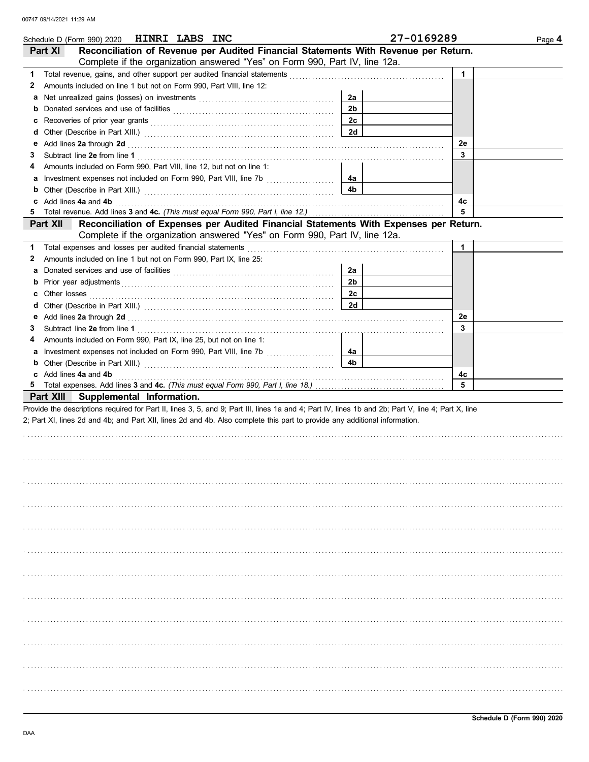| Schedule D (Form 990) 2020 HINRI LABS INC                                                                                                                                                                                                 |                | 27-0169289   | Page 4 |
|-------------------------------------------------------------------------------------------------------------------------------------------------------------------------------------------------------------------------------------------|----------------|--------------|--------|
| Reconciliation of Revenue per Audited Financial Statements With Revenue per Return.<br>Part XI                                                                                                                                            |                |              |        |
| Complete if the organization answered "Yes" on Form 990, Part IV, line 12a.                                                                                                                                                               |                |              |        |
| 1                                                                                                                                                                                                                                         |                | $\mathbf{1}$ |        |
| Amounts included on line 1 but not on Form 990, Part VIII, line 12:<br>2                                                                                                                                                                  |                |              |        |
|                                                                                                                                                                                                                                           | 2a             |              |        |
| Donated services and use of facilities [[11, 11] contracts are not in the service of facilities [[11, 11] contracts and use of facilities [[11, 11] contracts are not in the service of the service of the service of the serv<br>b       | 2 <sub>b</sub> |              |        |
| c                                                                                                                                                                                                                                         | 2c             |              |        |
| d                                                                                                                                                                                                                                         | 2d             |              |        |
| е                                                                                                                                                                                                                                         |                | 2e           |        |
| Add lines 2a through 2d [11] Additional Property and Property and Property and Property and Property and Property and Property and Property and Property and Property and Property and Property and Property and Property and<br>3        |                | 3            |        |
| Amounts included on Form 990, Part VIII, line 12, but not on line 1:<br>4                                                                                                                                                                 |                |              |        |
| Investment expenses not included on Form 990, Part VIII, line 7b<br>a                                                                                                                                                                     | 4а             |              |        |
| b                                                                                                                                                                                                                                         | 4b             |              |        |
| Add lines 4a and 4b<br>c                                                                                                                                                                                                                  |                | 4c           |        |
| 5                                                                                                                                                                                                                                         |                | 5            |        |
| Reconciliation of Expenses per Audited Financial Statements With Expenses per Return.<br>Part XII                                                                                                                                         |                |              |        |
| Complete if the organization answered "Yes" on Form 990, Part IV, line 12a.                                                                                                                                                               |                |              |        |
| 1                                                                                                                                                                                                                                         |                | 1            |        |
| Amounts included on line 1 but not on Form 990, Part IX, line 25:<br>2                                                                                                                                                                    |                |              |        |
| a                                                                                                                                                                                                                                         | 2a             |              |        |
| b                                                                                                                                                                                                                                         | 2b             |              |        |
|                                                                                                                                                                                                                                           | 2c             |              |        |
| Other losses <b>contract the contract of the contract of the contract of the contract of the contract of the contract of the contract of the contract of the contract of the contract of the contract of the contract of the con</b><br>c | 2d             |              |        |
| d                                                                                                                                                                                                                                         |                |              |        |
| Add lines 2a through 2d [11] All and the contract of the contract of the contract of the contract of the contract of the contract of the contract of the contract of the contract of the contract of the contract of the contr<br>е       |                | 2e<br>3      |        |
| 3                                                                                                                                                                                                                                         |                |              |        |
| Amounts included on Form 990, Part IX, line 25, but not on line 1:<br>4                                                                                                                                                                   |                |              |        |
|                                                                                                                                                                                                                                           | 4a             |              |        |
| b                                                                                                                                                                                                                                         | 4 <sub>b</sub> |              |        |
| c Add lines 4a and 4b                                                                                                                                                                                                                     |                | 4c<br>5      |        |
|                                                                                                                                                                                                                                           |                |              |        |
| Part XIII Supplemental Information.                                                                                                                                                                                                       |                |              |        |
| Provide the descriptions required for Part II, lines 3, 5, and 9; Part III, lines 1a and 4; Part IV, lines 1b and 2b; Part V, line 4; Part X, line                                                                                        |                |              |        |
| 2; Part XI, lines 2d and 4b; and Part XII, lines 2d and 4b. Also complete this part to provide any additional information.                                                                                                                |                |              |        |
|                                                                                                                                                                                                                                           |                |              |        |
|                                                                                                                                                                                                                                           |                |              |        |
|                                                                                                                                                                                                                                           |                |              |        |
|                                                                                                                                                                                                                                           |                |              |        |
|                                                                                                                                                                                                                                           |                |              |        |
|                                                                                                                                                                                                                                           |                |              |        |
|                                                                                                                                                                                                                                           |                |              |        |
|                                                                                                                                                                                                                                           |                |              |        |
|                                                                                                                                                                                                                                           |                |              |        |
|                                                                                                                                                                                                                                           |                |              |        |
|                                                                                                                                                                                                                                           |                |              |        |
|                                                                                                                                                                                                                                           |                |              |        |
|                                                                                                                                                                                                                                           |                |              |        |
|                                                                                                                                                                                                                                           |                |              |        |
|                                                                                                                                                                                                                                           |                |              |        |
|                                                                                                                                                                                                                                           |                |              |        |
|                                                                                                                                                                                                                                           |                |              |        |
|                                                                                                                                                                                                                                           |                |              |        |
|                                                                                                                                                                                                                                           |                |              |        |
|                                                                                                                                                                                                                                           |                |              |        |
|                                                                                                                                                                                                                                           |                |              |        |
|                                                                                                                                                                                                                                           |                |              |        |
|                                                                                                                                                                                                                                           |                |              |        |
|                                                                                                                                                                                                                                           |                |              |        |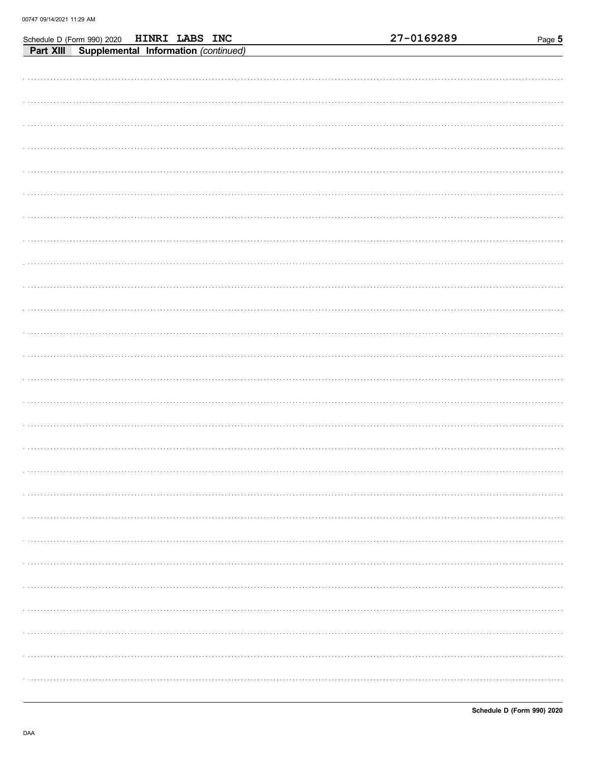| HINRI LABS INC<br>Schedule D (Form 990) 2020      | 27-0169289 | Page 5 |
|---------------------------------------------------|------------|--------|
| Supplemental Information (continued)<br>Part XIII |            |        |
|                                                   |            |        |
|                                                   |            |        |
|                                                   |            |        |
|                                                   |            |        |
|                                                   |            |        |
|                                                   |            |        |
|                                                   |            |        |
|                                                   |            |        |
|                                                   |            |        |
|                                                   |            |        |
|                                                   |            |        |
|                                                   |            |        |
|                                                   |            |        |
|                                                   |            |        |
|                                                   |            |        |
|                                                   |            |        |
|                                                   |            |        |
|                                                   |            |        |
|                                                   |            |        |
|                                                   |            |        |
|                                                   |            |        |
|                                                   |            |        |
|                                                   |            |        |
|                                                   |            |        |
|                                                   |            |        |
|                                                   |            |        |
|                                                   |            |        |
|                                                   |            |        |
|                                                   |            |        |
|                                                   |            |        |
|                                                   |            |        |
|                                                   |            |        |
|                                                   |            |        |
|                                                   |            |        |
|                                                   |            |        |
|                                                   |            |        |
|                                                   |            |        |
|                                                   |            |        |
|                                                   |            |        |
|                                                   |            |        |
|                                                   |            |        |
|                                                   |            |        |
|                                                   |            |        |
|                                                   |            |        |
|                                                   |            |        |
|                                                   |            |        |
|                                                   |            |        |
|                                                   |            |        |
|                                                   |            |        |
|                                                   |            |        |
|                                                   |            |        |
|                                                   |            |        |
|                                                   |            |        |
|                                                   |            |        |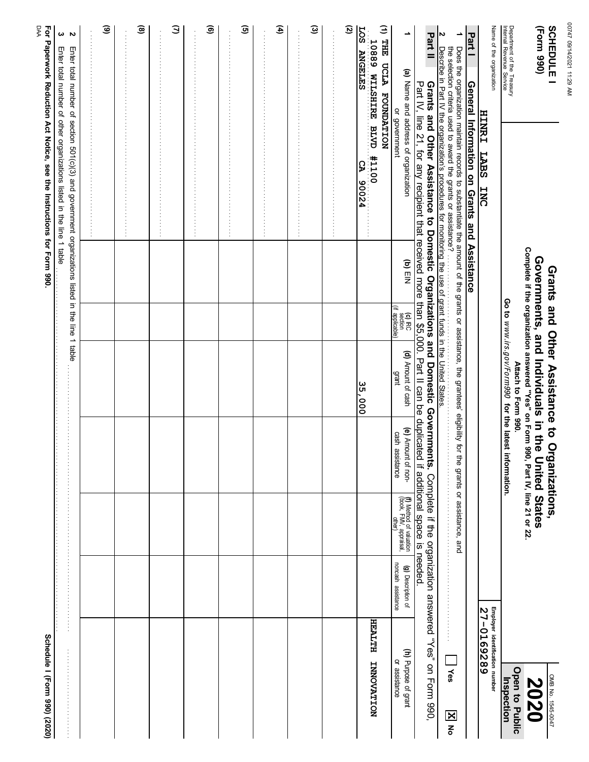| ŗ<br>í |
|--------|
| ï      |
| í      |
|        |

| <b>Paperwork Reduction Act Notice, see t</b> |  |
|----------------------------------------------|--|
|                                              |  |
|                                              |  |
| $\frac{1}{2}$                                |  |
|                                              |  |
|                                              |  |
| e lhstructions for Form 990.                 |  |
|                                              |  |
| π                                            |  |
|                                              |  |

| <b>SCHEDULE I</b><br>(Form 990)                        |                                                                                                                                                                                                |         |                                               | Grants and Other Assistance to Organizations,                                                                           |                                       |                                                                    |                                          |                                | OMB No. 1545-0047                     |
|--------------------------------------------------------|------------------------------------------------------------------------------------------------------------------------------------------------------------------------------------------------|---------|-----------------------------------------------|-------------------------------------------------------------------------------------------------------------------------|---------------------------------------|--------------------------------------------------------------------|------------------------------------------|--------------------------------|---------------------------------------|
|                                                        |                                                                                                                                                                                                |         |                                               | Complete if the organization answered "Yes" on Form 990, Part IV, line 21 or 22.<br>Governments, and Individuals in the |                                       | <b>United States</b>                                               |                                          |                                | 2020                                  |
| Department of the Treasury<br>Internal Revenue Service |                                                                                                                                                                                                |         |                                               | Go to www.irs.gov/Form990 for the latest<br>Attach to Form 990.                                                         | information.                          |                                                                    |                                          |                                | Open to Public<br>Inspection          |
| Name of the organization                               |                                                                                                                                                                                                |         |                                               |                                                                                                                         |                                       |                                                                    |                                          | Employer identification number |                                       |
|                                                        | <b>HINRI</b><br><b>LABS</b><br><b>TNC</b>                                                                                                                                                      |         |                                               |                                                                                                                         |                                       |                                                                    |                                          | 27-0169289                     |                                       |
| Part <sub>1</sub>                                      | General Information on Grants and Assistance                                                                                                                                                   |         |                                               |                                                                                                                         |                                       |                                                                    |                                          |                                |                                       |
| ∸                                                      |                                                                                                                                                                                                |         |                                               |                                                                                                                         |                                       | the grants or assistance, and                                      |                                          |                                |                                       |
| N                                                      | Does the organization maintain records to substantiate the amount of the grants or assistance, the grantees' eligibility for<br>the selection criteria used to award the grants or assistance? |         |                                               |                                                                                                                         |                                       |                                                                    |                                          |                                | $ $ Yes                               |
| Part II                                                | Grants and Other Assistance to Domestic Organizations and Domestic Governments. Complete if the organization answered "Yes" on Form 990,                                                       |         |                                               |                                                                                                                         |                                       |                                                                    |                                          |                                |                                       |
|                                                        | Part IV, line 21, for any recipient that received more than \$5,000. Part II can be duplicated if additional space is needed.                                                                  |         |                                               |                                                                                                                         |                                       |                                                                    |                                          |                                |                                       |
| ∸                                                      | (a) Name and address of organization<br>or government                                                                                                                                          | (b) EIN | (d) IRC<br>(ff applicable)<br>(if applicable) | (d) Amount of cash<br>grant                                                                                             | (e) Amount of non-<br>cash assistance | <b>(f)</b> Method of valuation<br>(book, FMV, appraisal,<br>other) | noncash assistance<br>(g) Description of |                                | (h) Purpose of grant<br>or assistance |
| (1) THE UCLA<br>FOUNDATION                             |                                                                                                                                                                                                |         |                                               |                                                                                                                         |                                       |                                                                    |                                          |                                |                                       |
| <b>EOS</b><br>10889 NILSHIRE BLVD<br><b>ANGELES</b>    | 11100<br><b>S</b><br>90024                                                                                                                                                                     |         |                                               | 35,000                                                                                                                  |                                       |                                                                    |                                          | HEALTH IMPOVATION              |                                       |
| Q                                                      |                                                                                                                                                                                                |         |                                               |                                                                                                                         |                                       |                                                                    |                                          |                                |                                       |
|                                                        |                                                                                                                                                                                                |         |                                               |                                                                                                                         |                                       |                                                                    |                                          |                                |                                       |
| $\widehat{\boldsymbol{\omega}}$                        |                                                                                                                                                                                                |         |                                               |                                                                                                                         |                                       |                                                                    |                                          |                                |                                       |
|                                                        |                                                                                                                                                                                                |         |                                               |                                                                                                                         |                                       |                                                                    |                                          |                                |                                       |
| £                                                      |                                                                                                                                                                                                |         |                                               |                                                                                                                         |                                       |                                                                    |                                          |                                |                                       |
|                                                        |                                                                                                                                                                                                |         |                                               |                                                                                                                         |                                       |                                                                    |                                          |                                |                                       |
| ⊙                                                      |                                                                                                                                                                                                |         |                                               |                                                                                                                         |                                       |                                                                    |                                          |                                |                                       |
|                                                        |                                                                                                                                                                                                |         |                                               |                                                                                                                         |                                       |                                                                    |                                          |                                |                                       |
| ම                                                      |                                                                                                                                                                                                |         |                                               |                                                                                                                         |                                       |                                                                    |                                          |                                |                                       |
|                                                        |                                                                                                                                                                                                |         |                                               |                                                                                                                         |                                       |                                                                    |                                          |                                |                                       |
| Э                                                      |                                                                                                                                                                                                |         |                                               |                                                                                                                         |                                       |                                                                    |                                          |                                |                                       |
|                                                        |                                                                                                                                                                                                |         |                                               |                                                                                                                         |                                       |                                                                    |                                          |                                |                                       |
| ⊛                                                      |                                                                                                                                                                                                |         |                                               |                                                                                                                         |                                       |                                                                    |                                          |                                |                                       |
|                                                        |                                                                                                                                                                                                |         |                                               |                                                                                                                         |                                       |                                                                    |                                          |                                |                                       |
| $\widehat{\mathbf{e}}$                                 |                                                                                                                                                                                                |         |                                               |                                                                                                                         |                                       |                                                                    |                                          |                                |                                       |
|                                                        |                                                                                                                                                                                                |         |                                               |                                                                                                                         |                                       |                                                                    |                                          |                                |                                       |
| Z                                                      | Enter total number of section 501(c)(3) and government organizations listed in the line 1 table                                                                                                |         |                                               |                                                                                                                         |                                       |                                                                    |                                          |                                |                                       |
| ω                                                      | Enter total number of other organizations listed in the line 1 table                                                                                                                           |         |                                               |                                                                                                                         |                                       |                                                                    |                                          |                                |                                       |
| <b>DAA</b>                                             | For Paperwork Reduction Act Notice, see the Instructions for Form 990.                                                                                                                         |         |                                               |                                                                                                                         |                                       |                                                                    |                                          | Schedule I (Form 990) (2020)   |                                       |
|                                                        |                                                                                                                                                                                                |         |                                               |                                                                                                                         |                                       |                                                                    |                                          |                                |                                       |

MA 82:11 120214/2021 00 00747 09/14/2021 11:29 AM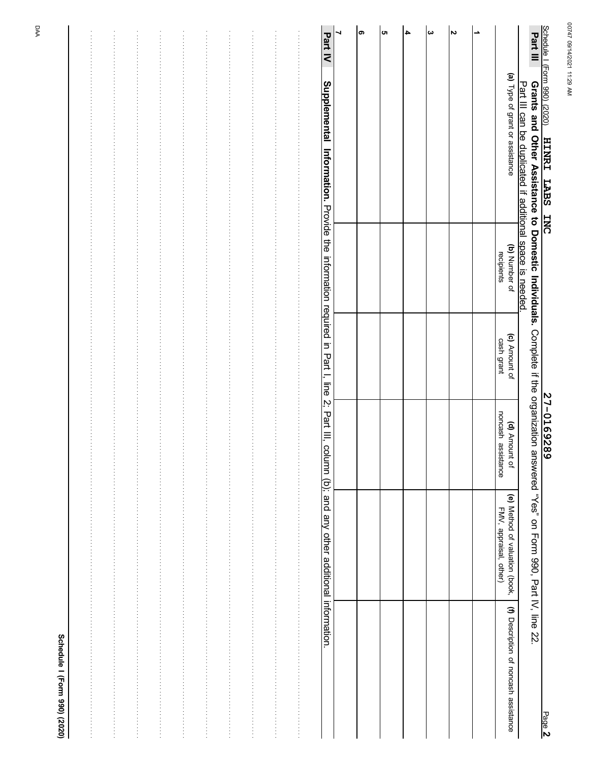| ŧ |  |
|---|--|
|   |  |
| i |  |
|   |  |

| Schedule I (Form 990) (2020)<br><u>HINRI LABS INC</u>                                                                                                                                                  |                             |                             | <u>27-0169289</u>                   |                                                          | Page 2                                |
|--------------------------------------------------------------------------------------------------------------------------------------------------------------------------------------------------------|-----------------------------|-----------------------------|-------------------------------------|----------------------------------------------------------|---------------------------------------|
| Part III<br>Grants and Other Assistance to Domestic Individuals. Complete if the organization answered "Yes" on Form 990, Part IV, line 22<br>Part III can be duplicated if additional space is needed |                             |                             |                                     |                                                          |                                       |
| (a) Type of grant or assistance                                                                                                                                                                        | (b) Number of<br>recipients | (c) Amount of<br>cash grant | noncash assistance<br>(d) Amount of | (e) Method of valuation (book,<br>FMV, appraisal, other) | (f) Description of noncash assistance |
| ∸                                                                                                                                                                                                      |                             |                             |                                     |                                                          |                                       |
| N                                                                                                                                                                                                      |                             |                             |                                     |                                                          |                                       |
| $\boldsymbol{\omega}$                                                                                                                                                                                  |                             |                             |                                     |                                                          |                                       |
| 4                                                                                                                                                                                                      |                             |                             |                                     |                                                          |                                       |
| lсп                                                                                                                                                                                                    |                             |                             |                                     |                                                          |                                       |
| თ                                                                                                                                                                                                      |                             |                             |                                     |                                                          |                                       |
| ┙                                                                                                                                                                                                      |                             |                             |                                     |                                                          |                                       |
| Part IV<br>Supplemental Information. Provide the information required in Part I, line 2; Part III, column (b); and any other additional information.                                                   |                             |                             |                                     |                                                          |                                       |
|                                                                                                                                                                                                        |                             |                             |                                     |                                                          |                                       |
|                                                                                                                                                                                                        |                             |                             |                                     |                                                          |                                       |
|                                                                                                                                                                                                        |                             |                             |                                     |                                                          |                                       |
|                                                                                                                                                                                                        |                             |                             |                                     |                                                          |                                       |
|                                                                                                                                                                                                        |                             |                             |                                     |                                                          |                                       |
|                                                                                                                                                                                                        |                             |                             |                                     |                                                          |                                       |
|                                                                                                                                                                                                        |                             |                             |                                     |                                                          |                                       |
|                                                                                                                                                                                                        |                             |                             |                                     |                                                          |                                       |
|                                                                                                                                                                                                        |                             |                             |                                     |                                                          |                                       |
|                                                                                                                                                                                                        |                             |                             |                                     |                                                          |                                       |
|                                                                                                                                                                                                        |                             |                             |                                     |                                                          |                                       |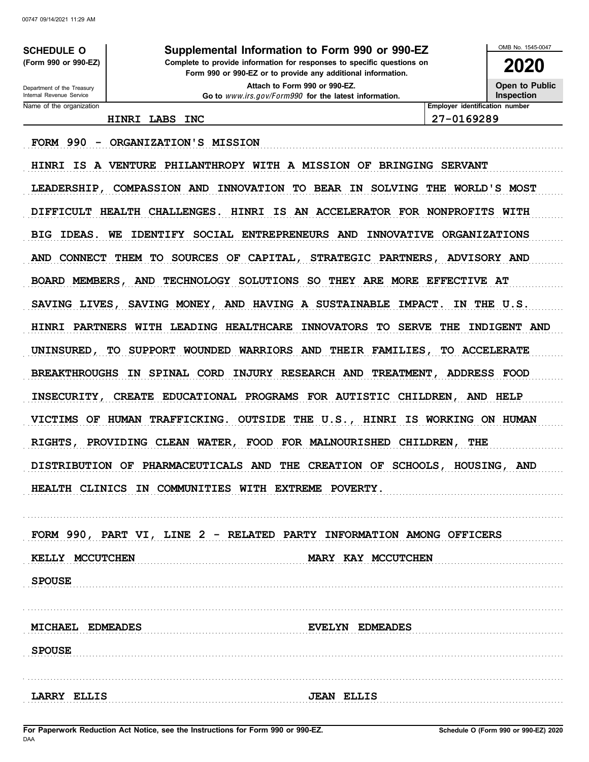**SCHEDULE O** (Form 990 or 990-EZ)

Department of the Treasury

Internal Revenue Service Name of the organization

### Supplemental Information to Form 990 or 990-EZ

Complete to provide information for responses to specific questions on Form 990 or 990-EZ or to provide any additional information.

> Attach to Form 990 or 990-EZ. Go to www.irs.gov/Form990 for the latest information.

Open to Public Inspection

OMB No. 1545-0047

2020

Employer identification number

HINRI LABS INC

27-0169289

FORM 990 - ORGANIZATION'S MISSION

HINRI IS A VENTURE PHILANTHROPY WITH A MISSION OF BRINGING SERVANT LEADERSHIP, COMPASSION AND INNOVATION TO BEAR IN SOLVING THE WORLD'S MOST DIFFICULT HEALTH CHALLENGES. HINRI IS AN ACCELERATOR FOR NONPROFITS WITH BIG IDEAS. WE IDENTIFY SOCIAL ENTREPRENEURS AND INNOVATIVE ORGANIZATIONS AND CONNECT THEM TO SOURCES OF CAPITAL, STRATEGIC PARTNERS, ADVISORY AND BOARD MEMBERS, AND TECHNOLOGY SOLUTIONS SO THEY ARE MORE EFFECTIVE AT SAVING LIVES, SAVING MONEY, AND HAVING A SUSTAINABLE IMPACT. IN THE U.S. HINRI PARTNERS WITH LEADING HEALTHCARE INNOVATORS TO SERVE THE INDIGENT AND UNINSURED, TO SUPPORT WOUNDED WARRIORS AND THEIR FAMILIES, TO ACCELERATE BREAKTHROUGHS IN SPINAL CORD INJURY RESEARCH AND TREATMENT, ADDRESS FOOD INSECURITY, CREATE EDUCATIONAL PROGRAMS FOR AUTISTIC CHILDREN, AND HELP VICTIMS OF HUMAN TRAFFICKING. OUTSIDE THE U.S., HINRI IS WORKING ON HUMAN RIGHTS, PROVIDING CLEAN WATER, FOOD FOR MALNOURISHED CHILDREN, THE DISTRIBUTION OF PHARMACEUTICALS AND THE CREATION OF SCHOOLS, HOUSING, AND HEALTH CLINICS IN COMMUNITIES WITH EXTREME POVERTY.

FORM 990, PART VI, LINE 2 - RELATED PARTY INFORMATION AMONG OFFICERS KELLY MCCUTCHEN MARY KAY MCCUTCHEN **SPOUSE** 

|                    | MICHALL LUMLAULS |                   | EDMEADES                                               |
|--------------------|------------------|-------------------|--------------------------------------------------------|
| <b>SPOUSE</b>      |                  |                   |                                                        |
|                    |                  |                   |                                                        |
|                    |                  |                   |                                                        |
| <b>LARRY ELLIS</b> |                  | <b>JEAN ELLIS</b> | <u> 1714) - France Barbott, march et al. (f. 1715)</u> |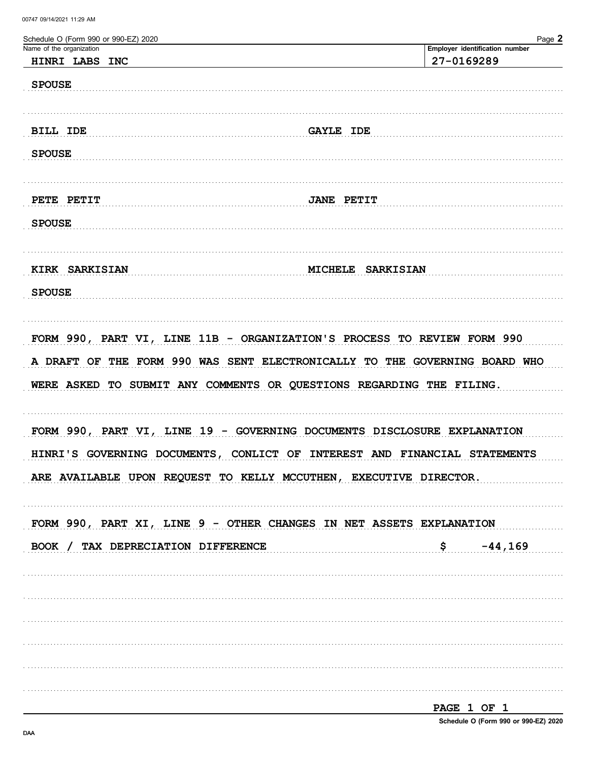| Schedule O (Form 990 or 990-EZ) 2020 | Page 2                                                                     |
|--------------------------------------|----------------------------------------------------------------------------|
| Name of the organization             | Employer identification number                                             |
| HINRI LABS INC                       | 27-0169289                                                                 |
| <b>SPOUSE</b>                        |                                                                            |
|                                      |                                                                            |
|                                      |                                                                            |
| BILL IDE                             | <b>GAYLE IDE</b>                                                           |
|                                      |                                                                            |
| <b>SPOUSE</b>                        |                                                                            |
|                                      |                                                                            |
|                                      |                                                                            |
| PETE PETIT                           | <b>JANE PETIT</b>                                                          |
| <b>SPOUSE</b>                        |                                                                            |
|                                      |                                                                            |
|                                      |                                                                            |
|                                      |                                                                            |
| KIRK SARKISIAN                       | MICHELE SARKISIAN                                                          |
| <b>SPOUSE</b>                        |                                                                            |
|                                      |                                                                            |
|                                      |                                                                            |
|                                      | FORM 990, PART VI, LINE 11B - ORGANIZATION'S PROCESS TO REVIEW FORM 990    |
|                                      |                                                                            |
|                                      | A DRAFT OF THE FORM 990 WAS SENT ELECTRONICALLY TO THE GOVERNING BOARD WHO |
|                                      | WERE ASKED TO SUBMIT ANY COMMENTS OR QUESTIONS REGARDING THE FILING.       |
|                                      |                                                                            |
|                                      |                                                                            |
|                                      | FORM 990, PART VI, LINE 19 - GOVERNING DOCUMENTS DISCLOSURE EXPLANATION    |
|                                      |                                                                            |
|                                      | HINRI'S GOVERNING DOCUMENTS, CONLICT OF INTEREST AND FINANCIAL STATEMENTS  |
|                                      | ARE AVAILABLE UPON REQUEST TO KELLY MCCUTHEN, EXECUTIVE DIRECTOR.          |
|                                      |                                                                            |
|                                      |                                                                            |
|                                      | FORM 990, PART XI, LINE 9 - OTHER CHANGES IN NET ASSETS EXPLANATION        |
|                                      |                                                                            |
| BOOK / TAX DEPRECIATION DIFFERENCE   | $$ -44,169$                                                                |
|                                      |                                                                            |
|                                      |                                                                            |
|                                      |                                                                            |
|                                      |                                                                            |
|                                      |                                                                            |
|                                      |                                                                            |
|                                      |                                                                            |
|                                      |                                                                            |
|                                      |                                                                            |
|                                      |                                                                            |
|                                      | PAGE 1 OF 1                                                                |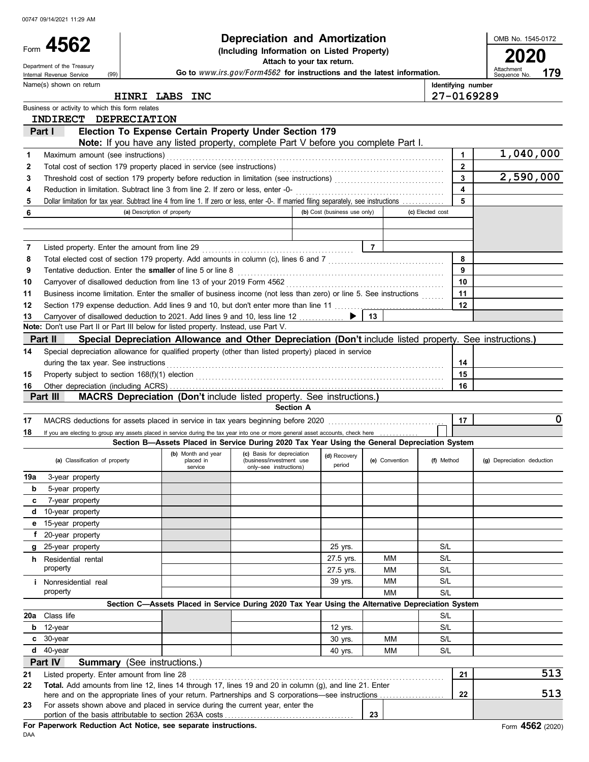|          | 00747 09/14/2021 11:29 AM                                                                                                                                                                                                        |                             |                                            |                                                                                                          |                              |                |                    |              |                                   |
|----------|----------------------------------------------------------------------------------------------------------------------------------------------------------------------------------------------------------------------------------|-----------------------------|--------------------------------------------|----------------------------------------------------------------------------------------------------------|------------------------------|----------------|--------------------|--------------|-----------------------------------|
|          | Form 4562                                                                                                                                                                                                                        |                             |                                            | Depreciation and Amortization                                                                            |                              |                |                    |              | OMB No. 1545-0172                 |
|          |                                                                                                                                                                                                                                  |                             |                                            | (Including Information on Listed Property)                                                               | Attach to your tax return.   |                |                    |              |                                   |
|          | Department of the Treasury<br>(99)<br>Internal Revenue Service                                                                                                                                                                   |                             |                                            | Go to www.irs.gov/Form4562 for instructions and the latest information.                                  |                              |                |                    |              | Attachment<br>179<br>Sequence No. |
|          | Name(s) shown on return                                                                                                                                                                                                          |                             |                                            |                                                                                                          |                              |                | Identifying number |              |                                   |
|          |                                                                                                                                                                                                                                  |                             | HINRI LABS INC                             |                                                                                                          |                              |                | 27-0169289         |              |                                   |
|          | Business or activity to which this form relates                                                                                                                                                                                  |                             |                                            |                                                                                                          |                              |                |                    |              |                                   |
|          | INDIRECT DEPRECIATION                                                                                                                                                                                                            |                             |                                            |                                                                                                          |                              |                |                    |              |                                   |
|          | Part I                                                                                                                                                                                                                           |                             |                                            | Election To Expense Certain Property Under Section 179                                                   |                              |                |                    |              |                                   |
|          |                                                                                                                                                                                                                                  |                             |                                            | Note: If you have any listed property, complete Part V before you complete Part I.                       |                              |                |                    |              |                                   |
| 1        | Maximum amount (see instructions)                                                                                                                                                                                                |                             |                                            |                                                                                                          |                              |                |                    | 1            | 1,040,000                         |
| 2        | Total cost of section 179 property placed in service (see instructions)<br>[[[[CRECT] [[CRECT] [[CRECT] [[CRECT] [[CRECT] [[CRECT] [[CRECT] [[CRECT] [[CRECT] [[CRECT] [[CRECT] [[CRECT] [[CRECT] [[CRECT] [[CRECT] [[CRECT] [[C |                             |                                            |                                                                                                          |                              |                |                    | $\mathbf{2}$ | 2,590,000                         |
| 3<br>4   | Reduction in limitation. Subtract line 3 from line 2. If zero or less, enter -0-                                                                                                                                                 |                             |                                            |                                                                                                          |                              |                |                    | 3<br>4       |                                   |
| 5        | Dollar limitation for tax year. Subtract line 4 from line 1. If zero or less, enter -0-. If married filing separately, see instructions                                                                                          |                             |                                            |                                                                                                          |                              |                |                    | 5            |                                   |
| 6        |                                                                                                                                                                                                                                  | (a) Description of property |                                            |                                                                                                          | (b) Cost (business use only) |                | (c) Elected cost   |              |                                   |
|          |                                                                                                                                                                                                                                  |                             |                                            |                                                                                                          |                              |                |                    |              |                                   |
|          |                                                                                                                                                                                                                                  |                             |                                            |                                                                                                          |                              |                |                    |              |                                   |
| 7        | Listed property. Enter the amount from line 29                                                                                                                                                                                   |                             |                                            |                                                                                                          |                              | $\overline{7}$ |                    |              |                                   |
| 8        | Total elected cost of section 179 property. Add amounts in column (c), lines 6 and 7 [[[[[[[[[[[[[[[[[[[[[[[[[                                                                                                                   |                             |                                            |                                                                                                          |                              |                |                    | 8            |                                   |
| 9        | Tentative deduction. Enter the smaller of line 5 or line 8                                                                                                                                                                       |                             |                                            |                                                                                                          |                              |                |                    | 9            |                                   |
| 10       | Carryover of disallowed deduction from line 13 of your 2019 Form 4562                                                                                                                                                            |                             |                                            |                                                                                                          |                              |                |                    | 10           |                                   |
| 11       | Business income limitation. Enter the smaller of business income (not less than zero) or line 5. See instructions                                                                                                                |                             |                                            |                                                                                                          |                              |                |                    | 11           |                                   |
| 12       | Section 179 expense deduction. Add lines 9 and 10, but don't enter more than line 11 [[[[[[[[[[[[[[[[[[[[[[[[                                                                                                                    |                             |                                            |                                                                                                          |                              |                |                    | 12           |                                   |
| 13       | Carryover of disallowed deduction to 2021. Add lines 9 and 10, less line 12<br>Note: Don't use Part II or Part III below for listed property. Instead, use Part V.                                                               |                             |                                            |                                                                                                          | ▶                            | 13             |                    |              |                                   |
|          | Part II                                                                                                                                                                                                                          |                             |                                            | Special Depreciation Allowance and Other Depreciation (Don't include listed property. See instructions.) |                              |                |                    |              |                                   |
| 14       | Special depreciation allowance for qualified property (other than listed property) placed in service                                                                                                                             |                             |                                            |                                                                                                          |                              |                |                    |              |                                   |
|          | during the tax year. See instructions                                                                                                                                                                                            |                             |                                            |                                                                                                          |                              |                |                    | 14           |                                   |
| 15       |                                                                                                                                                                                                                                  |                             |                                            |                                                                                                          |                              |                |                    | 15           |                                   |
| 16       |                                                                                                                                                                                                                                  |                             |                                            |                                                                                                          |                              |                |                    | 16           |                                   |
|          | Part III                                                                                                                                                                                                                         |                             |                                            | MACRS Depreciation (Don't include listed property. See instructions.)                                    |                              |                |                    |              |                                   |
|          |                                                                                                                                                                                                                                  |                             |                                            | <b>Section A</b>                                                                                         |                              |                |                    |              |                                   |
| 17       |                                                                                                                                                                                                                                  |                             |                                            |                                                                                                          |                              |                |                    | 17           | 0                                 |
| 18       | If you are electing to group any assets placed in service during the tax year into one or more general asset accounts, check here                                                                                                |                             |                                            |                                                                                                          |                              |                |                    |              |                                   |
|          |                                                                                                                                                                                                                                  |                             |                                            | Section B-Assets Placed in Service During 2020 Tax Year Using the General Depreciation System            |                              |                |                    |              |                                   |
|          | (a) Classification of property                                                                                                                                                                                                   |                             | (b) Month and year<br>placed in<br>service | (c) Basis for depreciation<br>(business/investment use<br>only-see instructions)                         | (d) Recovery<br>period       | (e) Convention | (f) Method         |              | (g) Depreciation deduction        |
| 19a      | 3-year property                                                                                                                                                                                                                  |                             |                                            |                                                                                                          |                              |                |                    |              |                                   |
| b        | 5-year property                                                                                                                                                                                                                  |                             |                                            |                                                                                                          |                              |                |                    |              |                                   |
| c        | 7-year property                                                                                                                                                                                                                  |                             |                                            |                                                                                                          |                              |                |                    |              |                                   |
| d<br>е   | 10-year property<br>15-year property                                                                                                                                                                                             |                             |                                            |                                                                                                          |                              |                |                    |              |                                   |
|          | f 20-year property                                                                                                                                                                                                               |                             |                                            |                                                                                                          |                              |                |                    |              |                                   |
| g        | 25-year property                                                                                                                                                                                                                 |                             |                                            |                                                                                                          | 25 yrs.                      |                | S/L                |              |                                   |
|          | <b>h</b> Residential rental                                                                                                                                                                                                      |                             |                                            |                                                                                                          | 27.5 yrs.                    | ΜМ             | S/L                |              |                                   |
|          | property                                                                                                                                                                                                                         |                             |                                            |                                                                                                          | 27.5 yrs.                    | MM             | S/L                |              |                                   |
|          | <i>i</i> Nonresidential real                                                                                                                                                                                                     |                             |                                            |                                                                                                          | 39 yrs.                      | MM             | S/L                |              |                                   |
|          | property                                                                                                                                                                                                                         |                             |                                            |                                                                                                          |                              | MМ             | S/L                |              |                                   |
|          |                                                                                                                                                                                                                                  |                             |                                            | Section C-Assets Placed in Service During 2020 Tax Year Using the Alternative Depreciation System        |                              |                |                    |              |                                   |
| 20a      | Class life                                                                                                                                                                                                                       |                             |                                            |                                                                                                          |                              |                | S/L                |              |                                   |
| b        | 12-year                                                                                                                                                                                                                          |                             |                                            |                                                                                                          | 12 yrs.                      |                | S/L                |              |                                   |
|          | $c30-year$                                                                                                                                                                                                                       |                             |                                            |                                                                                                          | 30 yrs.                      | <b>MM</b>      | S/L                |              |                                   |
| d        | 40-year                                                                                                                                                                                                                          |                             |                                            |                                                                                                          | 40 yrs.                      | MM             | S/L                |              |                                   |
|          | Part IV<br><b>Summary</b> (See instructions.)                                                                                                                                                                                    |                             |                                            |                                                                                                          |                              |                |                    |              | 513                               |
| 21<br>22 | Listed property. Enter amount from line 28<br>Total. Add amounts from line 12, lines 14 through 17, lines 19 and 20 in column (g), and line 21. Enter                                                                            |                             |                                            |                                                                                                          |                              |                |                    | 21           |                                   |
|          |                                                                                                                                                                                                                                  |                             |                                            |                                                                                                          |                              |                |                    | 22           | 513                               |
| 23       | For assets shown above and placed in service during the current year, enter the                                                                                                                                                  |                             |                                            |                                                                                                          |                              |                |                    |              |                                   |
|          |                                                                                                                                                                                                                                  |                             |                                            |                                                                                                          |                              | 23             |                    |              |                                   |
|          | For Paperwork Reduction Act Notice, see separate instructions.                                                                                                                                                                   |                             |                                            |                                                                                                          |                              |                |                    |              | Form 4562 (2020)                  |